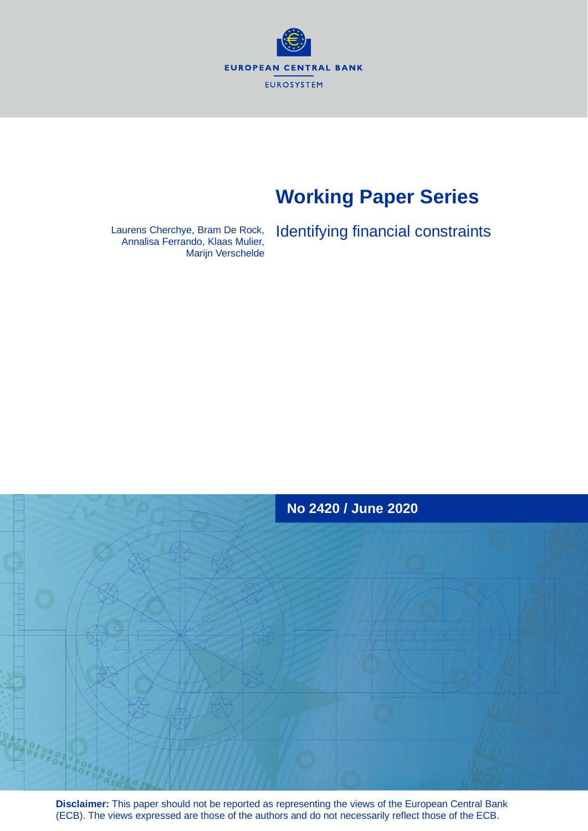**EUROPEAN CENTRAL BANK** EUROSYSTEM

# **Working Paper Series**

Marijn Verschelde

Laurens Cherchye, Bram De Rock, Identifying financial constraints Annalisa Ferrando, Klaas Mulier,



**Disclaimer:** This paper should not be reported as representing the views of the European Central Bank (ECB). The views expressed are those of the authors and do not necessarily reflect those of the ECB.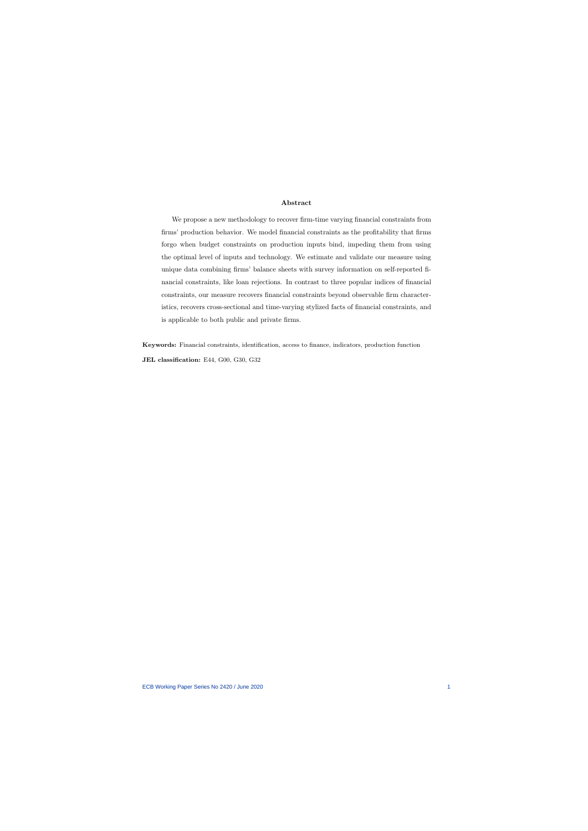#### Abstract

We propose a new methodology to recover firm-time varying financial constraints from firms' production behavior. We model financial constraints as the profitability that firms forgo when budget constraints on production inputs bind, impeding them from using the optimal level of inputs and technology. We estimate and validate our measure using unique data combining firms' balance sheets with survey information on self-reported financial constraints, like loan rejections. In contrast to three popular indices of financial constraints, our measure recovers financial constraints beyond observable firm characteristics, recovers cross-sectional and time-varying stylized facts of financial constraints, and is applicable to both public and private firms.

Keywords: Financial constraints, identification, access to finance, indicators, production function JEL classification: E44, G00, G30, G32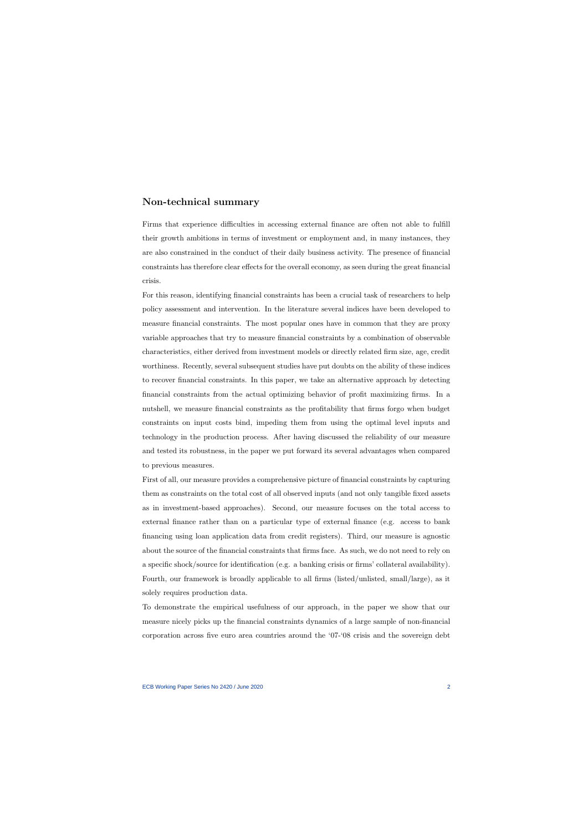## Non-technical summary

Firms that experience difficulties in accessing external finance are often not able to fulfill their growth ambitions in terms of investment or employment and, in many instances, they are also constrained in the conduct of their daily business activity. The presence of financial constraints has therefore clear effects for the overall economy, as seen during the great financial crisis.

For this reason, identifying financial constraints has been a crucial task of researchers to help policy assessment and intervention. In the literature several indices have been developed to measure financial constraints. The most popular ones have in common that they are proxy variable approaches that try to measure financial constraints by a combination of observable characteristics, either derived from investment models or directly related firm size, age, credit worthiness. Recently, several subsequent studies have put doubts on the ability of these indices to recover financial constraints. In this paper, we take an alternative approach by detecting financial constraints from the actual optimizing behavior of profit maximizing firms. In a nutshell, we measure financial constraints as the profitability that firms forgo when budget constraints on input costs bind, impeding them from using the optimal level inputs and technology in the production process. After having discussed the reliability of our measure and tested its robustness, in the paper we put forward its several advantages when compared to previous measures.

First of all, our measure provides a comprehensive picture of financial constraints by capturing them as constraints on the total cost of all observed inputs (and not only tangible fixed assets as in investment-based approaches). Second, our measure focuses on the total access to external finance rather than on a particular type of external finance (e.g. access to bank financing using loan application data from credit registers). Third, our measure is agnostic about the source of the financial constraints that firms face. As such, we do not need to rely on a specific shock/source for identification (e.g. a banking crisis or firms' collateral availability). Fourth, our framework is broadly applicable to all firms (listed/unlisted, small/large), as it solely requires production data.

To demonstrate the empirical usefulness of our approach, in the paper we show that our measure nicely picks up the financial constraints dynamics of a large sample of non-financial corporation across five euro area countries around the '07-'08 crisis and the sovereign debt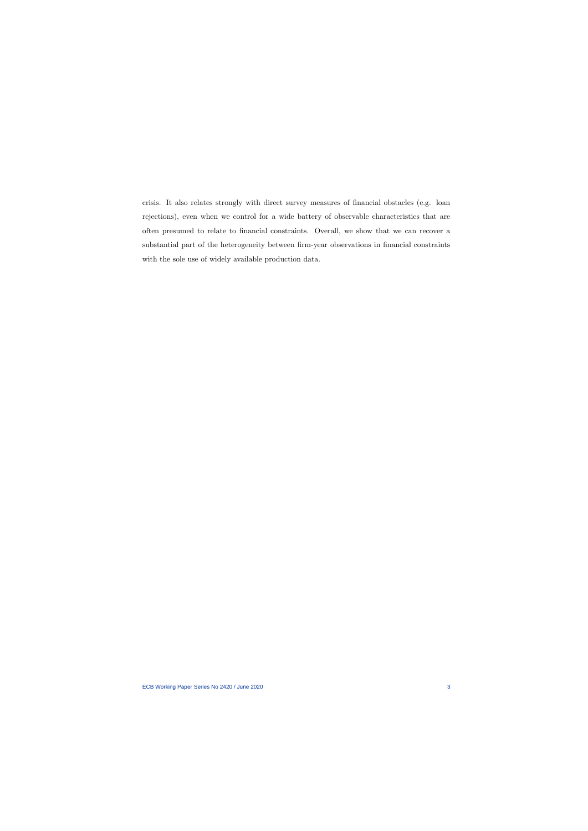crisis. It also relates strongly with direct survey measures of financial obstacles (e.g. loan rejections), even when we control for a wide battery of observable characteristics that are often presumed to relate to financial constraints. Overall, we show that we can recover a substantial part of the heterogeneity between firm-year observations in financial constraints with the sole use of widely available production data.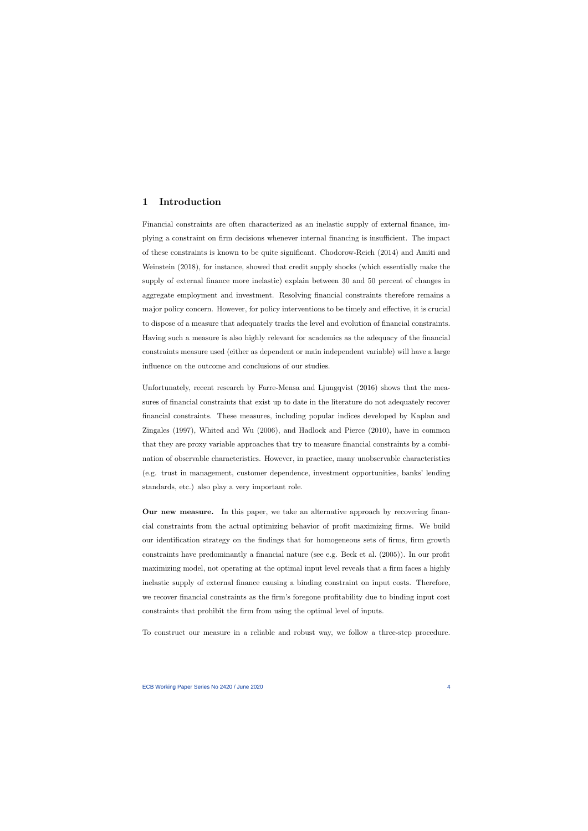# 1 Introduction

Financial constraints are often characterized as an inelastic supply of external finance, implying a constraint on firm decisions whenever internal financing is insufficient. The impact of these constraints is known to be quite significant. [Chodorow-Reich](#page-38-0) [\(2014\)](#page-38-0) and [Amiti and](#page-37-0) [Weinstein](#page-37-0) [\(2018\)](#page-37-0), for instance, showed that credit supply shocks (which essentially make the supply of external finance more inelastic) explain between 30 and 50 percent of changes in aggregate employment and investment. Resolving financial constraints therefore remains a major policy concern. However, for policy interventions to be timely and effective, it is crucial to dispose of a measure that adequately tracks the level and evolution of financial constraints. Having such a measure is also highly relevant for academics as the adequacy of the financial constraints measure used (either as dependent or main independent variable) will have a large influence on the outcome and conclusions of our studies.

Unfortunately, recent research by [Farre-Mensa and Ljungqvist](#page-38-1) [\(2016\)](#page-38-1) shows that the measures of financial constraints that exist up to date in the literature do not adequately recover financial constraints. These measures, including popular indices developed by [Kaplan and](#page-39-0) [Zingales](#page-39-0) [\(1997\)](#page-39-0), [Whited and Wu](#page-40-0) [\(2006\)](#page-40-0), and [Hadlock and Pierce](#page-39-1) [\(2010\)](#page-39-1), have in common that they are proxy variable approaches that try to measure financial constraints by a combination of observable characteristics. However, in practice, many unobservable characteristics (e.g. trust in management, customer dependence, investment opportunities, banks' lending standards, etc.) also play a very important role.

Our new measure. In this paper, we take an alternative approach by recovering financial constraints from the actual optimizing behavior of profit maximizing firms. We build our identification strategy on the findings that for homogeneous sets of firms, firm growth constraints have predominantly a financial nature (see e.g. [Beck et al.](#page-37-1) [\(2005\)](#page-37-1)). In our profit maximizing model, not operating at the optimal input level reveals that a firm faces a highly inelastic supply of external finance causing a binding constraint on input costs. Therefore, we recover financial constraints as the firm's foregone profitability due to binding input cost constraints that prohibit the firm from using the optimal level of inputs.

To construct our measure in a reliable and robust way, we follow a three-step procedure.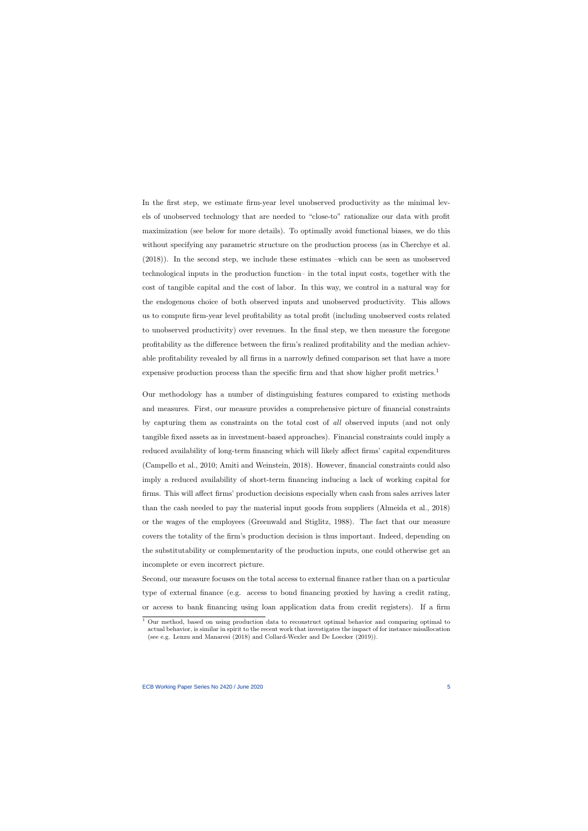In the first step, we estimate firm-year level unobserved productivity as the minimal levels of unobserved technology that are needed to "close-to" rationalize our data with profit maximization (see below for more details). To optimally avoid functional biases, we do this without specifying any parametric structure on the production process (as in [Cherchye et al.](#page-38-2) [\(2018\)](#page-38-2)). In the second step, we include these estimates –which can be seen as unobserved technological inputs in the production function– in the total input costs, together with the cost of tangible capital and the cost of labor. In this way, we control in a natural way for the endogenous choice of both observed inputs and unobserved productivity. This allows us to compute firm-year level profitability as total profit (including unobserved costs related to unobserved productivity) over revenues. In the final step, we then measure the foregone profitability as the difference between the firm's realized profitability and the median achievable profitability revealed by all firms in a narrowly defined comparison set that have a more expensive production process than the specific firm and that show higher profit metrics.[1](#page-5-0)

Our methodology has a number of distinguishing features compared to existing methods and measures. First, our measure provides a comprehensive picture of financial constraints by capturing them as constraints on the total cost of all observed inputs (and not only tangible fixed assets as in investment-based approaches). Financial constraints could imply a reduced availability of long-term financing which will likely affect firms' capital expenditures [\(Campello et al., 2010;](#page-37-2) [Amiti and Weinstein, 2018\)](#page-37-0). However, financial constraints could also imply a reduced availability of short-term financing inducing a lack of working capital for firms. This will affect firms' production decisions especially when cash from sales arrives later than the cash needed to pay the material input goods from suppliers [\(Almeida et al., 2018\)](#page-37-3) or the wages of the employees [\(Greenwald and Stiglitz, 1988\)](#page-39-2). The fact that our measure covers the totality of the firm's production decision is thus important. Indeed, depending on the substitutability or complementarity of the production inputs, one could otherwise get an incomplete or even incorrect picture.

Second, our measure focuses on the total access to external finance rather than on a particular type of external finance (e.g. access to bond financing proxied by having a credit rating, or access to bank financing using loan application data from credit registers). If a firm

<span id="page-5-0"></span><sup>&</sup>lt;sup>1</sup> Our method, based on using production data to reconstruct optimal behavior and comparing optimal to actual behavior, is similar in spirit to the recent work that investigates the impact of for instance misallocation (see e.g. [Lenzu and Manaresi](#page-40-1) [\(2018\)](#page-40-1) and [Collard-Wexler and De Loecker](#page-38-3) [\(2019\)](#page-38-3)).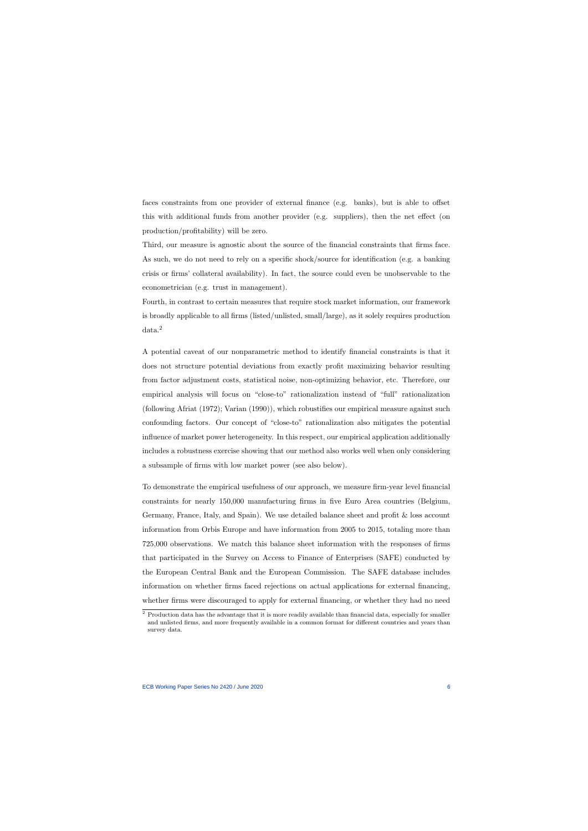faces constraints from one provider of external finance (e.g. banks), but is able to offset this with additional funds from another provider (e.g. suppliers), then the net effect (on production/profitability) will be zero.

Third, our measure is agnostic about the source of the financial constraints that firms face. As such, we do not need to rely on a specific shock/source for identification (e.g. a banking crisis or firms' collateral availability). In fact, the source could even be unobservable to the econometrician (e.g. trust in management).

Fourth, in contrast to certain measures that require stock market information, our framework is broadly applicable to all firms (listed/unlisted, small/large), as it solely requires production data.[2](#page-6-0)

A potential caveat of our nonparametric method to identify financial constraints is that it does not structure potential deviations from exactly profit maximizing behavior resulting from factor adjustment costs, statistical noise, non-optimizing behavior, etc. Therefore, our empirical analysis will focus on "close-to" rationalization instead of "full" rationalization (following [Afriat](#page-37-4) [\(1972\)](#page-37-4); [Varian](#page-40-2) [\(1990\)](#page-40-2)), which robustifies our empirical measure against such confounding factors. Our concept of "close-to" rationalization also mitigates the potential influence of market power heterogeneity. In this respect, our empirical application additionally includes a robustness exercise showing that our method also works well when only considering a subsample of firms with low market power (see also below).

To demonstrate the empirical usefulness of our approach, we measure firm-year level financial constraints for nearly 150,000 manufacturing firms in five Euro Area countries (Belgium, Germany, France, Italy, and Spain). We use detailed balance sheet and profit & loss account information from Orbis Europe and have information from 2005 to 2015, totaling more than 725,000 observations. We match this balance sheet information with the responses of firms that participated in the Survey on Access to Finance of Enterprises (SAFE) conducted by the European Central Bank and the European Commission. The SAFE database includes information on whether firms faced rejections on actual applications for external financing, whether firms were discouraged to apply for external financing, or whether they had no need

<span id="page-6-0"></span><sup>2</sup> Production data has the advantage that it is more readily available than financial data, especially for smaller and unlisted firms, and more frequently available in a common format for different countries and years than survey data.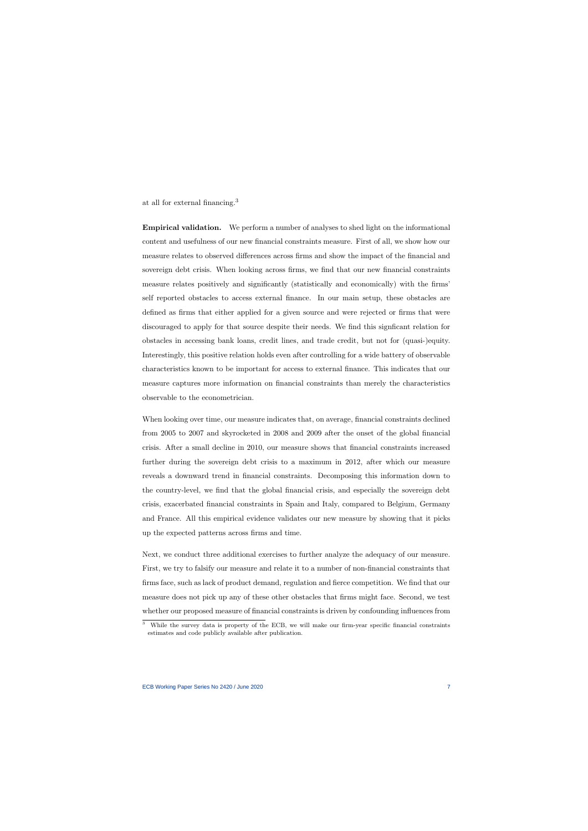at all for external financing.[3](#page-7-0)

Empirical validation. We perform a number of analyses to shed light on the informational content and usefulness of our new financial constraints measure. First of all, we show how our measure relates to observed differences across firms and show the impact of the financial and sovereign debt crisis. When looking across firms, we find that our new financial constraints measure relates positively and significantly (statistically and economically) with the firms' self reported obstacles to access external finance. In our main setup, these obstacles are defined as firms that either applied for a given source and were rejected or firms that were discouraged to apply for that source despite their needs. We find this signficant relation for obstacles in accessing bank loans, credit lines, and trade credit, but not for (quasi-)equity. Interestingly, this positive relation holds even after controlling for a wide battery of observable characteristics known to be important for access to external finance. This indicates that our measure captures more information on financial constraints than merely the characteristics observable to the econometrician.

When looking over time, our measure indicates that, on average, financial constraints declined from 2005 to 2007 and skyrocketed in 2008 and 2009 after the onset of the global financial crisis. After a small decline in 2010, our measure shows that financial constraints increased further during the sovereign debt crisis to a maximum in 2012, after which our measure reveals a downward trend in financial constraints. Decomposing this information down to the country-level, we find that the global financial crisis, and especially the sovereign debt crisis, exacerbated financial constraints in Spain and Italy, compared to Belgium, Germany and France. All this empirical evidence validates our new measure by showing that it picks up the expected patterns across firms and time.

Next, we conduct three additional exercises to further analyze the adequacy of our measure. First, we try to falsify our measure and relate it to a number of non-financial constraints that firms face, such as lack of product demand, regulation and fierce competition. We find that our measure does not pick up any of these other obstacles that firms might face. Second, we test whether our proposed measure of financial constraints is driven by confounding influences from

<span id="page-7-0"></span> $\overline{3}$  While the survey data is property of the ECB, we will make our firm-year specific financial constraints estimates and code publicly available after publication.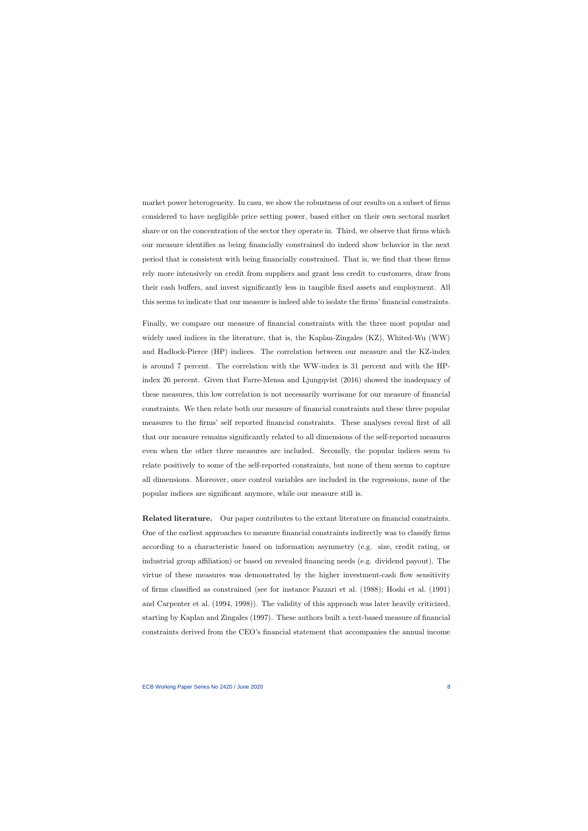market power heterogeneity. In casu, we show the robustness of our results on a subset of firms considered to have negligible price setting power, based either on their own sectoral market share or on the concentration of the sector they operate in. Third, we observe that firms which our measure identifies as being financially constrained do indeed show behavior in the next period that is consistent with being financially constrained. That is, we find that these firms rely more intensively on credit from suppliers and grant less credit to customers, draw from their cash buffers, and invest significantly less in tangible fixed assets and employment. All this seems to indicate that our measure is indeed able to isolate the firms' financial constraints.

Finally, we compare our measure of financial constraints with the three most popular and widely used indices in the literature, that is, the Kaplan-Zingales (KZ), Whited-Wu (WW) and Hadlock-Pierce (HP) indices. The correlation between our measure and the KZ-index is around 7 percent. The correlation with the WW-index is 31 percent and with the HPindex 26 percent. Given that [Farre-Mensa and Ljungqvist](#page-38-1) [\(2016\)](#page-38-1) showed the inadequacy of these measures, this low correlation is not necessarily worrisome for our measure of financial constraints. We then relate both our measure of financial constraints and these three popular measures to the firms' self reported financial constraints. These analyses reveal first of all that our measure remains significantly related to all dimensions of the self-reported measures even when the other three measures are included. Secondly, the popular indices seem to relate positively to some of the self-reported constraints, but none of them seems to capture all dimensions. Moreover, once control variables are included in the regressions, none of the popular indices are significant anymore, while our measure still is.

Related literature. Our paper contributes to the extant literature on financial constraints. One of the earliest approaches to measure financial constraints indirectly was to classify firms according to a characteristic based on information asymmetry (e.g. size, credit rating, or industrial group affiliation) or based on revealed financing needs (e.g. dividend payout). The virtue of these measures was demonstrated by the higher investment-cash flow sensitivity of firms classified as constrained (see for instance [Fazzari et al.](#page-38-4) [\(1988\)](#page-38-4); [Hoshi et al.](#page-39-3) [\(1991\)](#page-39-3) and [Carpenter et al.](#page-37-5) [\(1994,](#page-37-5) [1998\)](#page-37-6)). The validity of this approach was later heavily criticized, starting by [Kaplan and Zingales](#page-39-0) [\(1997\)](#page-39-0). These authors built a text-based measure of financial constraints derived from the CEO's financial statement that accompanies the annual income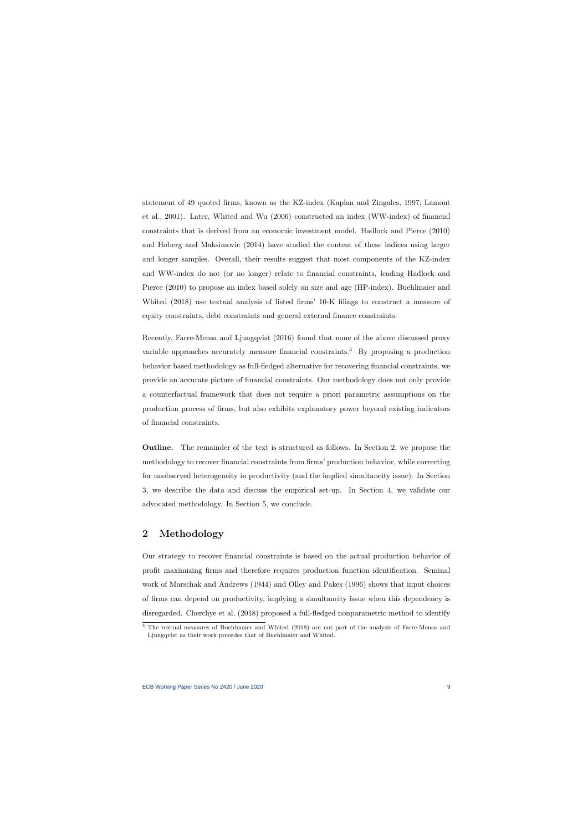statement of 49 quoted firms, known as the KZ-index [\(Kaplan and Zingales, 1997;](#page-39-0) [Lamont](#page-39-4) [et al., 2001\)](#page-39-4). Later, [Whited and Wu](#page-40-0) [\(2006\)](#page-40-0) constructed an index (WW-index) of financial constraints that is derived from an economic investment model. [Hadlock and Pierce](#page-39-1) [\(2010\)](#page-39-1) and [Hoberg and Maksimovic](#page-39-5) [\(2014\)](#page-39-5) have studied the content of these indices using larger and longer samples. Overall, their results suggest that most components of the KZ-index and WW-index do not (or no longer) relate to financial constraints, leading [Hadlock and](#page-39-1) [Pierce](#page-39-1) [\(2010\)](#page-39-1) to propose an index based solely on size and age (HP-index). [Buehlmaier and](#page-37-7) [Whited](#page-37-7) [\(2018\)](#page-37-7) use textual analysis of listed firms' 10-K filings to construct a measure of equity constraints, debt constraints and general external finance constraints.

Recently, [Farre-Mensa and Ljungqvist](#page-38-1) [\(2016\)](#page-38-1) found that none of the above discussed proxy variable approaches accurately measure financial constraints.<sup>[4](#page-9-0)</sup> By proposing a production behavior based methodology as full-fledged alternative for recovering financial constraints, we provide an accurate picture of financial constraints. Our methodology does not only provide a counterfactual framework that does not require a priori parametric assumptions on the production process of firms, but also exhibits explanatory power beyond existing indicators of financial constraints.

Outline. The remainder of the text is structured as follows. In Section 2, we propose the methodology to recover financial constraints from firms' production behavior, while correcting for unobserved heterogeneity in productivity (and the implied simultaneity issue). In Section 3, we describe the data and discuss the empirical set-up. In Section 4, we validate our advocated methodology. In Section 5, we conclude.

# 2 Methodology

Our strategy to recover financial constraints is based on the actual production behavior of profit maximizing firms and therefore requires production function identification. Seminal work of [Marschak and Andrews](#page-40-3) [\(1944\)](#page-40-3) and [Olley and Pakes](#page-40-4) [\(1996\)](#page-40-4) shows that input choices of firms can depend on productivity, implying a simultaneity issue when this dependency is disregarded. [Cherchye et al.](#page-38-2) [\(2018\)](#page-38-2) proposed a full-fledged nonparametric method to identify

<span id="page-9-0"></span><sup>4</sup> The textual measures of [Buehlmaier and Whited](#page-37-7) [\(2018\)](#page-37-7) are not part of the analysis of Farre-Mensa and Ljungqvist as their work precedes that of Buehlmaier and Whited.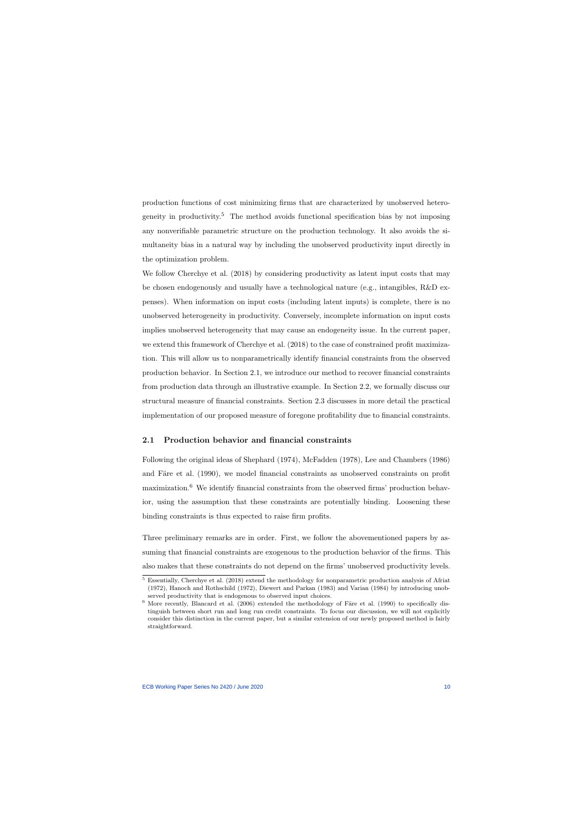production functions of cost minimizing firms that are characterized by unobserved hetero-geneity in productivity.<sup>[5](#page-10-0)</sup> The method avoids functional specification bias by not imposing any nonverifiable parametric structure on the production technology. It also avoids the simultaneity bias in a natural way by including the unobserved productivity input directly in the optimization problem.

We follow [Cherchye et al.](#page-38-2) [\(2018\)](#page-38-2) by considering productivity as latent input costs that may be chosen endogenously and usually have a technological nature (e.g., intangibles,  $R\&D$  expenses). When information on input costs (including latent inputs) is complete, there is no unobserved heterogeneity in productivity. Conversely, incomplete information on input costs implies unobserved heterogeneity that may cause an endogeneity issue. In the current paper, we extend this framework of [Cherchye et al.](#page-38-2) [\(2018\)](#page-38-2) to the case of constrained profit maximization. This will allow us to nonparametrically identify financial constraints from the observed production behavior. In Section 2.1, we introduce our method to recover financial constraints from production data through an illustrative example. In Section 2.2, we formally discuss our structural measure of financial constraints. Section 2.3 discusses in more detail the practical implementation of our proposed measure of foregone profitability due to financial constraints.

#### 2.1 Production behavior and financial constraints

Following the original ideas of [Shephard](#page-40-5) [\(1974\)](#page-40-5), [McFadden](#page-40-6) [\(1978\)](#page-40-6), [Lee and Chambers](#page-39-6) [\(1986\)](#page-39-6) and Färe et al. [\(1990\)](#page-38-5), we model financial constraints as unobserved constraints on profit maximization.[6](#page-10-1) We identify financial constraints from the observed firms' production behavior, using the assumption that these constraints are potentially binding. Loosening these binding constraints is thus expected to raise firm profits.

Three preliminary remarks are in order. First, we follow the abovementioned papers by assuming that financial constraints are exogenous to the production behavior of the firms. This also makes that these constraints do not depend on the firms' unobserved productivity levels.

<sup>5</sup> Essentially, [Cherchye et al.](#page-38-2) [\(2018\)](#page-38-2) extend the methodology for nonparametric production analysis of [Afriat](#page-37-4) [\(1972\)](#page-37-4), [Hanoch and Rothschild](#page-39-7) [\(1972\)](#page-39-7), [Diewert and Parkan](#page-38-6) [\(1983\)](#page-38-6) and [Varian](#page-40-7) [\(1984\)](#page-40-7) by introducing unobserved productivity that is endogenous to observed input choices.

<span id="page-10-1"></span><span id="page-10-0"></span> $6$  More recently, [Blancard et al.](#page-37-8) [\(2006\)](#page-37-8) extended the methodology of Färe et al. [\(1990\)](#page-38-5) to specifically distinguish between short run and long run credit constraints. To focus our discussion, we will not explicitly consider this distinction in the current paper, but a similar extension of our newly proposed method is fairly straightforward.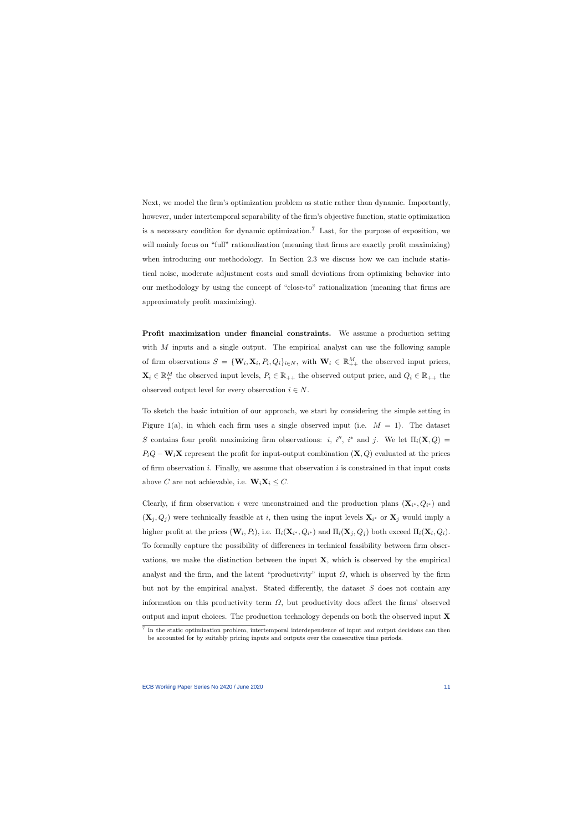Next, we model the firm's optimization problem as static rather than dynamic. Importantly, however, under intertemporal separability of the firm's objective function, static optimization is a necessary condition for dynamic optimization.<sup>[7](#page-11-0)</sup> Last, for the purpose of exposition, we will mainly focus on "full" rationalization (meaning that firms are exactly profit maximizing) when introducing our methodology. In Section 2.3 we discuss how we can include statistical noise, moderate adjustment costs and small deviations from optimizing behavior into our methodology by using the concept of "close-to" rationalization (meaning that firms are approximately profit maximizing).

Profit maximization under financial constraints. We assume a production setting with  $M$  inputs and a single output. The empirical analyst can use the following sample of firm observations  $S = {\mathbf{W}_i, \mathbf{X}_i, P_i, Q_i}_{i \in N}$ , with  $\mathbf{W}_i \in \mathbb{R}_{++}^M$  the observed input prices,  $\mathbf{X}_i \in \mathbb{R}_+^M$  the observed input levels,  $P_i \in \mathbb{R}_{++}$  the observed output price, and  $Q_i \in \mathbb{R}_{++}$  the observed output level for every observation  $i \in N$ .

To sketch the basic intuition of our approach, we start by considering the simple setting in Figure [1\(](#page-41-0)a), in which each firm uses a single observed input (i.e.  $M = 1$ ). The dataset S contains four profit maximizing firm observations: *i*, *i''*, *i*<sup>\*</sup> and *j*. We let  $\Pi_i(\mathbf{X}, Q) =$  $P_iQ - \mathbf{W}_i\mathbf{X}$  represent the profit for input-output combination  $(\mathbf{X}, Q)$  evaluated at the prices of firm observation  $i$ . Finally, we assume that observation  $i$  is constrained in that input costs above C are not achievable, i.e.  $\mathbf{W}_i \mathbf{X}_i \leq C$ .

Clearly, if firm observation i were unconstrained and the production plans  $(X_{i^*}, Q_{i^*})$  and  $(X_j, Q_j)$  were technically feasible at i, then using the input levels  $X_{i^*}$  or  $X_j$  would imply a higher profit at the prices  $(\mathbf{W}_i, P_i)$ , i.e.  $\Pi_i(\mathbf{X}_{i^*}, Q_{i^*})$  and  $\Pi_i(\mathbf{X}_j, Q_j)$  both exceed  $\Pi_i(\mathbf{X}_i, Q_i)$ . To formally capture the possibility of differences in technical feasibility between firm observations, we make the distinction between the input  $X$ , which is observed by the empirical analyst and the firm, and the latent "productivity" input  $\Omega$ , which is observed by the firm but not by the empirical analyst. Stated differently, the dataset S does not contain any information on this productivity term  $\Omega$ , but productivity does affect the firms' observed output and input choices. The production technology depends on both the observed input  $\bf{X}$ 

<span id="page-11-0"></span><sup>7</sup> In the static optimization problem, intertemporal interdependence of input and output decisions can then be accounted for by suitably pricing inputs and outputs over the consecutive time periods.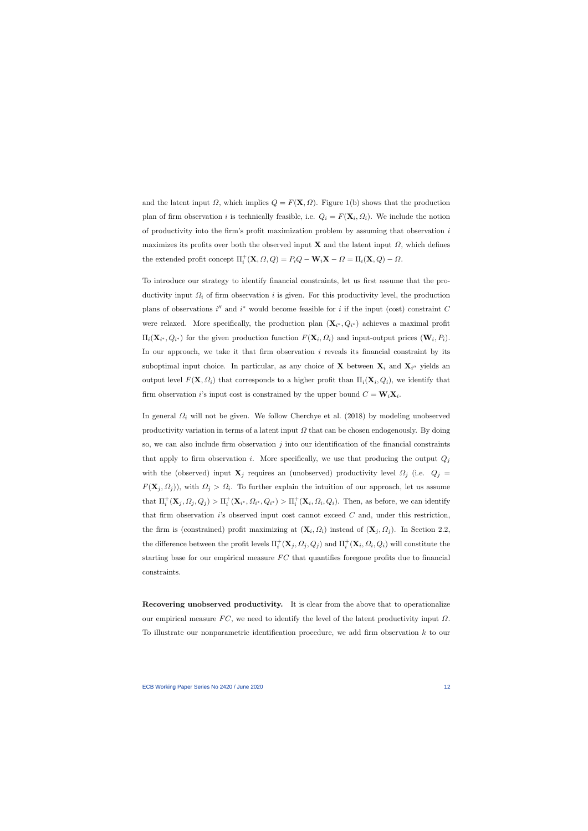and the latent input  $\Omega$ , which implies  $Q = F(\mathbf{X}, \Omega)$ . Figure [1\(](#page-41-0)b) shows that the production plan of firm observation *i* is technically feasible, i.e.  $Q_i = F(\mathbf{X}_i, \Omega_i)$ . We include the notion of productivity into the firm's profit maximization problem by assuming that observation  $i$ maximizes its profits over both the observed input **X** and the latent input  $\Omega$ , which defines the extended profit concept  $\Pi_i^+({\bf X}, \Omega, Q) = P_i Q - {\bf W}_i {\bf X} - \Omega = \Pi_i({\bf X}, Q) - \Omega.$ 

To introduce our strategy to identify financial constraints, let us first assume that the productivity input  $\Omega_i$  of firm observation i is given. For this productivity level, the production plans of observations  $i''$  and  $i^*$  would become feasible for i if the input (cost) constraint C were relaxed. More specifically, the production plan  $(\mathbf{X}_{i^*}, Q_{i^*})$  achieves a maximal profit  $\Pi_i(\mathbf{X}_{i^*}, Q_{i^*})$  for the given production function  $F(\mathbf{X}_i, Q_i)$  and input-output prices  $(\mathbf{W}_i, P_i)$ . In our approach, we take it that firm observation  $i$  reveals its financial constraint by its suboptimal input choice. In particular, as any choice of **X** between  $\mathbf{X}_i$  and  $\mathbf{X}_{i''}$  yields an output level  $F(\mathbf{X}, \Omega_i)$  that corresponds to a higher profit than  $\Pi_i(\mathbf{X}_i, Q_i)$ , we identify that firm observation *i*'s input cost is constrained by the upper bound  $C = W_i X_i$ .

In general  $\Omega_i$  will not be given. We follow [Cherchye et al.](#page-38-2) [\(2018\)](#page-38-2) by modeling unobserved productivity variation in terms of a latent input  $\Omega$  that can be chosen endogenously. By doing so, we can also include firm observation  $j$  into our identification of the financial constraints that apply to firm observation i. More specifically, we use that producing the output  $Q_j$ with the (observed) input  $\mathbf{X}_j$  requires an (unobserved) productivity level  $\Omega_j$  (i.e.  $Q_j =$  $F(\mathbf{X}_j, \Omega_j)$ , with  $\Omega_j > \Omega_i$ . To further explain the intuition of our approach, let us assume that  $\Pi_i^+({\bf X}_j, Q_j) > \Pi_i^+({\bf X}_{i^*}, Q_{i^*}, Q_{i^*}) > \Pi_i^+({\bf X}_i, Q_i, Q_i)$ . Then, as before, we can identify that firm observation is observed input cost cannot exceed  $C$  and, under this restriction, the firm is (constrained) profit maximizing at  $(\mathbf{X}_i, \Omega_i)$  instead of  $(\mathbf{X}_j, \Omega_j)$ . In Section 2.2, the difference between the profit levels  $\Pi_i^+ (\mathbf{X}_j, \Omega_j, Q_j)$  and  $\Pi_i^+ (\mathbf{X}_i, \Omega_i, Q_i)$  will constitute the starting base for our empirical measure  $FC$  that quantifies foregone profits due to financial constraints.

Recovering unobserved productivity. It is clear from the above that to operationalize our empirical measure  $FC$ , we need to identify the level of the latent productivity input  $\Omega$ . To illustrate our nonparametric identification procedure, we add firm observation k to our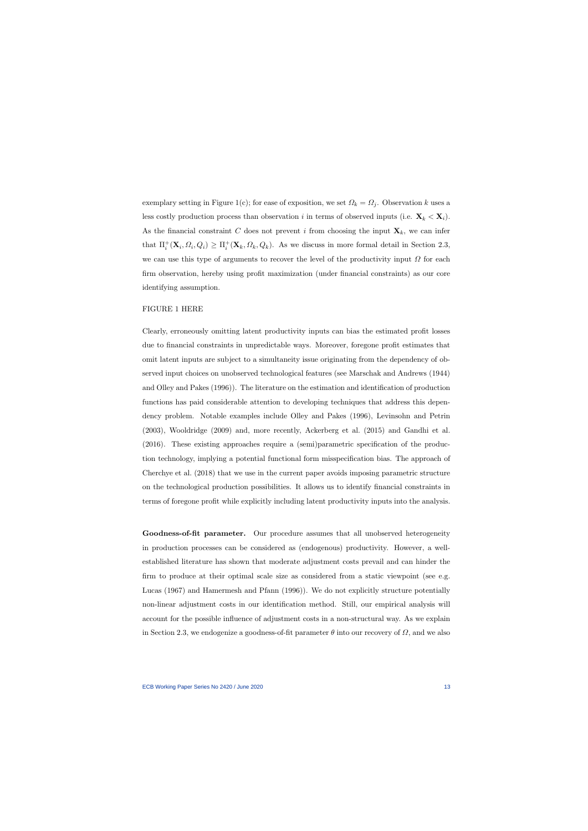exemplary setting in Figure [1\(](#page-41-0)c); for ease of exposition, we set  $\Omega_k = \Omega_j$ . Observation k uses a less costly production process than observation i in terms of observed inputs (i.e.  $\mathbf{X}_k < \mathbf{X}_i$ ). As the financial constraint C does not prevent i from choosing the input  $\mathbf{X}_k$ , we can infer that  $\Pi_i^+({\bf X}_i, \Omega_i, Q_i) \ge \Pi_i^+({\bf X}_k, \Omega_k, Q_k)$ . As we discuss in more formal detail in Section 2.3, we can use this type of arguments to recover the level of the productivity input  $\Omega$  for each firm observation, hereby using profit maximization (under financial constraints) as our core identifying assumption.

#### FIGURE [1](#page-41-0) HERE

Clearly, erroneously omitting latent productivity inputs can bias the estimated profit losses due to financial constraints in unpredictable ways. Moreover, foregone profit estimates that omit latent inputs are subject to a simultaneity issue originating from the dependency of observed input choices on unobserved technological features (see [Marschak and Andrews](#page-40-3) [\(1944\)](#page-40-3) and [Olley and Pakes](#page-40-4) [\(1996\)](#page-40-4)). The literature on the estimation and identification of production functions has paid considerable attention to developing techniques that address this dependency problem. Notable examples include [Olley and Pakes](#page-40-4) [\(1996\)](#page-40-4), [Levinsohn and Petrin](#page-40-8) [\(2003\)](#page-40-8), [Wooldridge](#page-40-9) [\(2009\)](#page-40-9) and, more recently, [Ackerberg et al.](#page-37-9) [\(2015\)](#page-37-9) and [Gandhi et al.](#page-38-7) [\(2016\)](#page-38-7). These existing approaches require a (semi)parametric specification of the production technology, implying a potential functional form misspecification bias. The approach of [Cherchye et al.](#page-38-2) [\(2018\)](#page-38-2) that we use in the current paper avoids imposing parametric structure on the technological production possibilities. It allows us to identify financial constraints in terms of foregone profit while explicitly including latent productivity inputs into the analysis.

Goodness-of-fit parameter. Our procedure assumes that all unobserved heterogeneity in production processes can be considered as (endogenous) productivity. However, a wellestablished literature has shown that moderate adjustment costs prevail and can hinder the firm to produce at their optimal scale size as considered from a static viewpoint (see e.g. [Lucas](#page-40-10) [\(1967\)](#page-40-10) and [Hamermesh and Pfann](#page-39-8) [\(1996\)](#page-39-8)). We do not explicitly structure potentially non-linear adjustment costs in our identification method. Still, our empirical analysis will account for the possible influence of adjustment costs in a non-structural way. As we explain in Section 2.3, we endogenize a goodness-of-fit parameter  $\theta$  into our recovery of  $\Omega$ , and we also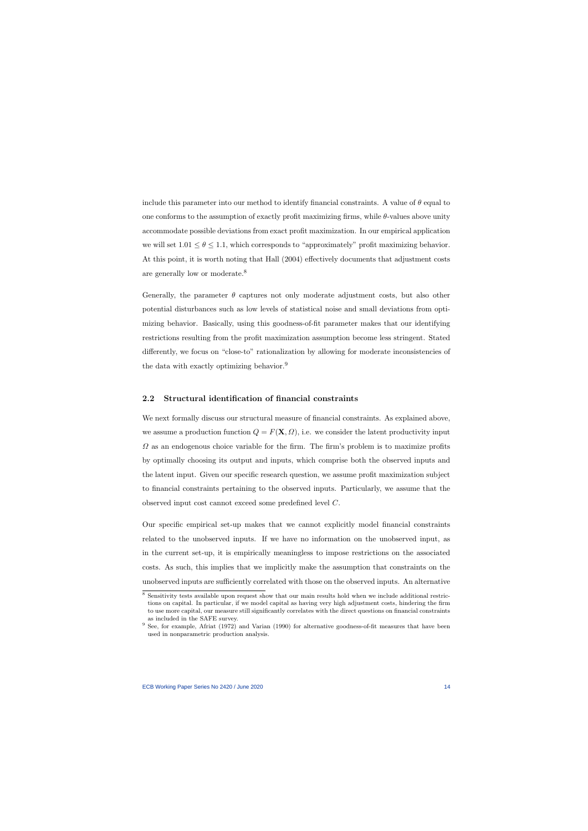include this parameter into our method to identify financial constraints. A value of  $\theta$  equal to one conforms to the assumption of exactly profit maximizing firms, while θ-values above unity accommodate possible deviations from exact profit maximization. In our empirical application we will set  $1.01 \le \theta \le 1.1$ , which corresponds to "approximately" profit maximizing behavior. At this point, it is worth noting that [Hall](#page-39-9) [\(2004\)](#page-39-9) effectively documents that adjustment costs are generally low or moderate.[8](#page-14-0)

Generally, the parameter  $\theta$  captures not only moderate adjustment costs, but also other potential disturbances such as low levels of statistical noise and small deviations from optimizing behavior. Basically, using this goodness-of-fit parameter makes that our identifying restrictions resulting from the profit maximization assumption become less stringent. Stated differently, we focus on "close-to" rationalization by allowing for moderate inconsistencies of the data with exactly optimizing behavior.<sup>[9](#page-14-1)</sup>

#### 2.2 Structural identification of financial constraints

We next formally discuss our structural measure of financial constraints. As explained above, we assume a production function  $Q = F(\mathbf{X}, \Omega)$ , i.e. we consider the latent productivity input  $\Omega$  as an endogenous choice variable for the firm. The firm's problem is to maximize profits by optimally choosing its output and inputs, which comprise both the observed inputs and the latent input. Given our specific research question, we assume profit maximization subject to financial constraints pertaining to the observed inputs. Particularly, we assume that the observed input cost cannot exceed some predefined level C.

Our specific empirical set-up makes that we cannot explicitly model financial constraints related to the unobserved inputs. If we have no information on the unobserved input, as in the current set-up, it is empirically meaningless to impose restrictions on the associated costs. As such, this implies that we implicitly make the assumption that constraints on the unobserved inputs are sufficiently correlated with those on the observed inputs. An alternative

<sup>8</sup> Sensitivity tests available upon request show that our main results hold when we include additional restrictions on capital. In particular, if we model capital as having very high adjustment costs, hindering the firm to use more capital, our measure still significantly correlates with the direct questions on financial constraints as included in the SAFE survey.

<span id="page-14-1"></span><span id="page-14-0"></span><sup>&</sup>lt;sup>9</sup> See, for example, [Afriat](#page-37-4) [\(1972\)](#page-37-4) and [Varian](#page-40-2) [\(1990\)](#page-40-2) for alternative goodness-of-fit measures that have been used in nonparametric production analysis.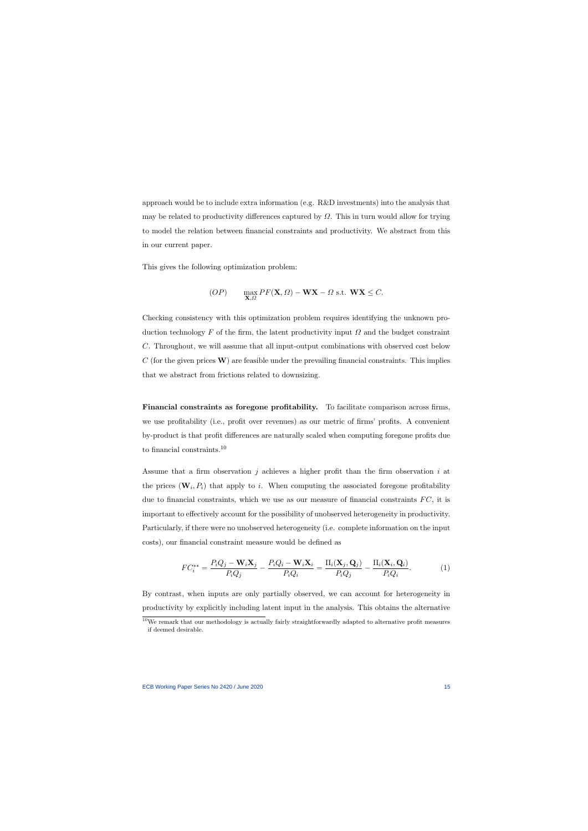approach would be to include extra information (e.g. R&D investments) into the analysis that may be related to productivity differences captured by  $\Omega$ . This in turn would allow for trying to model the relation between financial constraints and productivity. We abstract from this in our current paper.

This gives the following optimization problem:

$$
(OP) \qquad \max_{\mathbf{X}, \Omega} PF(\mathbf{X}, \Omega) - \mathbf{W} \mathbf{X} - \Omega \text{ s.t. } \mathbf{W} \mathbf{X} \le C.
$$

Checking consistency with this optimization problem requires identifying the unknown production technology F of the firm, the latent productivity input  $\Omega$  and the budget constraint C. Throughout, we will assume that all input-output combinations with observed cost below  $C$  (for the given prices  $\bf{W}$ ) are feasible under the prevailing financial constraints. This implies that we abstract from frictions related to downsizing.

Financial constraints as foregone profitability. To facilitate comparison across firms, we use profitability (i.e., profit over revenues) as our metric of firms' profits. A convenient by-product is that profit differences are naturally scaled when computing foregone profits due to financial constraints.[10](#page-15-0)

Assume that a firm observation j achieves a higher profit than the firm observation i at the prices  $(\mathbf{W}_i, P_i)$  that apply to i. When computing the associated foregone profitability due to financial constraints, which we use as our measure of financial constraints  $FC$ , it is important to effectively account for the possibility of unobserved heterogeneity in productivity. Particularly, if there were no unobserved heterogeneity (i.e. complete information on the input costs), our financial constraint measure would be defined as

$$
FC_i^{**} = \frac{P_iQ_j - \mathbf{W}_i\mathbf{X}_j}{P_iQ_j} - \frac{P_iQ_i - \mathbf{W}_i\mathbf{X}_i}{P_iQ_i} = \frac{\Pi_i(\mathbf{X}_j, \mathbf{Q}_j)}{P_iQ_j} - \frac{\Pi_i(\mathbf{X}_i, \mathbf{Q}_i)}{P_iQ_i}.
$$
(1)

By contrast, when inputs are only partially observed, we can account for heterogeneity in productivity by explicitly including latent input in the analysis. This obtains the alternative

<span id="page-15-0"></span><sup>&</sup>lt;sup>10</sup>We remark that our methodology is actually fairly straightforwardly adapted to alternative profit measures if deemed desirable.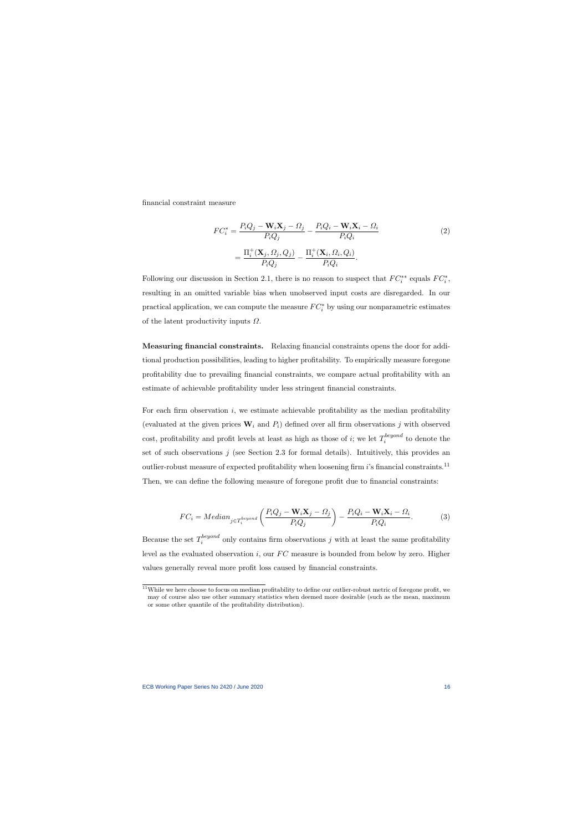financial constraint measure

$$
FC_i^* = \frac{P_iQ_j - \mathbf{W}_i\mathbf{X}_j - \Omega_j}{P_iQ_j} - \frac{P_iQ_i - \mathbf{W}_i\mathbf{X}_i - \Omega_i}{P_iQ_i}
$$
  
= 
$$
\frac{\Pi_i^+(\mathbf{X}_j, \Omega_j, Q_j)}{P_iQ_j} - \frac{\Pi_i^+(\mathbf{X}_i, \Omega_i, Q_i)}{P_iQ_i}.
$$
 (2)

Following our discussion in Section 2.1, there is no reason to suspect that  $FC^{**}_i$  equals  $FC^*_i$ , resulting in an omitted variable bias when unobserved input costs are disregarded. In our practical application, we can compute the measure  $FC_i^*$  by using our nonparametric estimates of the latent productivity inputs  $\Omega$ .

Measuring financial constraints. Relaxing financial constraints opens the door for additional production possibilities, leading to higher profitability. To empirically measure foregone profitability due to prevailing financial constraints, we compare actual profitability with an estimate of achievable profitability under less stringent financial constraints.

For each firm observation  $i$ , we estimate achievable profitability as the median profitability (evaluated at the given prices  $\mathbf{W}_i$  and  $P_i$ ) defined over all firm observations j with observed cost, profitability and profit levels at least as high as those of *i*; we let  $T_i^{beyond}$  $i^{peyona}$  to denote the set of such observations  $j$  (see Section 2.3 for formal details). Intuitively, this provides an outlier-robust measure of expected profitability when loosening firm  $i$ 's financial constraints.<sup>[11](#page-16-0)</sup> Then, we can define the following measure of foregone profit due to financial constraints:

$$
FC_i = Median_{j \in T_i^{beyond}} \left( \frac{P_i Q_j - \mathbf{W}_i \mathbf{X}_j - \Omega_j}{P_i Q_j} \right) - \frac{P_i Q_i - \mathbf{W}_i \mathbf{X}_i - \Omega_i}{P_i Q_i}.
$$
 (3)

Because the set  $T_i^{beyond}$ <sup>ocyona</sup> only contains firm observations j with at least the same profitability level as the evaluated observation i, our  $FC$  measure is bounded from below by zero. Higher values generally reveal more profit loss caused by financial constraints.

<span id="page-16-1"></span><span id="page-16-0"></span> $11$ While we here choose to focus on median profitability to define our outlier-robust metric of foregone profit, we may of course also use other summary statistics when deemed more desirable (such as the mean, maximum or some other quantile of the profitability distribution).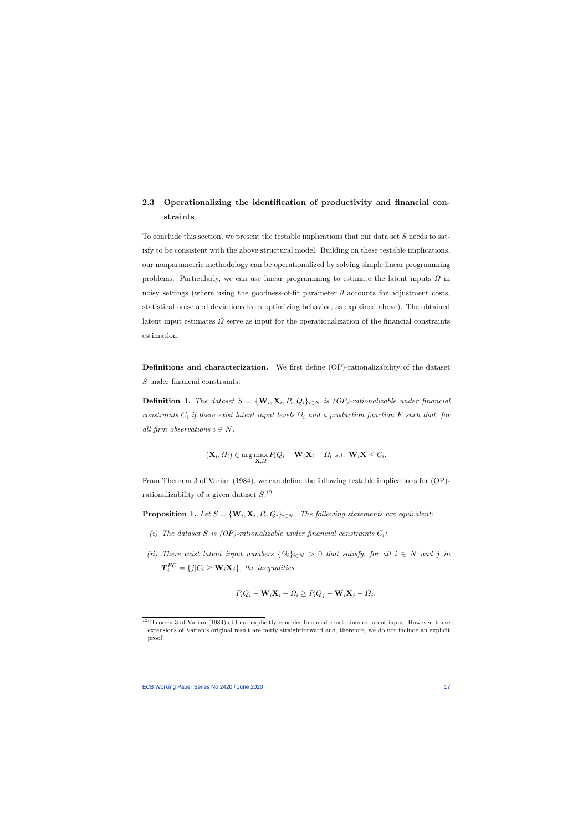# 2.3 Operationalizing the identification of productivity and financial constraints

To conclude this section, we present the testable implications that our data set S needs to satisfy to be consistent with the above structural model. Building on these testable implications, our nonparametric methodology can be operationalized by solving simple linear programming problems. Particularly, we can use linear programming to estimate the latent inputs  $\Omega$  in noisy settings (where using the goodness-of-fit parameter  $\theta$  accounts for adjustment costs, statistical noise and deviations from optimizing behavior, as explained above). The obtained latent input estimates  $\hat{\Omega}$  serve as input for the operationalization of the financial constraints estimation.

Definitions and characterization. We first define (OP)-rationalizability of the dataset S under financial constraints:

**Definition 1.** The dataset  $S = {\mathbf{W}_i, \mathbf{X}_i, P_i, Q_i}_{i \in N}$  is (OP)-rationalizable under financial constraints  $C_i$  if there exist latent input levels  $\Omega_i$  and a production function F such that, for all firm observations  $i \in N$ ,

$$
(\mathbf{X}_i, \Omega_i) \in \arg\max_{\mathbf{X}, \Omega} P_i Q_i - \mathbf{W}_i \mathbf{X}_i - \Omega_i \text{ s.t. } \mathbf{W}_i \mathbf{X} \le C_i.
$$

From Theorem 3 of [Varian](#page-40-7) [\(1984\)](#page-40-7), we can define the following testable implications for (OP) rationalizability of a given dataset  $S^{12}$  $S^{12}$  $S^{12}$ 

**Proposition 1.** Let  $S = {\mathbf{W}_i, \mathbf{X}_i, P_i, Q_i}_{i \in N}$ . The following statements are equivalent:

- (i) The dataset S is (OP)-rationalizable under financial constraints  $C_i$ ;
- (ii) There exist latent input numbers  $\{\Omega_i\}_{i\in N} > 0$  that satisfy, for all  $i \in N$  and j in  $\boldsymbol{T}_i^{FC} = \{j | C_i \geq \mathbf{W}_i \mathbf{X}_j\},\;the\; inequalities$

$$
P_iQ_i - \mathbf{W}_i\mathbf{X}_i - \Omega_i \ge P_iQ_j - \mathbf{W}_i\mathbf{X}_j - \Omega_j.
$$

<span id="page-17-1"></span><span id="page-17-0"></span><sup>&</sup>lt;sup>12</sup>Theorem 3 of [Varian](#page-40-7) [\(1984\)](#page-40-7) did not explicitly consider financial constraints or latent input. However, these extensions of Varian's original result are fairly straightforward and, therefore, we do not include an explicit proof.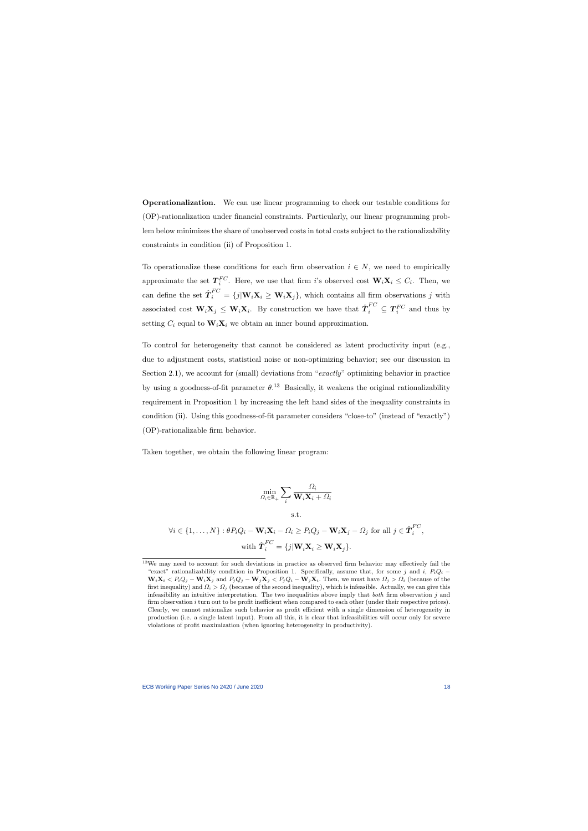Operationalization. We can use linear programming to check our testable conditions for (OP)-rationalization under financial constraints. Particularly, our linear programming problem below minimizes the share of unobserved costs in total costs subject to the rationalizability constraints in condition (ii) of Proposition [1.](#page-17-1)

To operationalize these conditions for each firm observation  $i \in N$ , we need to empirically approximate the set  $T_i^{FC}$ . Here, we use that firm i's observed cost  $\mathbf{W}_i \mathbf{X}_i \leq C_i$ . Then, we can define the set  $\hat{T}_i^{FC} = \{j | \mathbf{W}_i \mathbf{X}_i \geq \mathbf{W}_i \mathbf{X}_j\}$ , which contains all firm observations j with associated cost  $\mathbf{W}_i \mathbf{X}_j \leq \mathbf{W}_i \mathbf{X}_i$ . By construction we have that  $\hat{\boldsymbol{T}}_i^{FC} \subseteq \boldsymbol{T}_i^{FC}$  and thus by setting  $C_i$  equal to  $\mathbf{W}_i \mathbf{X}_i$  we obtain an inner bound approximation.

To control for heterogeneity that cannot be considered as latent productivity input (e.g., due to adjustment costs, statistical noise or non-optimizing behavior; see our discussion in Section 2.1), we account for (small) deviations from "exactly" optimizing behavior in practice by using a goodness-of-fit parameter  $\theta$ .<sup>[13](#page-18-0)</sup> Basically, it weakens the original rationalizability requirement in Proposition [1](#page-17-1) by increasing the left hand sides of the inequality constraints in condition (ii). Using this goodness-of-fit parameter considers "close-to" (instead of "exactly") (OP)-rationalizable firm behavior.

Taken together, we obtain the following linear program:

$$
\min_{\Omega_i \in \mathbb{R}_+} \sum_i \frac{\Omega_i}{\mathbf{W}_i \mathbf{X}_i + \Omega_i}
$$
\ns.t.  
\n
$$
\forall i \in \{1, ..., N\} : \theta P_i Q_i - \mathbf{W}_i \mathbf{X}_i - \Omega_i \ge P_i Q_j - \mathbf{W}_i \mathbf{X}_j - \Omega_j \text{ for all } j \in \hat{\mathbf{T}}_i^{FC},
$$
\nwith  $\hat{\mathbf{T}}_i^{FC} = \{j | \mathbf{W}_i \mathbf{X}_i \ge \mathbf{W}_i \mathbf{X}_j\}.$ 

<span id="page-18-0"></span><sup>&</sup>lt;sup>13</sup>We may need to account for such deviations in practice as observed firm behavior may effectively fail the "exact" rationalizability condition in Proposition [1.](#page-17-1) Specifically, assume that, for some j and i,  $P_iQ_i \mathbf{W}_i \mathbf{X}_i < P_i Q_j - \mathbf{W}_i \mathbf{X}_j$  and  $P_j Q_j - \mathbf{W}_j \mathbf{X}_j < P_j Q_i - \mathbf{W}_j \mathbf{X}_i$ . Then, we must have  $\Omega_j > \Omega_i$  (because of the first inequality) and  $\Omega_i > \Omega_j$  (because of the second inequality), which is infeasible. Actually, we can give this infeasibility an intuitive interpretation. The two inequalities above imply that both firm observation j and firm observation i turn out to be profit inefficient when compared to each other (under their respective prices). Clearly, we cannot rationalize such behavior as profit efficient with a single dimension of heterogeneity in production (i.e. a single latent input). From all this, it is clear that infeasibilities will occur only for severe violations of profit maximization (when ignoring heterogeneity in productivity).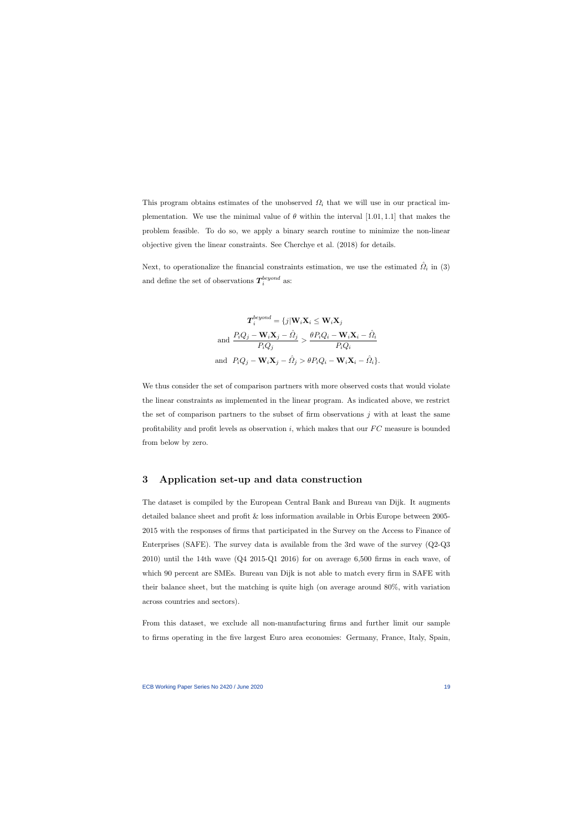This program obtains estimates of the unobserved  $\Omega_i$  that we will use in our practical implementation. We use the minimal value of  $\theta$  within the interval [1.01, 1.1] that makes the problem feasible. To do so, we apply a binary search routine to minimize the non-linear objective given the linear constraints. See [Cherchye et al.](#page-38-2) [\(2018\)](#page-38-2) for details.

Next, to operationalize the financial constraints estimation, we use the estimated  $\hat{\Omega}_i$  in [\(3\)](#page-16-1) and define the set of observations  $T_i^{beyond}$  $\frac{beyona}{i}$  as:

$$
\boldsymbol{T}_{i}^{beyond} = \{j | \mathbf{W}_{i} \mathbf{X}_{i} \leq \mathbf{W}_{i} \mathbf{X}_{j}
$$
\n
$$
\text{and } \frac{P_{i} Q_{j} - \mathbf{W}_{i} \mathbf{X}_{j} - \hat{\Omega}_{j}}{P_{i} Q_{j}} > \frac{\theta P_{i} Q_{i} - \mathbf{W}_{i} \mathbf{X}_{i} - \hat{\Omega}_{i}}{P_{i} Q_{i}}
$$
\n
$$
\text{and } P_{i} Q_{j} - \mathbf{W}_{i} \mathbf{X}_{j} - \hat{\Omega}_{j} > \theta P_{i} Q_{i} - \mathbf{W}_{i} \mathbf{X}_{i} - \hat{\Omega}_{i} \}.
$$

We thus consider the set of comparison partners with more observed costs that would violate the linear constraints as implemented in the linear program. As indicated above, we restrict the set of comparison partners to the subset of firm observations  $j$  with at least the same profitability and profit levels as observation  $i$ , which makes that our  $FC$  measure is bounded from below by zero.

### 3 Application set-up and data construction

The dataset is compiled by the European Central Bank and Bureau van Dijk. It augments detailed balance sheet and profit & loss information available in Orbis Europe between 2005- 2015 with the responses of firms that participated in the Survey on the Access to Finance of Enterprises (SAFE). The survey data is available from the 3rd wave of the survey (Q2-Q3 2010) until the 14th wave (Q4 2015-Q1 2016) for on average 6,500 firms in each wave, of which 90 percent are SMEs. Bureau van Dijk is not able to match every firm in SAFE with their balance sheet, but the matching is quite high (on average around 80%, with variation across countries and sectors).

From this dataset, we exclude all non-manufacturing firms and further limit our sample to firms operating in the five largest Euro area economies: Germany, France, Italy, Spain,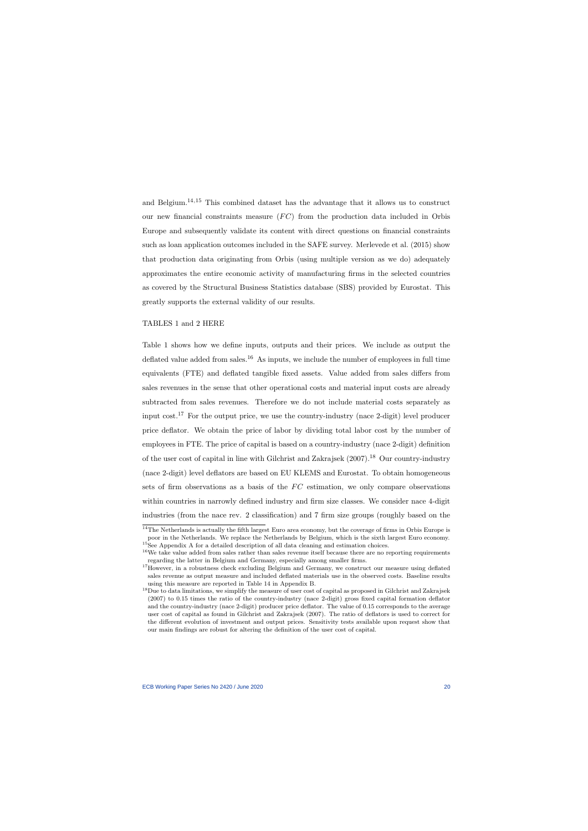and Belgium.<sup>[14](#page-20-0),[15](#page-20-1)</sup> This combined dataset has the advantage that it allows us to construct our new financial constraints measure  $(FC)$  from the production data included in Orbis Europe and subsequently validate its content with direct questions on financial constraints such as loan application outcomes included in the SAFE survey. [Merlevede et al.](#page-40-11) [\(2015\)](#page-40-11) show that production data originating from Orbis (using multiple version as we do) adequately approximates the entire economic activity of manufacturing firms in the selected countries as covered by the Structural Business Statistics database (SBS) provided by Eurostat. This greatly supports the external validity of our results.

#### TABLES [1](#page-45-0) and [2](#page-46-0) HERE

Table [1](#page-45-0) shows how we define inputs, outputs and their prices. We include as output the deflated value added from sales.<sup>[16](#page-20-2)</sup> As inputs, we include the number of employees in full time equivalents (FTE) and deflated tangible fixed assets. Value added from sales differs from sales revenues in the sense that other operational costs and material input costs are already subtracted from sales revenues. Therefore we do not include material costs separately as input cost.<sup>[17](#page-20-3)</sup> For the output price, we use the country-industry (nace 2-digit) level producer price deflator. We obtain the price of labor by dividing total labor cost by the number of employees in FTE. The price of capital is based on a country-industry (nace 2-digit) definition of the user cost of capital in line with [Gilchrist and Zakrajsek](#page-39-10)  $(2007).<sup>18</sup>$  $(2007).<sup>18</sup>$  $(2007).<sup>18</sup>$  $(2007).<sup>18</sup>$  Our country-industry (nace 2-digit) level deflators are based on EU KLEMS and Eurostat. To obtain homogeneous sets of firm observations as a basis of the  $FC$  estimation, we only compare observations within countries in narrowly defined industry and firm size classes. We consider nace 4-digit industries (from the nace rev. 2 classification) and 7 firm size groups (roughly based on the

<sup>&</sup>lt;sup>14</sup>The Netherlands is actually the fifth largest Euro area economy, but the coverage of firms in Orbis Europe is poor in the Netherlands. We replace the Netherlands by Belgium, which is the sixth largest Euro economy.  ${}^{15}$ See Appendix A for a detailed description of all data cleaning and estimation choices.

<sup>&</sup>lt;sup>16</sup>We take value added from sales rather than sales revenue itself because there are no reporting requirements regarding the latter in Belgium and Germany, especially among smaller firms.

<sup>&</sup>lt;sup>17</sup>However, in a robustness check excluding Belgium and Germany, we construct our measure using deflated sales revenue as output measure and included deflated materials use in the observed costs. Baseline results using this measure are reported in Table [14](#page-60-0) in Appendix B.

<span id="page-20-4"></span><span id="page-20-3"></span><span id="page-20-2"></span><span id="page-20-1"></span><span id="page-20-0"></span><sup>&</sup>lt;sup>18</sup>Due to data limitations, we simplify the measure of user cost of capital as proposed in [Gilchrist and Zakrajsek](#page-39-10) [\(2007\)](#page-39-10) to 0.15 times the ratio of the country-industry (nace 2-digit) gross fixed capital formation deflator and the country-industry (nace 2-digit) producer price deflator. The value of 0.15 corresponds to the average user cost of capital as found in [Gilchrist and Zakrajsek](#page-39-10) [\(2007\)](#page-39-10). The ratio of deflators is used to correct for the different evolution of investment and output prices. Sensitivity tests available upon request show that our main findings are robust for altering the definition of the user cost of capital.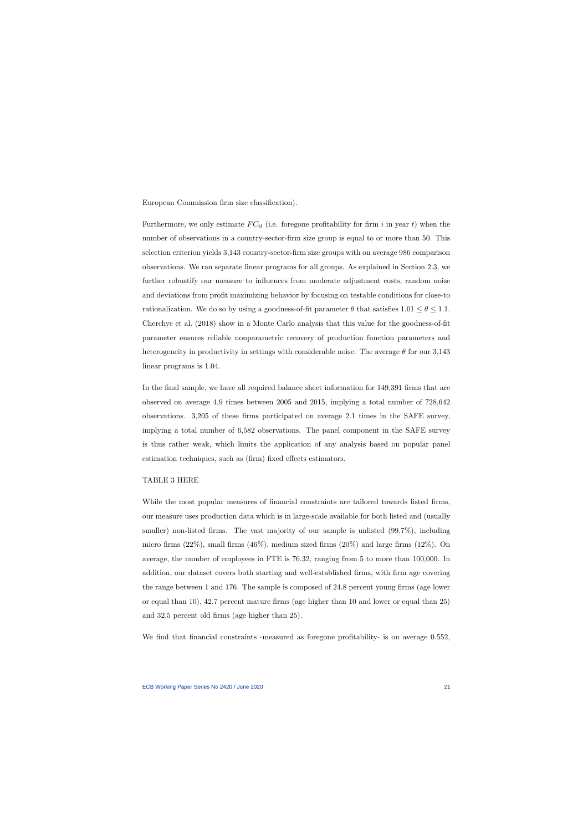European Commission firm size classification).

Furthermore, we only estimate  $FC_{it}$  (i.e. foregone profitability for firm i in year t) when the number of observations in a country-sector-firm size group is equal to or more than 50. This selection criterion yields 3,143 country-sector-firm size groups with on average 986 comparison observations. We ran separate linear programs for all groups. As explained in Section 2.3, we further robustify our measure to influences from moderate adjustment costs, random noise and deviations from profit maximizing behavior by focusing on testable conditions for close-to rationalization. We do so by using a goodness-of-fit parameter  $\theta$  that satisfies  $1.01 \le \theta \le 1.1$ . [Cherchye et al.](#page-38-2) [\(2018\)](#page-38-2) show in a Monte Carlo analysis that this value for the goodness-of-fit parameter ensures reliable nonparametric recovery of production function parameters and heterogeneity in productivity in settings with considerable noise. The average  $\theta$  for our 3,143 linear programs is 1.04.

In the final sample, we have all required balance sheet information for 149,391 firms that are observed on average 4,9 times between 2005 and 2015, implying a total number of 728,642 observations. 3,205 of these firms participated on average 2.1 times in the SAFE survey, implying a total number of 6,582 observations. The panel component in the SAFE survey is thus rather weak, which limits the application of any analysis based on popular panel estimation techniques, such as (firm) fixed effects estimators.

#### TABLE [3](#page-47-0) HERE

While the most popular measures of financial constraints are tailored towards listed firms, our measure uses production data which is in large-scale available for both listed and (usually smaller) non-listed firms. The vast majority of our sample is unlisted  $(99,7\%)$ , including micro firms  $(22\%)$ , small firms  $(46\%)$ , medium sized firms  $(20\%)$  and large firms  $(12\%)$ . On average, the number of employees in FTE is 76.32, ranging from 5 to more than 100,000. In addition, our dataset covers both starting and well-established firms, with firm age covering the range between 1 and 176. The sample is composed of 24.8 percent young firms (age lower or equal than 10), 42.7 percent mature firms (age higher than 10 and lower or equal than 25) and 32.5 percent old firms (age higher than 25).

We find that financial constraints -measured as foregone profitability- is on average 0.552,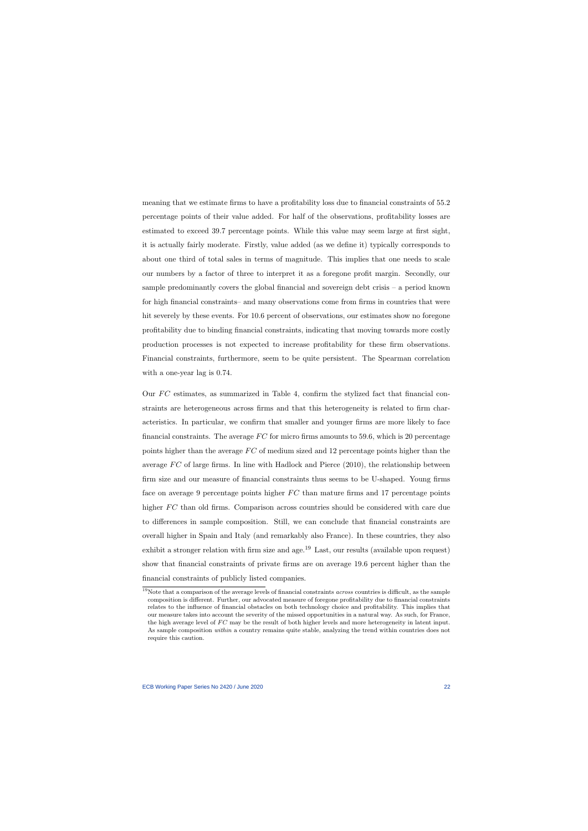meaning that we estimate firms to have a profitability loss due to financial constraints of 55.2 percentage points of their value added. For half of the observations, profitability losses are estimated to exceed 39.7 percentage points. While this value may seem large at first sight, it is actually fairly moderate. Firstly, value added (as we define it) typically corresponds to about one third of total sales in terms of magnitude. This implies that one needs to scale our numbers by a factor of three to interpret it as a foregone profit margin. Secondly, our sample predominantly covers the global financial and sovereign debt crisis – a period known for high financial constraints– and many observations come from firms in countries that were hit severely by these events. For 10.6 percent of observations, our estimates show no foregone profitability due to binding financial constraints, indicating that moving towards more costly production processes is not expected to increase profitability for these firm observations. Financial constraints, furthermore, seem to be quite persistent. The Spearman correlation with a one-year lag is 0.74.

Our  $FC$  estimates, as summarized in Table [4,](#page-48-0) confirm the stylized fact that financial constraints are heterogeneous across firms and that this heterogeneity is related to firm characteristics. In particular, we confirm that smaller and younger firms are more likely to face financial constraints. The average  $FC$  for micro firms amounts to 59.6, which is 20 percentage points higher than the average  $FC$  of medium sized and 12 percentage points higher than the average  $FC$  of large firms. In line with [Hadlock and Pierce](#page-39-1) [\(2010\)](#page-39-1), the relationship between firm size and our measure of financial constraints thus seems to be U-shaped. Young firms face on average 9 percentage points higher  $FC$  than mature firms and 17 percentage points higher FC than old firms. Comparison across countries should be considered with care due to differences in sample composition. Still, we can conclude that financial constraints are overall higher in Spain and Italy (and remarkably also France). In these countries, they also exhibit a stronger relation with firm size and age.<sup>[19](#page-22-0)</sup> Last, our results (available upon request) show that financial constraints of private firms are on average 19.6 percent higher than the financial constraints of publicly listed companies.

<span id="page-22-0"></span><sup>&</sup>lt;sup>19</sup>Note that a comparison of the average levels of financial constraints *across* countries is difficult, as the sample composition is different. Further, our advocated measure of foregone profitability due to financial constraints relates to the influence of financial obstacles on both technology choice and profitability. This implies that our measure takes into account the severity of the missed opportunities in a natural way. As such, for France, the high average level of  $FC$  may be the result of both higher levels and more heterogeneity in latent input. As sample composition within a country remains quite stable, analyzing the trend within countries does not require this caution.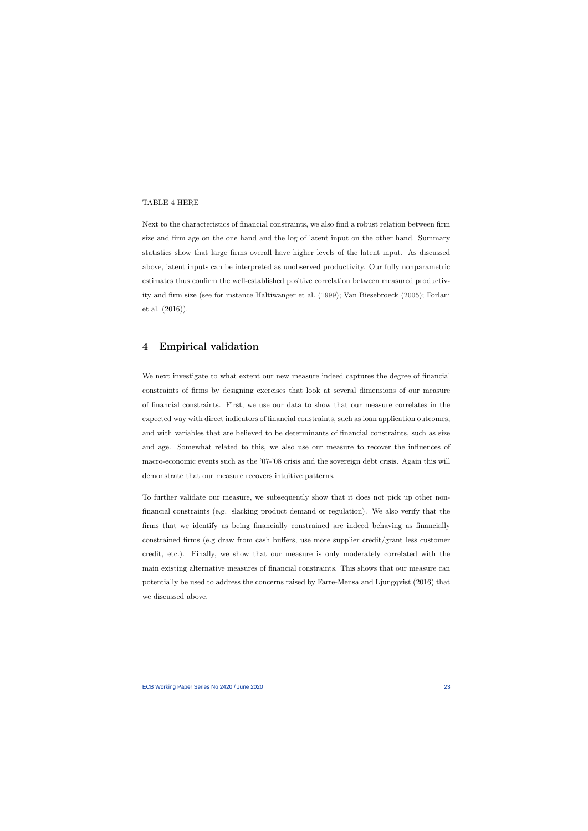#### TABLE [4](#page-48-0) HERE

Next to the characteristics of financial constraints, we also find a robust relation between firm size and firm age on the one hand and the log of latent input on the other hand. Summary statistics show that large firms overall have higher levels of the latent input. As discussed above, latent inputs can be interpreted as unobserved productivity. Our fully nonparametric estimates thus confirm the well-established positive correlation between measured productivity and firm size (see for instance [Haltiwanger et al.](#page-39-11) [\(1999\)](#page-39-11); [Van Biesebroeck](#page-40-12) [\(2005\)](#page-40-12); [Forlani](#page-38-8) [et al.](#page-38-8) [\(2016\)](#page-38-8)).

# 4 Empirical validation

We next investigate to what extent our new measure indeed captures the degree of financial constraints of firms by designing exercises that look at several dimensions of our measure of financial constraints. First, we use our data to show that our measure correlates in the expected way with direct indicators of financial constraints, such as loan application outcomes, and with variables that are believed to be determinants of financial constraints, such as size and age. Somewhat related to this, we also use our measure to recover the influences of macro-economic events such as the '07-'08 crisis and the sovereign debt crisis. Again this will demonstrate that our measure recovers intuitive patterns.

To further validate our measure, we subsequently show that it does not pick up other nonfinancial constraints (e.g. slacking product demand or regulation). We also verify that the firms that we identify as being financially constrained are indeed behaving as financially constrained firms (e.g draw from cash buffers, use more supplier credit/grant less customer credit, etc.). Finally, we show that our measure is only moderately correlated with the main existing alternative measures of financial constraints. This shows that our measure can potentially be used to address the concerns raised by [Farre-Mensa and Ljungqvist](#page-38-1) [\(2016\)](#page-38-1) that we discussed above.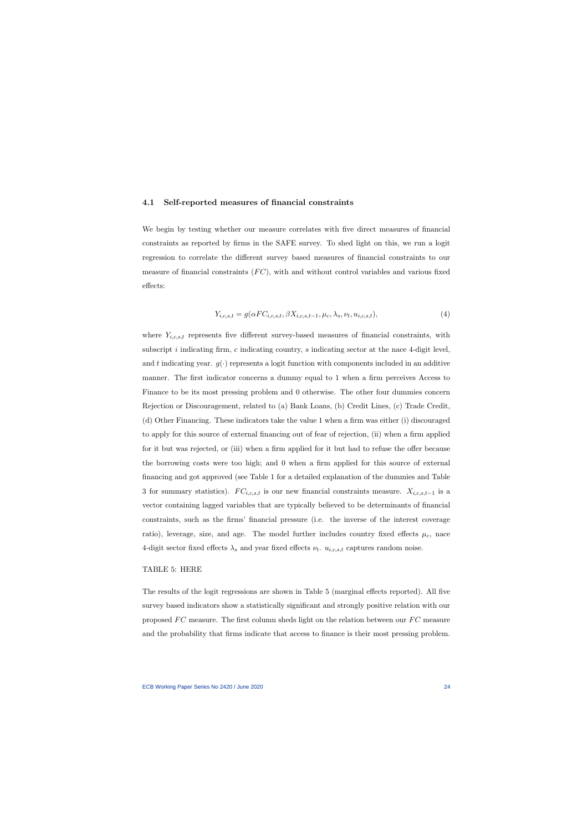#### 4.1 Self-reported measures of financial constraints

We begin by testing whether our measure correlates with five direct measures of financial constraints as reported by firms in the SAFE survey. To shed light on this, we run a logit regression to correlate the different survey based measures of financial constraints to our measure of financial constraints  $(FC)$ , with and without control variables and various fixed effects:

$$
Y_{i,c,s,t} = g(\alpha F C_{i,c,s,t}, \beta X_{i,c,s,t-1}, \mu_c, \lambda_s, \nu_t, u_{i,c,s,t}),
$$
\n(4)

where  $Y_{i,c,s,t}$  represents five different survey-based measures of financial constraints, with subscript  $i$  indicating firm,  $c$  indicating country,  $s$  indicating sector at the nace 4-digit level, and t indicating year.  $g(\cdot)$  represents a logit function with components included in an additive manner. The first indicator concerns a dummy equal to 1 when a firm perceives Access to Finance to be its most pressing problem and 0 otherwise. The other four dummies concern Rejection or Discouragement, related to (a) Bank Loans, (b) Credit Lines, (c) Trade Credit, (d) Other Financing. These indicators take the value 1 when a firm was either (i) discouraged to apply for this source of external financing out of fear of rejection, (ii) when a firm applied for it but was rejected, or (iii) when a firm applied for it but had to refuse the offer because the borrowing costs were too high; and 0 when a firm applied for this source of external financing and got approved (see Table [1](#page-45-0) for a detailed explanation of the dummies and Table [3](#page-47-0) for summary statistics).  $FC_{i,c,s,t}$  is our new financial constraints measure.  $X_{i,c,s,t-1}$  is a vector containing lagged variables that are typically believed to be determinants of financial constraints, such as the firms' financial pressure (i.e. the inverse of the interest coverage ratio), leverage, size, and age. The model further includes country fixed effects  $\mu_c$ , nace 4-digit sector fixed effects  $\lambda_s$  and year fixed effects  $\nu_t$ .  $u_{i,c,s,t}$  captures random noise.

#### TABLE [5:](#page-49-0) HERE

The results of the logit regressions are shown in Table [5](#page-49-0) (marginal effects reported). All five survey based indicators show a statistically significant and strongly positive relation with our proposed  $FC$  measure. The first column sheds light on the relation between our  $FC$  measure and the probability that firms indicate that access to finance is their most pressing problem.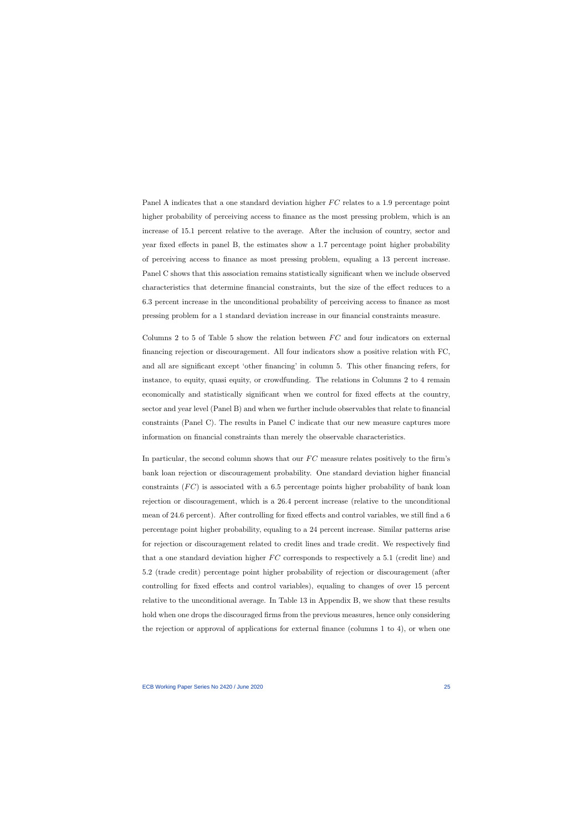Panel A indicates that a one standard deviation higher  $FC$  relates to a 1.9 percentage point higher probability of perceiving access to finance as the most pressing problem, which is an increase of 15.1 percent relative to the average. After the inclusion of country, sector and year fixed effects in panel B, the estimates show a 1.7 percentage point higher probability of perceiving access to finance as most pressing problem, equaling a 13 percent increase. Panel C shows that this association remains statistically significant when we include observed characteristics that determine financial constraints, but the size of the effect reduces to a 6.3 percent increase in the unconditional probability of perceiving access to finance as most pressing problem for a 1 standard deviation increase in our financial constraints measure.

Columns 2 to [5](#page-49-0) of Table 5 show the relation between  $FC$  and four indicators on external financing rejection or discouragement. All four indicators show a positive relation with FC, and all are significant except 'other financing' in column 5. This other financing refers, for instance, to equity, quasi equity, or crowdfunding. The relations in Columns 2 to 4 remain economically and statistically significant when we control for fixed effects at the country, sector and year level (Panel B) and when we further include observables that relate to financial constraints (Panel C). The results in Panel C indicate that our new measure captures more information on financial constraints than merely the observable characteristics.

In particular, the second column shows that our  $FC$  measure relates positively to the firm's bank loan rejection or discouragement probability. One standard deviation higher financial constraints  $(FC)$  is associated with a 6.5 percentage points higher probability of bank loan rejection or discouragement, which is a 26.4 percent increase (relative to the unconditional mean of 24.6 percent). After controlling for fixed effects and control variables, we still find a 6 percentage point higher probability, equaling to a 24 percent increase. Similar patterns arise for rejection or discouragement related to credit lines and trade credit. We respectively find that a one standard deviation higher  $FC$  corresponds to respectively a 5.1 (credit line) and 5.2 (trade credit) percentage point higher probability of rejection or discouragement (after controlling for fixed effects and control variables), equaling to changes of over 15 percent relative to the unconditional average. In Table [13](#page-59-0) in Appendix B, we show that these results hold when one drops the discouraged firms from the previous measures, hence only considering the rejection or approval of applications for external finance (columns 1 to 4), or when one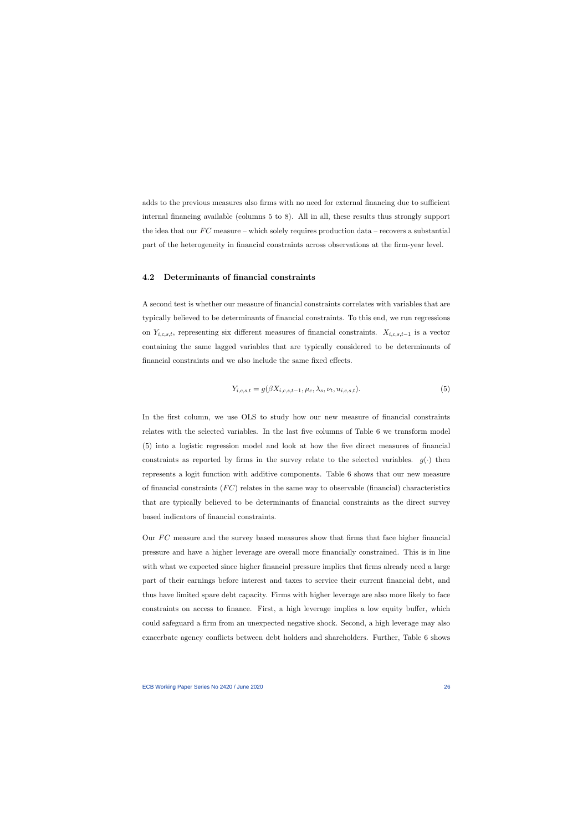adds to the previous measures also firms with no need for external financing due to sufficient internal financing available (columns 5 to 8). All in all, these results thus strongly support the idea that our  $FC$  measure – which solely requires production data – recovers a substantial part of the heterogeneity in financial constraints across observations at the firm-year level.

#### 4.2 Determinants of financial constraints

A second test is whether our measure of financial constraints correlates with variables that are typically believed to be determinants of financial constraints. To this end, we run regressions on  $Y_{i,c,s,t}$ , representing six different measures of financial constraints.  $X_{i,c,s,t-1}$  is a vector containing the same lagged variables that are typically considered to be determinants of financial constraints and we also include the same fixed effects.

$$
Y_{i,c,s,t} = g(\beta X_{i,c,s,t-1}, \mu_c, \lambda_s, \nu_t, u_{i,c,s,t}).
$$
\n(5)

In the first column, we use OLS to study how our new measure of financial constraints relates with the selected variables. In the last five columns of Table [6](#page-50-0) we transform model [\(5\)](#page-26-0) into a logistic regression model and look at how the five direct measures of financial constraints as reported by firms in the survey relate to the selected variables.  $g(\cdot)$  then represents a logit function with additive components. Table [6](#page-50-0) shows that our new measure of financial constraints  $(FC)$  relates in the same way to observable (financial) characteristics that are typically believed to be determinants of financial constraints as the direct survey based indicators of financial constraints.

<span id="page-26-0"></span>Our FC measure and the survey based measures show that firms that face higher financial pressure and have a higher leverage are overall more financially constrained. This is in line with what we expected since higher financial pressure implies that firms already need a large part of their earnings before interest and taxes to service their current financial debt, and thus have limited spare debt capacity. Firms with higher leverage are also more likely to face constraints on access to finance. First, a high leverage implies a low equity buffer, which could safeguard a firm from an unexpected negative shock. Second, a high leverage may also exacerbate agency conflicts between debt holders and shareholders. Further, Table [6](#page-50-0) shows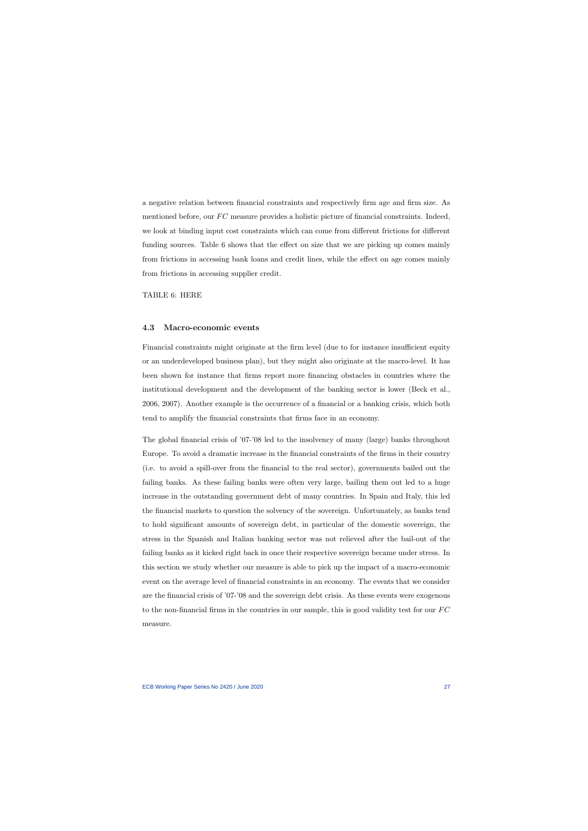a negative relation between financial constraints and respectively firm age and firm size. As mentioned before, our  $FC$  measure provides a holistic picture of financial constraints. Indeed, we look at binding input cost constraints which can come from different frictions for different funding sources. Table [6](#page-50-0) shows that the effect on size that we are picking up comes mainly from frictions in accessing bank loans and credit lines, while the effect on age comes mainly from frictions in accessing supplier credit.

TABLE [6:](#page-50-0) HERE

#### 4.3 Macro-economic events

Financial constraints might originate at the firm level (due to for instance insufficient equity or an underdeveloped business plan), but they might also originate at the macro-level. It has been shown for instance that firms report more financing obstacles in countries where the institutional development and the development of the banking sector is lower [\(Beck et al.,](#page-37-10) [2006,](#page-37-10) [2007\)](#page-37-11). Another example is the occurrence of a financial or a banking crisis, which both tend to amplify the financial constraints that firms face in an economy.

The global financial crisis of '07-'08 led to the insolvency of many (large) banks throughout Europe. To avoid a dramatic increase in the financial constraints of the firms in their country (i.e. to avoid a spill-over from the financial to the real sector), governments bailed out the failing banks. As these failing banks were often very large, bailing them out led to a huge increase in the outstanding government debt of many countries. In Spain and Italy, this led the financial markets to question the solvency of the sovereign. Unfortunately, as banks tend to hold significant amounts of sovereign debt, in particular of the domestic sovereign, the stress in the Spanish and Italian banking sector was not relieved after the bail-out of the failing banks as it kicked right back in once their respective sovereign became under stress. In this section we study whether our measure is able to pick up the impact of a macro-economic event on the average level of financial constraints in an economy. The events that we consider are the financial crisis of '07-'08 and the sovereign debt crisis. As these events were exogenous to the non-financial firms in the countries in our sample, this is good validity test for our  $FC$ measure.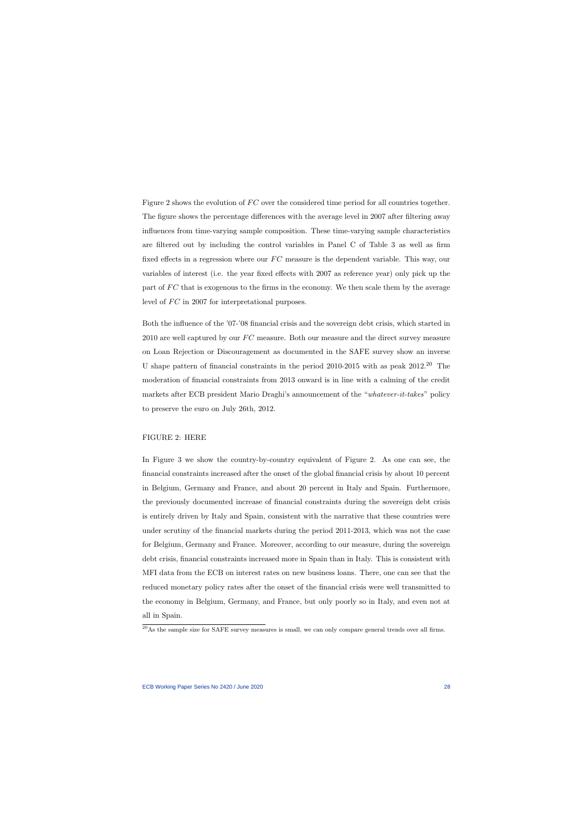Figure [2](#page-42-0) shows the evolution of  $FC$  over the considered time period for all countries together. The figure shows the percentage differences with the average level in 2007 after filtering away influences from time-varying sample composition. These time-varying sample characteristics are filtered out by including the control variables in Panel C of Table [3](#page-47-0) as well as firm fixed effects in a regression where our  $FC$  measure is the dependent variable. This way, our variables of interest (i.e. the year fixed effects with 2007 as reference year) only pick up the part of  $FC$  that is exogenous to the firms in the economy. We then scale them by the average level of  $FC$  in 2007 for interpretational purposes.

Both the influence of the '07-'08 financial crisis and the sovereign debt crisis, which started in  $2010$  are well captured by our  $FC$  measure. Both our measure and the direct survey measure on Loan Rejection or Discouragement as documented in the SAFE survey show an inverse U shape pattern of financial constraints in the period 2010-2015 with as peak 2012.[20](#page-28-0) The moderation of financial constraints from 2013 onward is in line with a calming of the credit markets after ECB president Mario Draghi's announcement of the "whatever-it-takes" policy to preserve the euro on July 26th, 2012.

#### FIGURE [2:](#page-42-0) HERE

In Figure [3](#page-43-0) we show the country-by-country equivalent of Figure [2.](#page-42-0) As one can see, the financial constraints increased after the onset of the global financial crisis by about 10 percent in Belgium, Germany and France, and about 20 percent in Italy and Spain. Furthermore, the previously documented increase of financial constraints during the sovereign debt crisis is entirely driven by Italy and Spain, consistent with the narrative that these countries were under scrutiny of the financial markets during the period 2011-2013, which was not the case for Belgium, Germany and France. Moreover, according to our measure, during the sovereign debt crisis, financial constraints increased more in Spain than in Italy. This is consistent with MFI data from the ECB on interest rates on new business loans. There, one can see that the reduced monetary policy rates after the onset of the financial crisis were well transmitted to the economy in Belgium, Germany, and France, but only poorly so in Italy, and even not at all in Spain.

<span id="page-28-0"></span> $^{20}\text{As}$  the sample size for SAFE survey measures is small, we can only compare general trends over all firms.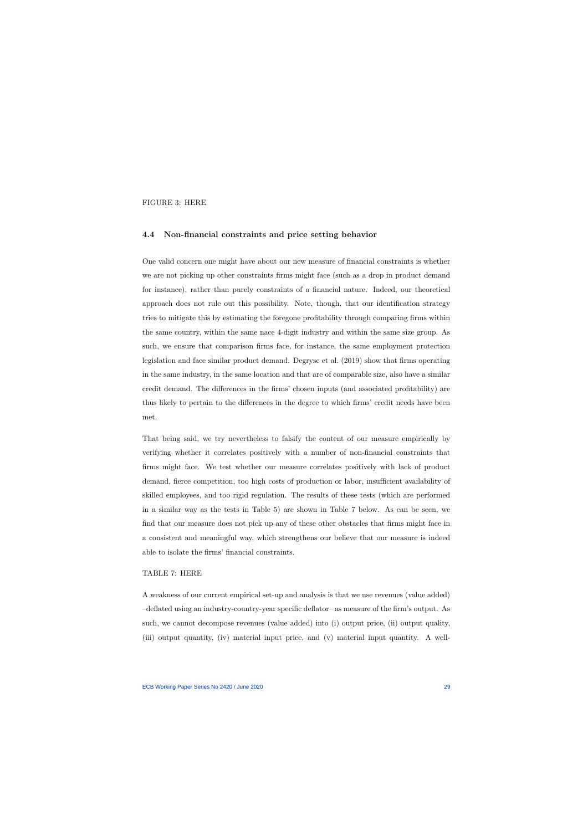FIGURE [3:](#page-43-0) HERE

#### 4.4 Non-financial constraints and price setting behavior

One valid concern one might have about our new measure of financial constraints is whether we are not picking up other constraints firms might face (such as a drop in product demand for instance), rather than purely constraints of a financial nature. Indeed, our theoretical approach does not rule out this possibility. Note, though, that our identification strategy tries to mitigate this by estimating the foregone profitability through comparing firms within the same country, within the same nace 4-digit industry and within the same size group. As such, we ensure that comparison firms face, for instance, the same employment protection legislation and face similar product demand. [Degryse et al.](#page-38-9) [\(2019\)](#page-38-9) show that firms operating in the same industry, in the same location and that are of comparable size, also have a similar credit demand. The differences in the firms' chosen inputs (and associated profitability) are thus likely to pertain to the differences in the degree to which firms' credit needs have been met.

That being said, we try nevertheless to falsify the content of our measure empirically by verifying whether it correlates positively with a number of non-financial constraints that firms might face. We test whether our measure correlates positively with lack of product demand, fierce competition, too high costs of production or labor, insufficient availability of skilled employees, and too rigid regulation. The results of these tests (which are performed in a similar way as the tests in Table [5\)](#page-49-0) are shown in Table [7](#page-52-0) below. As can be seen, we find that our measure does not pick up any of these other obstacles that firms might face in a consistent and meaningful way, which strengthens our believe that our measure is indeed able to isolate the firms' financial constraints.

#### TABLE [7:](#page-52-0) HERE

A weakness of our current empirical set-up and analysis is that we use revenues (value added) –deflated using an industry-country-year specific deflator– as measure of the firm's output. As such, we cannot decompose revenues (value added) into (i) output price, (ii) output quality, (iii) output quantity, (iv) material input price, and (v) material input quantity. A well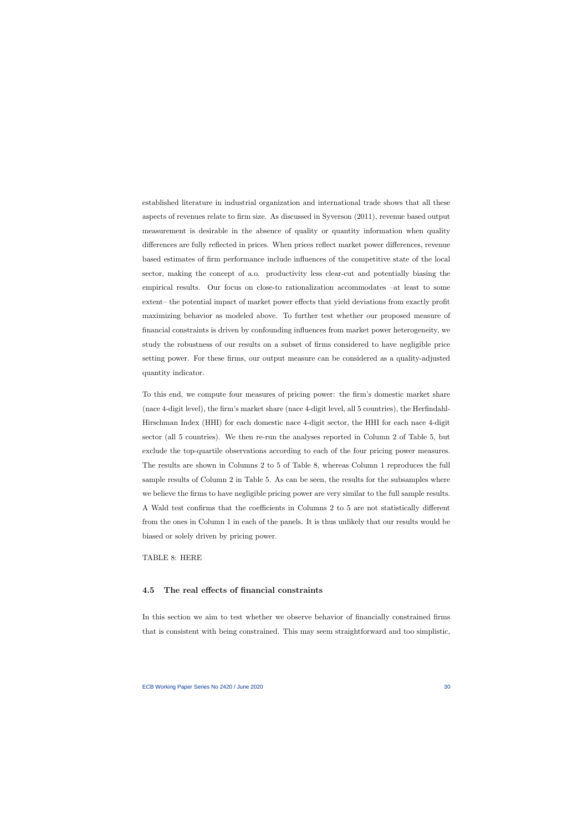established literature in industrial organization and international trade shows that all these aspects of revenues relate to firm size. As discussed in [Syverson](#page-40-13) [\(2011\)](#page-40-13), revenue based output measurement is desirable in the absence of quality or quantity information when quality differences are fully reflected in prices. When prices reflect market power differences, revenue based estimates of firm performance include influences of the competitive state of the local sector, making the concept of a.o. productivity less clear-cut and potentially biasing the empirical results. Our focus on close-to rationalization accommodates –at least to some extent– the potential impact of market power effects that yield deviations from exactly profit maximizing behavior as modeled above. To further test whether our proposed measure of financial constraints is driven by confounding influences from market power heterogeneity, we study the robustness of our results on a subset of firms considered to have negligible price setting power. For these firms, our output measure can be considered as a quality-adjusted quantity indicator.

To this end, we compute four measures of pricing power: the firm's domestic market share (nace 4-digit level), the firm's market share (nace 4-digit level, all 5 countries), the Herfindahl-Hirschman Index (HHI) for each domestic nace 4-digit sector, the HHI for each nace 4-digit sector (all 5 countries). We then re-run the analyses reported in Column 2 of Table [5,](#page-49-0) but exclude the top-quartile observations according to each of the four pricing power measures. The results are shown in Columns 2 to 5 of Table [8,](#page-51-0) whereas Column 1 reproduces the full sample results of Column 2 in Table [5.](#page-49-0) As can be seen, the results for the subsamples where we believe the firms to have negligible pricing power are very similar to the full sample results. A Wald test confirms that the coefficients in Columns 2 to 5 are not statistically different from the ones in Column 1 in each of the panels. It is thus unlikely that our results would be biased or solely driven by pricing power.

TABLE [8:](#page-51-0) HERE

#### 4.5 The real effects of financial constraints

In this section we aim to test whether we observe behavior of financially constrained firms that is consistent with being constrained. This may seem straightforward and too simplistic,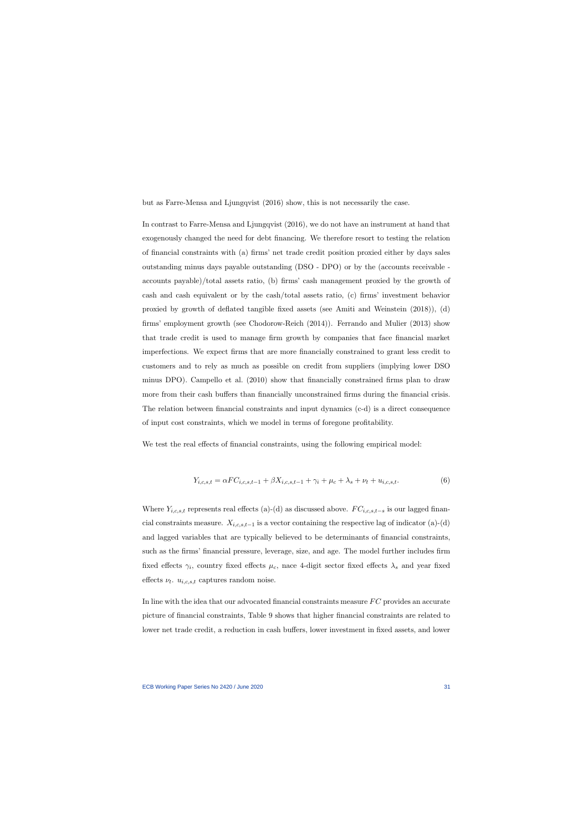but as Farre-Mensa [and Ljungqvist](#page-38-1) [\(2016\)](#page-38-1) show, this is not necessarily the case.

In contrast to [Farre-Mensa and Ljungqvist](#page-38-1) [\(2016\)](#page-38-1), we do not have an instrument at hand that exogenously changed the need for debt financing. We therefore resort to testing the relation of financial constraints with (a) firms' net trade credit position proxied either by days sales outstanding minus days payable outstanding (DSO - DPO) or by the (accounts receivable accounts payable)/total assets ratio, (b) firms' cash management proxied by the growth of cash and cash equivalent or by the cash/total assets ratio, (c) firms' investment behavior proxied by growth of deflated tangible fixed assets (see [Amiti and Weinstein](#page-37-0) [\(2018\)](#page-37-0)), (d) firms' employment growth (see [Chodorow-Reich](#page-38-0) [\(2014\)](#page-38-0)). [Ferrando and Mulier](#page-38-10) [\(2013\)](#page-38-10) show that trade credit is used to manage firm growth by companies that face financial market imperfections. We expect firms that are more financially constrained to grant less credit to customers and to rely as much as possible on credit from suppliers (implying lower DSO minus DPO). [Campello et al.](#page-37-2) [\(2010\)](#page-37-2) show that financially constrained firms plan to draw more from their cash buffers than financially unconstrained firms during the financial crisis. The relation between financial constraints and input dynamics (c-d) is a direct consequence of input cost constraints, which we model in terms of foregone profitability.

We test the real effects of financial constraints, using the following empirical model:

$$
Y_{i,c,s,t} = \alpha F C_{i,c,s,t-1} + \beta X_{i,c,s,t-1} + \gamma_i + \mu_c + \lambda_s + \nu_t + u_{i,c,s,t}.
$$
 (6)

Where  $Y_{i,c,s,t}$  represents real effects (a)-(d) as discussed above.  $FC_{i,c,s,t-s}$  is our lagged financial constraints measure.  $X_{i,c,s,t-1}$  is a vector containing the respective lag of indicator (a)-(d) and lagged variables that are typically believed to be determinants of financial constraints, such as the firms' financial pressure, leverage, size, and age. The model further includes firm fixed effects  $\gamma_i$ , country fixed effects  $\mu_c$ , nace 4-digit sector fixed effects  $\lambda_s$  and year fixed effects  $\nu_t$ .  $u_{i,c,s,t}$  captures random noise.

In line with the idea that our advocated financial constraints measure  $FC$  provides an accurate picture of financial constraints, Table [9](#page-53-0) shows that higher financial constraints are related to lower net trade credit, a reduction in cash buffers, lower investment in fixed assets, and lower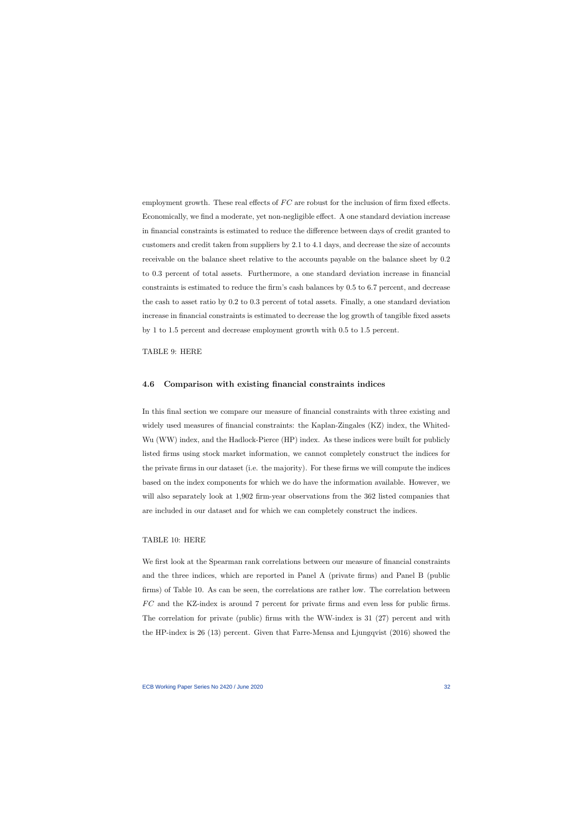employment growth. These real effects of  $FC$  are robust for the inclusion of firm fixed effects. Economically, we find a moderate, yet non-negligible effect. A one standard deviation increase in financial constraints is estimated to reduce the difference between days of credit granted to customers and credit taken from suppliers by 2.1 to 4.1 days, and decrease the size of accounts receivable on the balance sheet relative to the accounts payable on the balance sheet by 0.2 to 0.3 percent of total assets. Furthermore, a one standard deviation increase in financial constraints is estimated to reduce the firm's cash balances by 0.5 to 6.7 percent, and decrease the cash to asset ratio by 0.2 to 0.3 percent of total assets. Finally, a one standard deviation increase in financial constraints is estimated to decrease the log growth of tangible fixed assets by 1 to 1.5 percent and decrease employment growth with 0.5 to 1.5 percent.

TABLE [9:](#page-53-0) HERE

#### 4.6 Comparison with existing financial constraints indices

In this final section we compare our measure of financial constraints with three existing and widely used measures of financial constraints: the Kaplan-Zingales (KZ) index, the Whited-Wu (WW) index, and the Hadlock-Pierce (HP) index. As these indices were built for publicly listed firms using stock market information, we cannot completely construct the indices for the private firms in our dataset (i.e. the majority). For these firms we will compute the indices based on the index components for which we do have the information available. However, we will also separately look at 1,902 firm-year observations from the 362 listed companies that are included in our dataset and for which we can completely construct the indices.

#### TABLE [10:](#page-54-0) HERE

We first look at the Spearman rank correlations between our measure of financial constraints and the three indices, which are reported in Panel A (private firms) and Panel B (public firms) of Table [10.](#page-54-0) As can be seen, the correlations are rather low. The correlation between F C and the KZ-index is around 7 percent for private firms and even less for public firms. The correlation for private (public) firms with the WW-index is 31 (27) percent and with the HP-index is 26 (13) percent. Given that [Farre-Mensa and Ljungqvist](#page-38-1) [\(2016\)](#page-38-1) showed the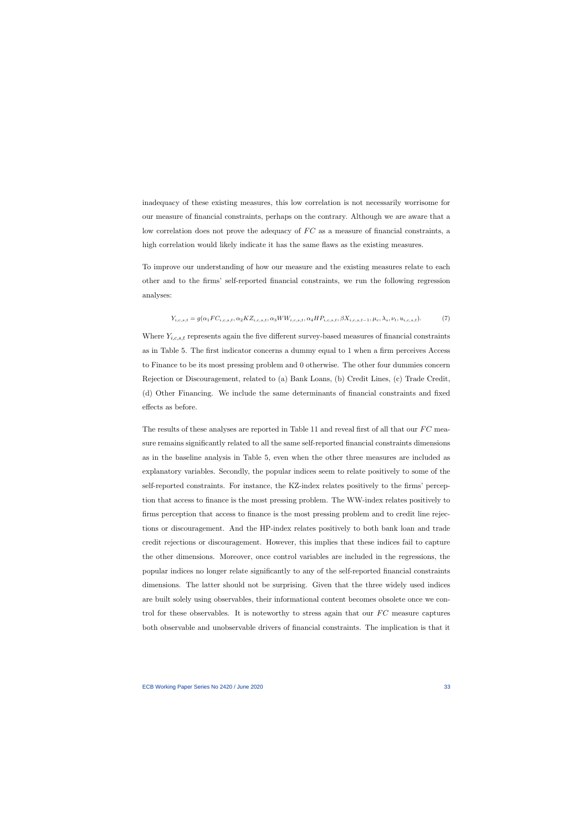inadequacy of these existing measures, this low correlation is not necessarily worrisome for our measure of financial constraints, perhaps on the contrary. Although we are aware that a low correlation does not prove the adequacy of  $FC$  as a measure of financial constraints, a high correlation would likely indicate it has the same flaws as the existing measures.

To improve our understanding of how our measure and the existing measures relate to each other and to the firms' self-reported financial constraints, we run the following regression analyses:

$$
Y_{i,c,s,t} = g(\alpha_1 F C_{i,c,s,t}, \alpha_2 K Z_{i,c,s,t}, \alpha_3 WW_{i,c,s,t}, \alpha_4 HP_{i,c,s,t}, \beta X_{i,c,s,t-1}, \mu_c, \lambda_s, \nu_t, u_{i,c,s,t}).
$$
(7)

Where  $Y_{i,c,s,t}$  represents again the five different survey-based measures of financial constraints as in Table [5.](#page-49-0) The first indicator concerns a dummy equal to 1 when a firm perceives Access to Finance to be its most pressing problem and 0 otherwise. The other four dummies concern Rejection or Discouragement, related to (a) Bank Loans, (b) Credit Lines, (c) Trade Credit, (d) Other Financing. We include the same determinants of financial constraints and fixed effects as before.

The results of these analyses are reported in Table [11](#page-55-0) and reveal first of all that our  $FC$  measure remains significantly related to all the same self-reported financial constraints dimensions as in the baseline analysis in Table [5,](#page-49-0) even when the other three measures are included as explanatory variables. Secondly, the popular indices seem to relate positively to some of the self-reported constraints. For instance, the KZ-index relates positively to the firms' perception that access to finance is the most pressing problem. The WW-index relates positively to firms perception that access to finance is the most pressing problem and to credit line rejections or discouragement. And the HP-index relates positively to both bank loan and trade credit rejections or discouragement. However, this implies that these indices fail to capture the other dimensions. Moreover, once control variables are included in the regressions, the popular indices no longer relate significantly to any of the self-reported financial constraints dimensions. The latter should not be surprising. Given that the three widely used indices are built solely using observables, their informational content becomes obsolete once we control for these observables. It is noteworthy to stress again that our  $FC$  measure captures both observable and unobservable drivers of financial constraints. The implication is that it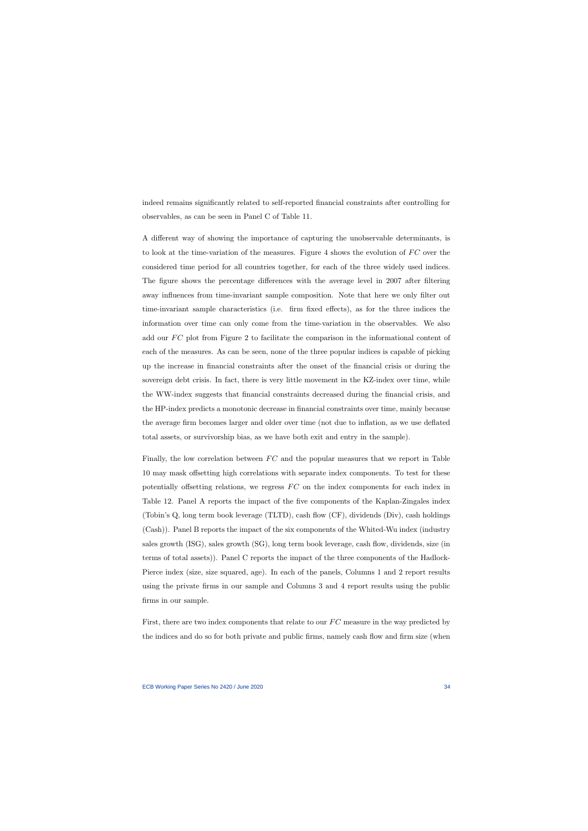indeed remains significantly related to self-reported financial constraints after controlling for observables, as can be seen in Panel C of Table [11.](#page-55-0)

A different way of showing the importance of capturing the unobservable determinants, is to look at the time-variation of the measures. Figure [4](#page-44-0) shows the evolution of  $FC$  over the considered time period for all countries together, for each of the three widely used indices. The figure shows the percentage differences with the average level in 2007 after filtering away influences from time-invariant sample composition. Note that here we only filter out time-invariant sample characteristics (i.e. firm fixed effects), as for the three indices the information over time can only come from the time-variation in the observables. We also add our  $FC$  plot from Figure [2](#page-42-0) to facilitate the comparison in the informational content of each of the measures. As can be seen, none of the three popular indices is capable of picking up the increase in financial constraints after the onset of the financial crisis or during the sovereign debt crisis. In fact, there is very little movement in the KZ-index over time, while the WW-index suggests that financial constraints decreased during the financial crisis, and the HP-index predicts a monotonic decrease in financial constraints over time, mainly because the average firm becomes larger and older over time (not due to inflation, as we use deflated total assets, or survivorship bias, as we have both exit and entry in the sample).

Finally, the low correlation between  $FC$  and the popular measures that we report in Table [10](#page-54-0) may mask offsetting high correlations with separate index components. To test for these potentially offsetting relations, we regress  $FC$  on the index components for each index in Table [12.](#page-56-0) Panel A reports the impact of the five components of the Kaplan-Zingales index (Tobin's Q, long term book leverage (TLTD), cash flow (CF), dividends (Div), cash holdings (Cash)). Panel B reports the impact of the six components of the Whited-Wu index (industry sales growth (ISG), sales growth (SG), long term book leverage, cash flow, dividends, size (in terms of total assets)). Panel C reports the impact of the three components of the Hadlock-Pierce index (size, size squared, age). In each of the panels, Columns 1 and 2 report results using the private firms in our sample and Columns 3 and 4 report results using the public firms in our sample.

First, there are two index components that relate to our  $FC$  measure in the way predicted by the indices and do so for both private and public firms, namely cash flow and firm size (when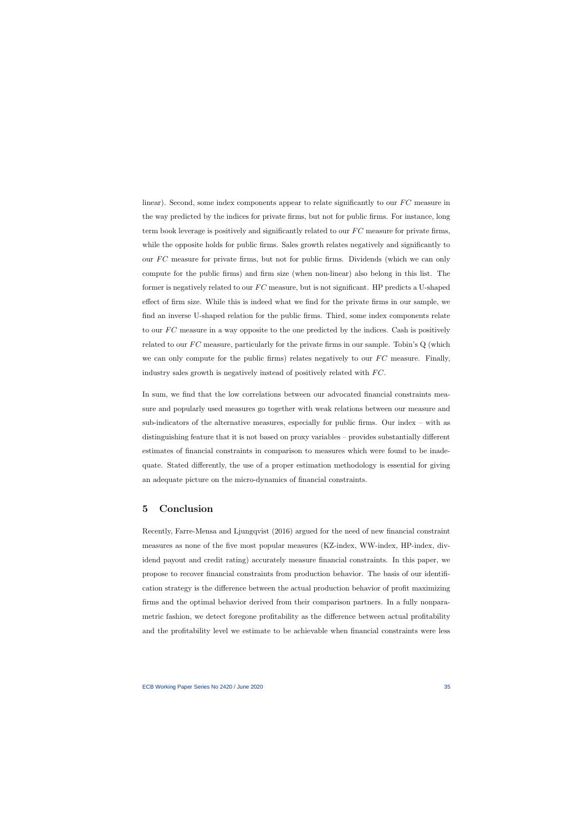linear). Second, some index components appear to relate significantly to our  $FC$  measure in the way predicted by the indices for private firms, but not for public firms. For instance, long term book leverage is positively and significantly related to our  $FC$  measure for private firms, while the opposite holds for public firms. Sales growth relates negatively and significantly to our  $FC$  measure for private firms, but not for public firms. Dividends (which we can only compute for the public firms) and firm size (when non-linear) also belong in this list. The former is negatively related to our  $FC$  measure, but is not significant. HP predicts a U-shaped effect of firm size. While this is indeed what we find for the private firms in our sample, we find an inverse U-shaped relation for the public firms. Third, some index components relate to our  $FC$  measure in a way opposite to the one predicted by the indices. Cash is positively related to our  $FC$  measure, particularly for the private firms in our sample. Tobin's  $Q$  (which we can only compute for the public firms) relates negatively to our  $FC$  measure. Finally, industry sales growth is negatively instead of positively related with  $FC$ .

In sum, we find that the low correlations between our advocated financial constraints measure and popularly used measures go together with weak relations between our measure and sub-indicators of the alternative measures, especially for public firms. Our index – with as distinguishing feature that it is not based on proxy variables – provides substantially different estimates of financial constraints in comparison to measures which were found to be inadequate. Stated differently, the use of a proper estimation methodology is essential for giving an adequate picture on the micro-dynamics of financial constraints.

## 5 Conclusion

Recently, [Farre-Mensa and Ljungqvist](#page-38-1) [\(2016\)](#page-38-1) argued for the need of new financial constraint measures as none of the five most popular measures (KZ-index, WW-index, HP-index, dividend payout and credit rating) accurately measure financial constraints. In this paper, we propose to recover financial constraints from production behavior. The basis of our identification strategy is the difference between the actual production behavior of profit maximizing firms and the optimal behavior derived from their comparison partners. In a fully nonparametric fashion, we detect foregone profitability as the difference between actual profitability and the profitability level we estimate to be achievable when financial constraints were less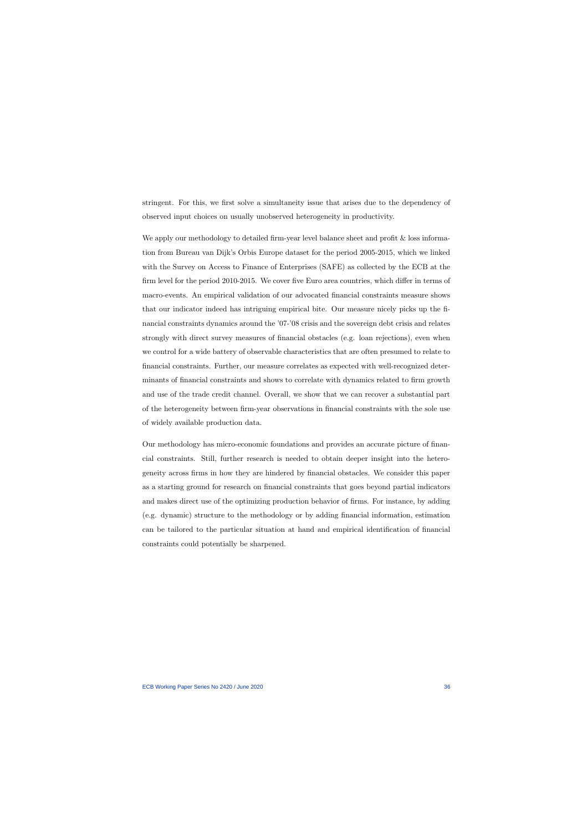stringent. For this, we first solve a simultaneity issue that arises due to the dependency of observed input choices on usually unobserved heterogeneity in productivity.

We apply our methodology to detailed firm-year level balance sheet and profit & loss information from Bureau van Dijk's Orbis Europe dataset for the period 2005-2015, which we linked with the Survey on Access to Finance of Enterprises (SAFE) as collected by the ECB at the firm level for the period 2010-2015. We cover five Euro area countries, which differ in terms of macro-events. An empirical validation of our advocated financial constraints measure shows that our indicator indeed has intriguing empirical bite. Our measure nicely picks up the financial constraints dynamics around the '07-'08 crisis and the sovereign debt crisis and relates strongly with direct survey measures of financial obstacles (e.g. loan rejections), even when we control for a wide battery of observable characteristics that are often presumed to relate to financial constraints. Further, our measure correlates as expected with well-recognized determinants of financial constraints and shows to correlate with dynamics related to firm growth and use of the trade credit channel. Overall, we show that we can recover a substantial part of the heterogeneity between firm-year observations in financial constraints with the sole use of widely available production data.

Our methodology has micro-economic foundations and provides an accurate picture of financial constraints. Still, further research is needed to obtain deeper insight into the heterogeneity across firms in how they are hindered by financial obstacles. We consider this paper as a starting ground for research on financial constraints that goes beyond partial indicators and makes direct use of the optimizing production behavior of firms. For instance, by adding (e.g. dynamic) structure to the methodology or by adding financial information, estimation can be tailored to the particular situation at hand and empirical identification of financial constraints could potentially be sharpened.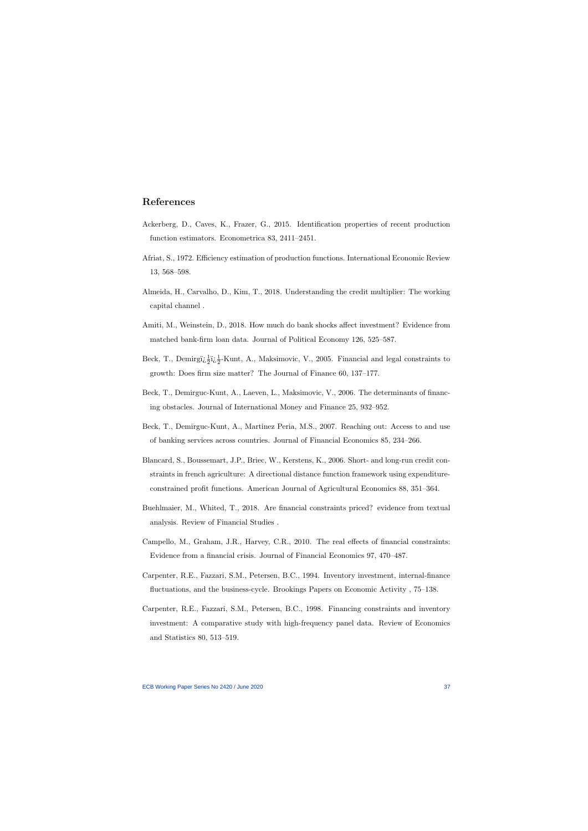# References

- Ackerberg, D., Caves, K., Frazer, G., 2015. Identification properties of recent production function estimators. Econometrica 83, 2411–2451.
- Afriat, S., 1972. Efficiency estimation of production functions. International Economic Review 13, 568–598.
- Almeida, H., Carvalho, D., Kim, T., 2018. Understanding the credit multiplier: The working capital channel .
- <span id="page-37-9"></span>Amiti, M., Weinstein, D., 2018. How much do bank shocks affect investment? Evidence from matched bank-firm loan data. Journal of Political Economy 126, 525–587.
- <span id="page-37-4"></span>Beck, T., Demirgi $\frac{1}{2}$ i $\frac{1}{2}$ -Kunt, A., Maksimovic, V., 2005. Financial and legal constraints to growth: Does firm size matter? The Journal of Finance 60, 137–177.
- <span id="page-37-3"></span>Beck, T., Demirguc-Kunt, A., Laeven, L., Maksimovic, V., 2006. The determinants of financing obstacles. Journal of International Money and Finance 25, 932–952.
- <span id="page-37-0"></span>Beck, T., Demirguc-Kunt, A., Martinez Peria, M.S., 2007. Reaching out: Access to and use of banking services across countries. Journal of Financial Economics 85, 234–266.
- <span id="page-37-1"></span>Blancard, S., Boussemart, J.P., Briec, W., Kerstens, K., 2006. Short- and long-run credit constraints in french agriculture: A directional distance function framework using expenditureconstrained profit functions. American Journal of Agricultural Economics 88, 351–364.
- <span id="page-37-10"></span>Buehlmaier, M., Whited, T., 2018. Are financial constraints priced? evidence from textual analysis. Review of Financial Studies .
- <span id="page-37-11"></span>Campello, M., Graham, J.R., Harvey, C.R., 2010. The real effects of financial constraints: Evidence from a financial crisis. Journal of Financial Economics 97, 470–487.
- <span id="page-37-8"></span>Carpenter, R.E., Fazzari, S.M., Petersen, B.C., 1994. Inventory investment, internal-finance fluctuations, and the business-cycle. Brookings Papers on Economic Activity , 75–138.
- <span id="page-37-7"></span><span id="page-37-6"></span><span id="page-37-5"></span><span id="page-37-2"></span>Carpenter, R.E., Fazzari, S.M., Petersen, B.C., 1998. Financing constraints and inventory investment: A comparative study with high-frequency panel data. Review of Economics and Statistics 80, 513–519.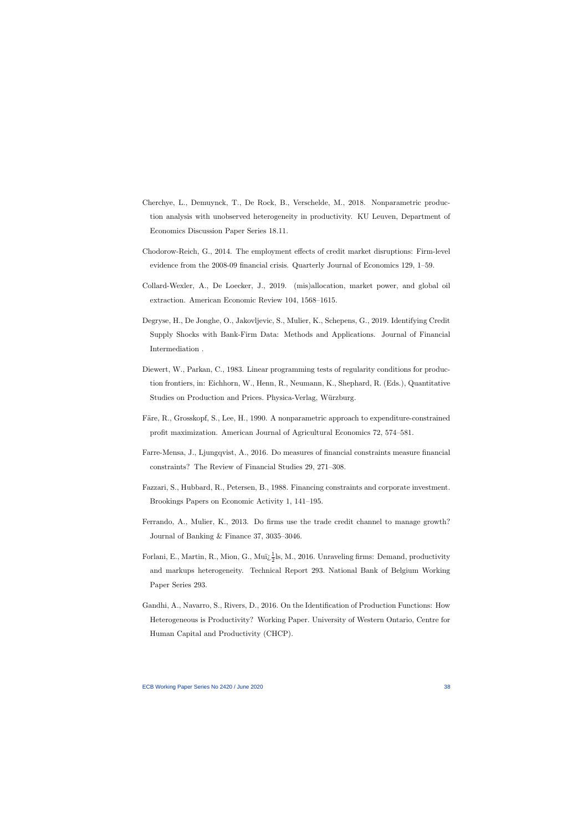- Cherchye, L., Demuynck, T., De Rock, B., Verschelde, M., 2018. Nonparametric production analysis with unobserved heterogeneity in productivity. KU Leuven, Department of Economics Discussion Paper Series 18.11.
- Chodorow-Reich, G., 2014. The employment effects of credit market disruptions: Firm-level evidence from the 2008-09 financial crisis. Quarterly Journal of Economics 129, 1–59.
- Collard-Wexler, A., De Loecker, J., 2019. (mis)allocation, market power, and global oil extraction. American Economic Review 104, 1568–1615.
- <span id="page-38-2"></span>Degryse, H., De Jonghe, O., Jakovljevic, S., Mulier, K., Schepens, G., 2019. Identifying Credit Supply Shocks with Bank-Firm Data: Methods and Applications. Journal of Financial Intermediation .
- <span id="page-38-0"></span>Diewert, W., Parkan, C., 1983. Linear programming tests of regularity conditions for production frontiers, in: Eichhorn, W., Henn, R., Neumann, K., Shephard, R. (Eds.), Quantitative Studies on Production and Prices. Physica-Verlag, Würzburg.
- <span id="page-38-9"></span><span id="page-38-3"></span>Färe, R., Grosskopf, S., Lee, H., 1990. A nonparametric approach to expenditure-constrained profit maximization. American Journal of Agricultural Economics 72, 574–581.
- Farre-Mensa, J., Ljungqvist, A., 2016. Do measures of financial constraints measure financial constraints? The Review of Financial Studies 29, 271–308.
- <span id="page-38-6"></span>Fazzari, S., Hubbard, R., Petersen, B., 1988. Financing constraints and corporate investment. Brookings Papers on Economic Activity 1, 141–195.
- <span id="page-38-5"></span>Ferrando, A., Mulier, K., 2013. Do firms use the trade credit channel to manage growth? Journal of Banking & Finance 37, 3035–3046.
- <span id="page-38-1"></span>Forlani, E., Martin, R., Mion, G., Muï $\frac{1}{2}$ ls, M., 2016. Unraveling firms: Demand, productivity and markups heterogeneity. Technical Report 293. National Bank of Belgium Working Paper Series 293.
- <span id="page-38-10"></span><span id="page-38-8"></span><span id="page-38-7"></span><span id="page-38-4"></span>Gandhi, A., Navarro, S., Rivers, D., 2016. On the Identification of Production Functions: How Heterogeneous is Productivity? Working Paper. University of Western Ontario, Centre for Human Capital and Productivity (CHCP).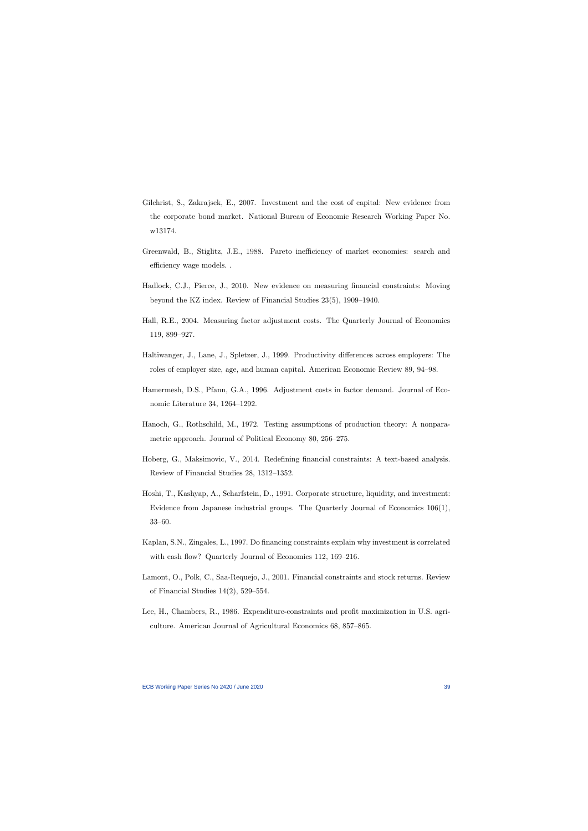- Gilchrist, S., Zakrajsek, E., 2007. Investment and the cost of capital: New evidence from the corporate bond market. National Bureau of Economic Research Working Paper No. w13174.
- Greenwald, B., Stiglitz, J.E., 1988. Pareto inefficiency of market economies: search and efficiency wage models. .
- Hadlock, C.J., Pierce, J., 2010. New evidence on measuring financial constraints: Moving beyond the KZ index. Review of Financial Studies 23(5), 1909–1940.
- <span id="page-39-10"></span>Hall, R.E., 2004. Measuring factor adjustment costs. The Quarterly Journal of Economics 119, 899–927.
- <span id="page-39-2"></span>Haltiwanger, J., Lane, J., Spletzer, J., 1999. Productivity differences across employers: The roles of employer size, age, and human capital. American Economic Review 89, 94–98.
- <span id="page-39-1"></span>Hamermesh, D.S., Pfann, G.A., 1996. Adjustment costs in factor demand. Journal of Economic Literature 34, 1264–1292.
- <span id="page-39-9"></span>Hanoch, G., Rothschild, M., 1972. Testing assumptions of production theory: A nonparametric approach. Journal of Political Economy 80, 256–275.
- <span id="page-39-11"></span>Hoberg, G., Maksimovic, V., 2014. Redefining financial constraints: A text-based analysis. Review of Financial Studies 28, 1312–1352.
- <span id="page-39-8"></span>Hoshi, T., Kashyap, A., Scharfstein, D., 1991. Corporate structure, liquidity, and investment: Evidence from Japanese industrial groups. The Quarterly Journal of Economics 106(1), 33–60.
- <span id="page-39-7"></span>Kaplan, S.N., Zingales, L., 1997. Do financing constraints explain why investment is correlated with cash flow? Quarterly Journal of Economics 112, 169–216.
- <span id="page-39-5"></span>Lamont, O., Polk, C., Saa-Requejo, J., 2001. Financial constraints and stock returns. Review of Financial Studies 14(2), 529–554.
- <span id="page-39-6"></span><span id="page-39-4"></span><span id="page-39-3"></span><span id="page-39-0"></span>Lee, H., Chambers, R., 1986. Expenditure-constraints and profit maximization in U.S. agriculture. American Journal of Agricultural Economics 68, 857–865.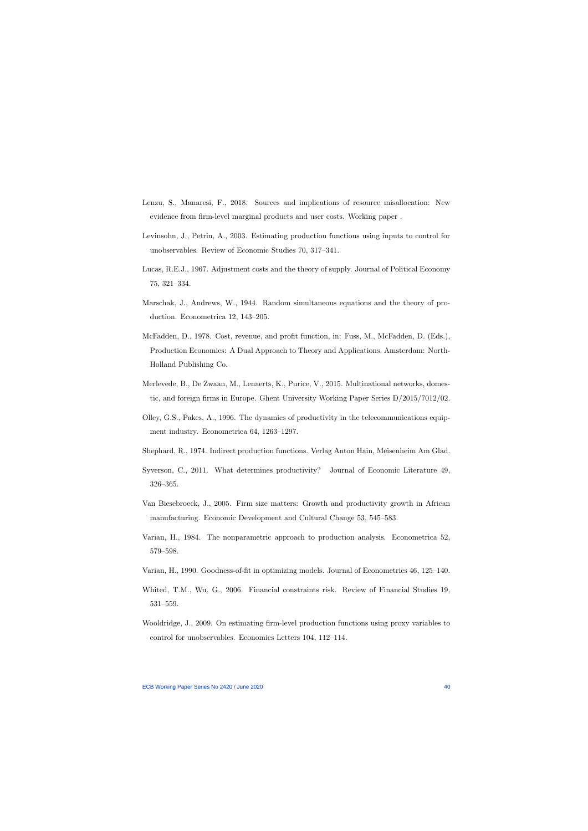- Lenzu, S., Manaresi, F., 2018. Sources and implications of resource misallocation: New evidence from firm-level marginal products and user costs. Working paper .
- Levinsohn, J., Petrin, A., 2003. Estimating production functions using inputs to control for unobservables. Review of Economic Studies 70, 317–341.
- Lucas, R.E.J., 1967. Adjustment costs and the theory of supply. Journal of Political Economy 75, 321–334.
- <span id="page-40-1"></span>Marschak, J., Andrews, W., 1944. Random simultaneous equations and the theory of production. Econometrica 12, 143–205.
- <span id="page-40-8"></span>McFadden, D., 1978. Cost, revenue, and profit function, in: Fuss, M., McFadden, D. (Eds.), Production Economics: A Dual Approach to Theory and Applications. Amsterdam: North-Holland Publishing Co.
- <span id="page-40-10"></span>Merlevede, B., De Zwaan, M., Lenaerts, K., Purice, V., 2015. Multinational networks, domestic, and foreign firms in Europe. Ghent University Working Paper Series D/2015/7012/02.
- <span id="page-40-3"></span>Olley, G.S., Pakes, A., 1996. The dynamics of productivity in the telecommunications equipment industry. Econometrica 64, 1263–1297.
- <span id="page-40-6"></span>Shephard, R., 1974. Indirect production functions. Verlag Anton Hain, Meisenheim Am Glad.
- Syverson, C., 2011. What determines productivity? Journal of Economic Literature 49, 326–365.
- <span id="page-40-11"></span>Van Biesebroeck, J., 2005. Firm size matters: Growth and productivity growth in African manufacturing. Economic Development and Cultural Change 53, 545–583.
- <span id="page-40-4"></span>Varian, H., 1984. The nonparametric approach to production analysis. Econometrica 52, 579–598.
- <span id="page-40-5"></span>Varian, H., 1990. Goodness-of-fit in optimizing models. Journal of Econometrics 46, 125–140.
- <span id="page-40-13"></span>Whited, T.M., Wu, G., 2006. Financial constraints risk. Review of Financial Studies 19, 531–559.
- <span id="page-40-12"></span><span id="page-40-9"></span><span id="page-40-7"></span><span id="page-40-2"></span><span id="page-40-0"></span>Wooldridge, J., 2009. On estimating firm-level production functions using proxy variables to control for unobservables. Economics Letters 104, 112–114.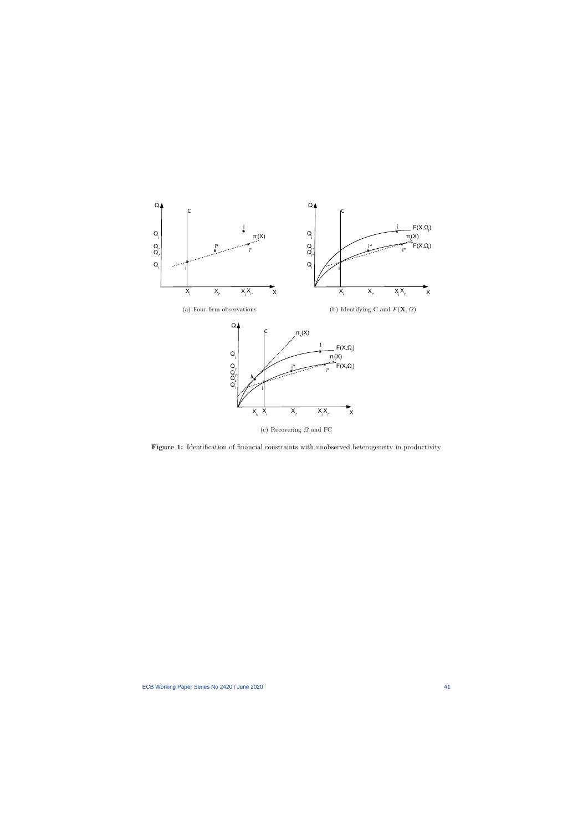<span id="page-41-0"></span>

Figure 1: Identification of financial constraints with unobserved heterogeneity in productivity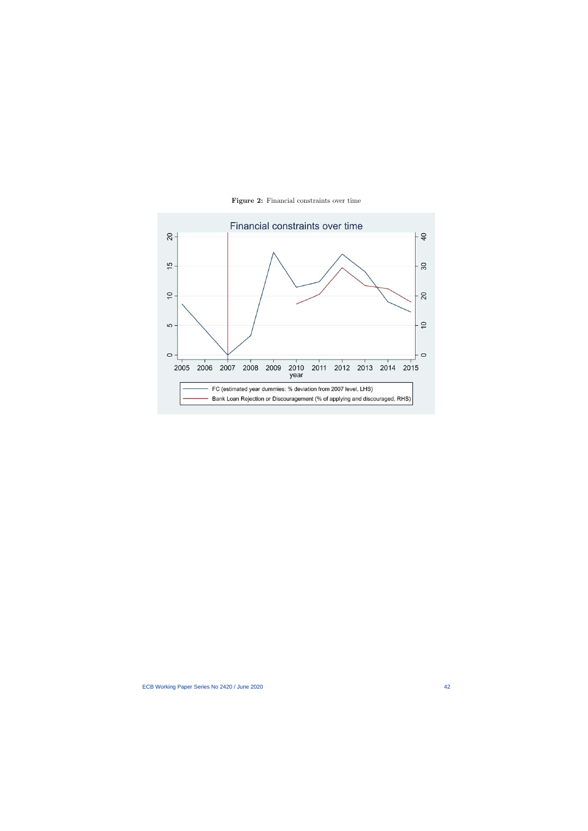<span id="page-42-0"></span>

Figure 2: Financial constraints over time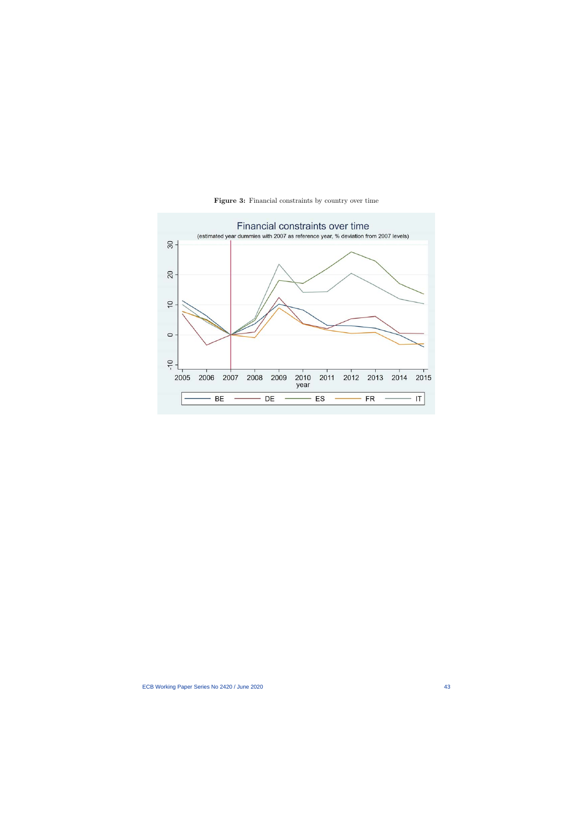<span id="page-43-0"></span>

Figure 3: Financial constraints by country over time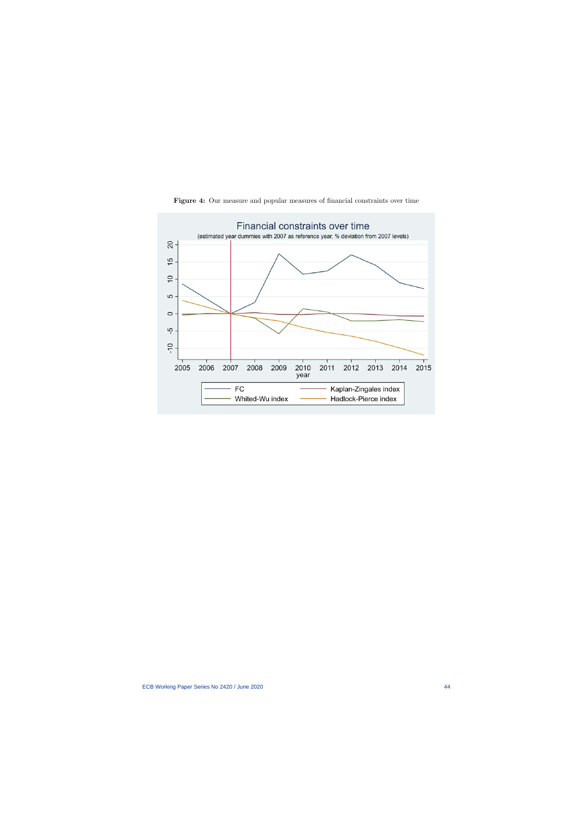<span id="page-44-0"></span>

Figure 4: Our measure and popular measures of financial constraints over time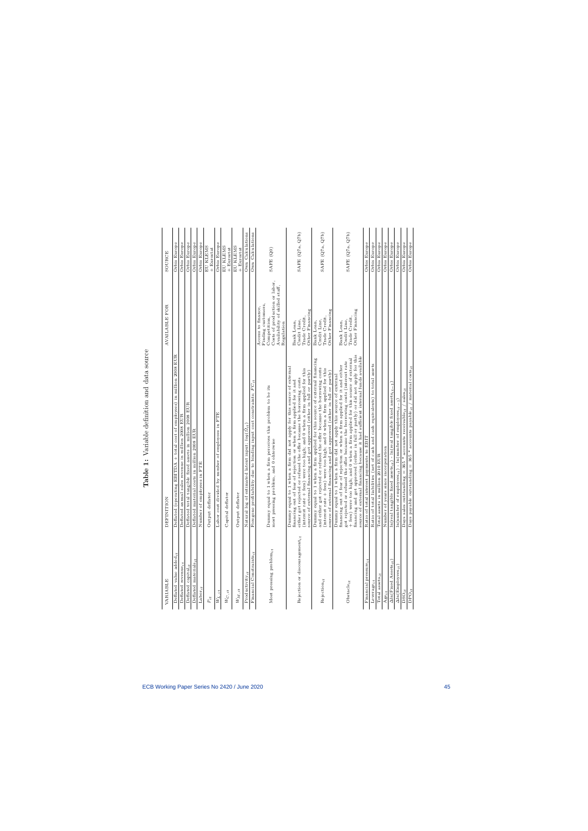<span id="page-45-0"></span>

| $\overline{1}$<br>ı<br>I<br>j                  |
|------------------------------------------------|
| I<br>l                                         |
| ì<br>ì<br>ı                                    |
| $\frac{1}{2}$<br>$\frac{1}{2}$<br>ĺ<br>l       |
| ļ<br>ı<br>$\overline{1}$<br>$\frac{1}{2}$<br>ı |
| I                                              |
| ı<br>Ì<br>.<br>.<br>j                          |

| VARIABLE                                 | DEFINITION                                                                                                                                                                                                                                                                                                                                                                                                                                                                              | AVAILABLE FOR                                                                                                                             | SOURCE                   |
|------------------------------------------|-----------------------------------------------------------------------------------------------------------------------------------------------------------------------------------------------------------------------------------------------------------------------------------------------------------------------------------------------------------------------------------------------------------------------------------------------------------------------------------------|-------------------------------------------------------------------------------------------------------------------------------------------|--------------------------|
| Deflated value added $_{it}$             | Deflated (operating EBITDA + total cost of employees) in million 2008 EUR                                                                                                                                                                                                                                                                                                                                                                                                               |                                                                                                                                           | Orbis Europe             |
| Deflated revenue <sub>it</sub>           | Deflated annual sales revenue in million 2008 EUR                                                                                                                                                                                                                                                                                                                                                                                                                                       |                                                                                                                                           | Orbis Europe             |
| Deflated capital <sub>it</sub>           | Deflated total tangible fixed assets in million 2008 EUR                                                                                                                                                                                                                                                                                                                                                                                                                                |                                                                                                                                           | Orbis Europe             |
| Deflated materials $_{i}$                | Deflated material costs in million 2008 EUR                                                                                                                                                                                                                                                                                                                                                                                                                                             |                                                                                                                                           | Orbis Europe             |
| Labor $it$                               | Number of employees in FTE                                                                                                                                                                                                                                                                                                                                                                                                                                                              |                                                                                                                                           | Orbis Europe             |
| $\boldsymbol{P}_{it}$                    | Output deflator                                                                                                                                                                                                                                                                                                                                                                                                                                                                         |                                                                                                                                           | EU KLEMS                 |
|                                          |                                                                                                                                                                                                                                                                                                                                                                                                                                                                                         |                                                                                                                                           | + Eurostat               |
| $W_{L,\underline{it}}$                   | Labor cost divided by number of employees in FTE                                                                                                                                                                                                                                                                                                                                                                                                                                        |                                                                                                                                           | Orbis Europe             |
| $\scriptstyle{W_{C,it}}$                 | Capital deflator                                                                                                                                                                                                                                                                                                                                                                                                                                                                        |                                                                                                                                           | EU KLEMS<br>+ Eurostat   |
| $\mathcal{W}_{M,it}$                     | Output deflator                                                                                                                                                                                                                                                                                                                                                                                                                                                                         |                                                                                                                                           | EU KLEMS<br>$+$ Eurostat |
| Productivity $_{it}$                     | Natural log of estimated latent input; $log(\Omega_{it})$                                                                                                                                                                                                                                                                                                                                                                                                                               |                                                                                                                                           | Own Calculations         |
| Financial Constraints $_{it}$            | Foregone profitability due to binding input cost constraints; $FC_{it}$                                                                                                                                                                                                                                                                                                                                                                                                                 |                                                                                                                                           | Own Calculations         |
| Most pressing problem <sub>it</sub>      | Dummy equal to 1 when a firm perceives this problem to be its<br>most pressing problem, and 0 ohterwise                                                                                                                                                                                                                                                                                                                                                                                 | Costs of production or labor,<br>Availability of skilled staff,<br>Finding customers,<br>Access to finance,<br>Competition,<br>Regulation | SAFE (Q0)                |
| Rejection or discouragementit            | Dummy equal to 1 when a firm did not apply for this source of external<br>(interest rate + fees) were too high; and 0 when a firm applied for this<br>source of external financing and got approved (either in full or partly)<br>either got rejected or refused the offer because the borrowing costs<br>financing out of fear of rejection or when a firm applied for it and                                                                                                          | Other Financing<br>Trade Credit,<br>Credit Line,<br>Bank Loan,                                                                            | SAFE (Q7a, Q7b)          |
| $Rejection_{it}$                         | Dummy equal to 1 when a firm applied for this source of external financing<br>and either got rejected or refused the offer because the borrowing costs<br>(interest rate + fees) were too high; and 0 when a firm applied for this<br>source of external financing and got approved (either in full or partly)                                                                                                                                                                          | Other Financing<br>Trade Credit,<br>Credit Line,<br>Bank Loan,                                                                            | SAFE (Q7a, Q7b)          |
| $Obstate_{it}$                           | financing and got approved (either in full or partly) or did not apply for this<br>source of external financing because it had sufficient internal funds available<br>+ fees) were too high; and 0 when a firm applied for this source of external<br>got rejected or refused the offer because the borrowing costs (interest rate<br>financing out of fear of rejection or when a firm applied for it and either<br>Dummy equal to 1 when a firm did not apply this source of external | Other Financing<br>Trade Credit,<br>Credit Line,<br>Bank Loan,                                                                            | SAFE (Q7a, Q7b)          |
| Financial pressure $_{it}$               | Ratio of total interest payments to EBIT                                                                                                                                                                                                                                                                                                                                                                                                                                                |                                                                                                                                           | Orbis Europe             |
| $Leverage_{it}$                          | Ratio of total liabilities (net of cash and cash equivalents) to total assets                                                                                                                                                                                                                                                                                                                                                                                                           |                                                                                                                                           | Orbis Europe             |
| Total assets $it$                        | Total assets in million 2010 EUR                                                                                                                                                                                                                                                                                                                                                                                                                                                        |                                                                                                                                           | Orbis Europe             |
| $A$ ge <sub>it</sub>                     | Number of years since incorporation                                                                                                                                                                                                                                                                                                                                                                                                                                                     |                                                                                                                                           | Orbis Europe             |
| $\Delta$ ln(Fixed Assets <sub>it</sub> ) | $\ln(\text{real}$ tangible fixed assets <sub>it</sub> ) - $\ln(\text{real}$ tangible fixed assets <sub>it-1</sub> )                                                                                                                                                                                                                                                                                                                                                                     |                                                                                                                                           | Orbis Europe             |
| $\Delta \ln (\text{Employes}_{it}$       | $\ln(\text{number of employee} s_{it})$ - $\ln(\text{number of employee} s_{it-1})$                                                                                                                                                                                                                                                                                                                                                                                                     |                                                                                                                                           | Orbis Europe             |
| $_{\mathrm{DSO}_{it}}$                   | $_{\rm salesit}$<br>Days sales outstanding = 365 * accounts receivable, $_t$                                                                                                                                                                                                                                                                                                                                                                                                            |                                                                                                                                           | Orbis Europe             |
| $DO_{it}$                                | Days payable outstanding = 365 * accounts payable <sub>it</sub> / material costs <sub>it</sub>                                                                                                                                                                                                                                                                                                                                                                                          |                                                                                                                                           | Orbis Europe             |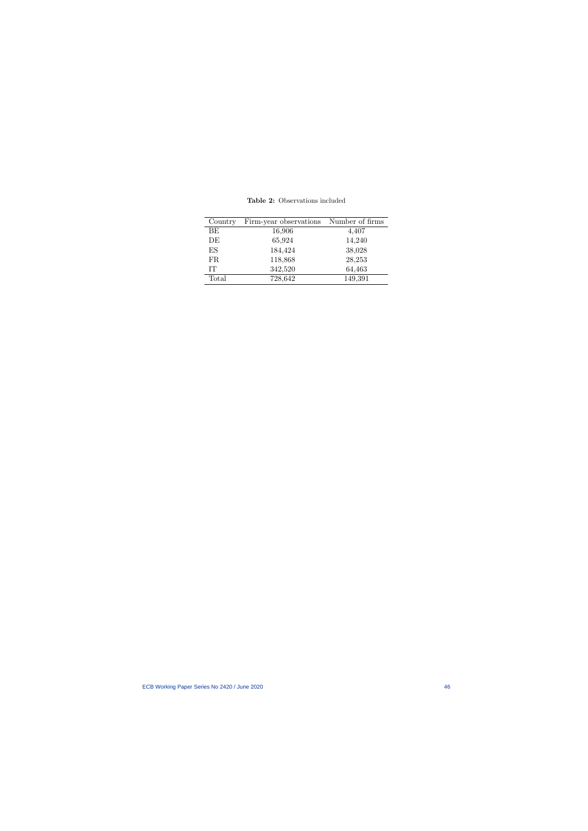Table 2: Observations included

<span id="page-46-0"></span>

| Country   | Firm-year observations | Number of firms |
|-----------|------------------------|-----------------|
| BE        | 16,906                 | 4,407           |
| DE        | 65,924                 | 14,240          |
| ES        | 184,424                | 38,028          |
| <b>FR</b> | 118,868                | 28,253          |
| IT        | 342,520                | 64,463          |
| Total     | 728,642                | 149,391         |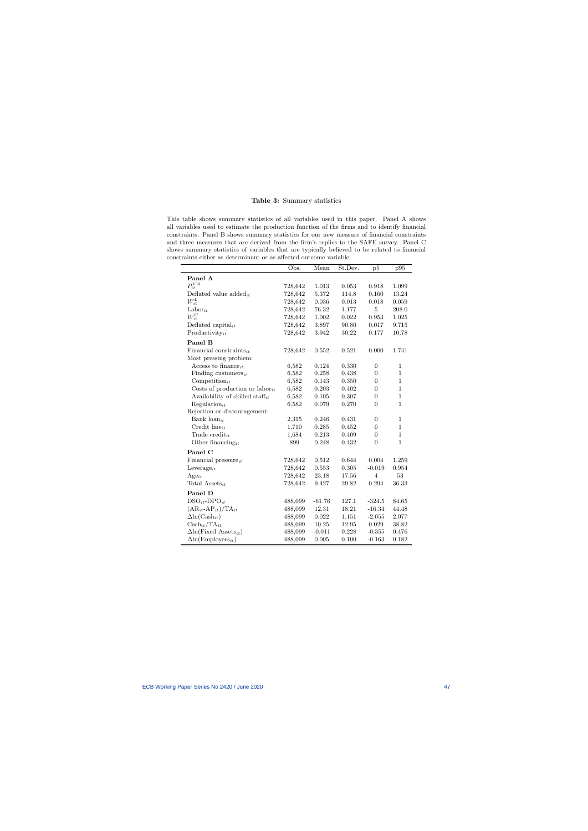#### Table 3: Summary statistics

This table shows summary statistics of all variables used in this paper. Panel A shows all variables used to estimate the production function of the firms and to identify financial constraints. Panel B shows summary statistics for our new measure of financial constraints and three measures that are derived from the firm's replies to the SAFE survey. Panel C shows summary statistics of variables that are typically believed to be related to financial constraints either as determinant or as affected outcome variable.

<span id="page-47-0"></span>

|                                             | Obs.    | Mean        | St.Dev. | p5               | p95          |
|---------------------------------------------|---------|-------------|---------|------------------|--------------|
| Panel A                                     |         |             |         |                  |              |
| $P_{it}^{VA}$                               | 728,642 | 1.013       | 0.053   | 0.918            | 1.099        |
| Deflated value $added_{it}$                 | 728,642 | 5.372       | 114.8   | $0.160\,$        | 13.24        |
| $W_{it}^L$                                  | 728,642 | 0.036       | 0.013   | 0.018            | 0.059        |
| $\text{Labor}_{it}$                         | 728,642 | 76.32       | 1,177   | $\overline{5}$   | 208.0        |
| $W_{it}^C$                                  | 728,642 | 1.002       | 0.022   | 0.953            | 1.025        |
| Deflated capital <sub>it</sub>              | 728,642 | 3.897       | 90.80   | 0.017            | 9.715        |
| $Productivity_{it}$                         | 728,642 | 3.942       | 30.22   | 0.177            | 10.78        |
| Panel B                                     |         |             |         |                  |              |
| Financial constraints $_{it}$               | 728,642 | 0.552       | 0.521   | 0.000            | 1.741        |
| Most pressing problem:                      |         |             |         |                  |              |
| Access to finance <sub>it</sub>             | 6,582   | 0.124       | 0.330   | $\overline{0}$   | $\mathbf{1}$ |
| Finding customers $_{it}$                   | 6,582   | 0.258       | 0.438   | $\overline{0}$   | $\mathbf{1}$ |
| $Competition_{it}$                          | 6,582   | $\,0.143\,$ | 0.350   | $\overline{0}$   | $\mathbf{1}$ |
| Costs of production or labor <sub>it</sub>  | 6,582   | 0.203       | 0.402   | $\theta$         | 1            |
| Availability of skilled staff <sub>it</sub> | 6,582   | 0.105       | 0.307   | $\overline{0}$   | $\mathbf{1}$ |
| $Regulation_{it}$                           | 6,582   | 0.079       | 0.270   | $\overline{0}$   | $\mathbf{1}$ |
| Rejection or discouragement:                |         |             |         |                  |              |
| Bank $\text{loan}_{it}$                     | 2,315   | 0.246       | 0.431   | $\boldsymbol{0}$ | $\mathbf{1}$ |
| Credit line $_{it}$                         | 1,710   | 0.285       | 0.452   | $\overline{0}$   | $\mathbf{1}$ |
| Trade credit <sub>it</sub>                  | 1,684   | 0.213       | 0.409   | $\overline{0}$   | $\mathbf{1}$ |
| Other financing <sub>it</sub>               | 899     | 0.248       | 0.432   | $\Omega$         | $\mathbf{1}$ |
| Panel C                                     |         |             |         |                  |              |
| Financial pressure $_{it}$                  | 728,642 | 0.512       | 0.644   | 0.004            | 1.259        |
| Leverage <sub>it</sub>                      | 728,642 | 0.553       | 0.305   | $-0.019$         | 0.954        |
| $Age_{it}$                                  | 728,642 | 23.18       | 17.56   | $\overline{4}$   | 53           |
| Total Assets <sub>it</sub>                  | 728,642 | 9.427       | 29.82   | 0.294            | 36.33        |
| Panel D                                     |         |             |         |                  |              |
| $DSO_{it}$ -DP $O_{it}$                     | 488,099 | $-61.76$    | 127.1   | $-324.5$         | 84.65        |
| $(AR_{it} - AP_{it})/TA_{it}$               | 488,099 | 12.31       | 18.21   | $-16.34$         | 44.48        |
| $\Delta \ln(\text{Cash}_{it})$              | 488,099 | 0.022       | 1.151   | $-2.055$         | 2.077        |
| $\text{Cash}_{it}/\text{TA}_{it}$           | 488,099 | 10.25       | 12.95   | 0.029            | 38.82        |
| $\Delta$ ln(Fixed Assets <sub>it</sub> )    | 488,099 | $-0.011$    | 0.228   | $-0.355$         | 0.476        |
| $\Delta$ ln(Employees <sub>it</sub> )       | 488,099 | 0.005       | 0.100   | $-0.163$         | 0.182        |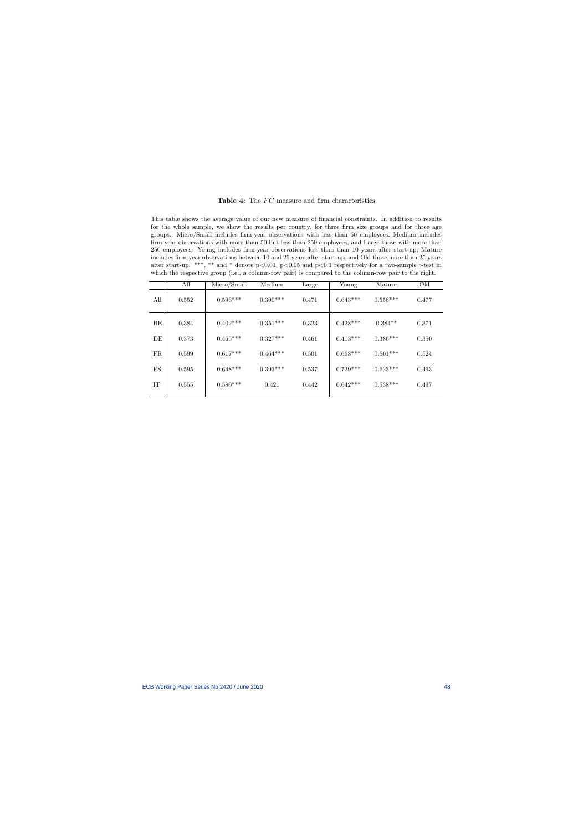#### Table 4: The  $FC$  measure and firm characteristics

This table shows the average value of our new measure of financial constraints. In addition to results for the whole sample, we show the results per country, for three firm size groups and for three age groups. Micro/Small includes firm-year observations with less than 50 employees, Medium includes firm-year observations with more than 50 but less than 250 employees, and Large those with more than 250 employees. Young includes firm-year observations less than than 10 years after start-up, Mature includes firm-year observations between 10 and 25 years after start-up, and Old those more than 25 years after start-up. \*\*\*, \*\* and \* denote p<0.01, p<0.05 and p<0.1 respectively for a two-sample t-test in which the respective group (i.e., a column-row pair) is compared to the column-row pair to the right.

<span id="page-48-0"></span>

|     | All   | Micro/Small | Medium     | Large | Young      | Mature     | Old   |
|-----|-------|-------------|------------|-------|------------|------------|-------|
| All | 0.552 | $0.596***$  | $0.390***$ | 0.471 | $0.643***$ | $0.556***$ | 0.477 |
| BE  | 0.384 | $0.402***$  | $0.351***$ | 0.323 | $0.428***$ | $0.384**$  | 0.371 |
| DE  | 0.373 | $0.465***$  | $0.327***$ | 0.461 | $0.413***$ | $0.386***$ | 0.350 |
| FR  | 0.599 | $0.617***$  | $0.464***$ | 0.501 | $0.668***$ | $0.601***$ | 0.524 |
| ES  | 0.595 | $0.648***$  | $0.393***$ | 0.537 | $0.729***$ | $0.623***$ | 0.493 |
| IT  | 0.555 | $0.580***$  | 0.421      | 0.442 | $0.642***$ | $0.538***$ | 0.497 |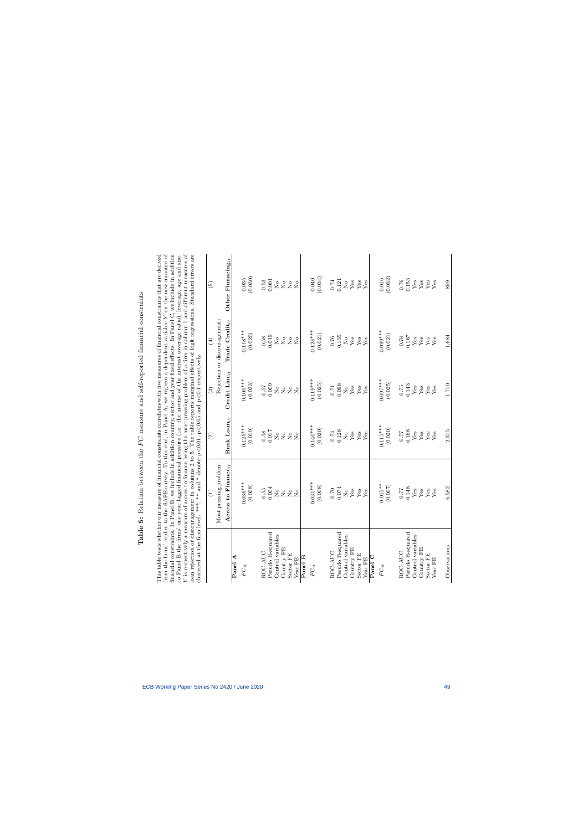<span id="page-49-0"></span>Table 5: Relation between the  $FC$  measure and self-reported financial constraints **Table 5:** Relation between the  $FC$  measure and self-reported financial constraints

to Panel B the firms' one year lagged financial pressure (i.e. the inverse of the interest coverage ratio), leverage, age and size.  $Y$  is respectively a measure of access to finance being the most pressing problem of a f from the firms' replies to the SAFE survey. To this end, in Panel A, we regress a dependent variable  $Y$  on the new measure of This table tests whether our measure of financial constraints correlates with five measures of financial constraints that are derived financial constraints. In Panel B, we include in addition country, sector and year fixed effects. In Panel C, we include in addition from the firms' replies to the SAFE survey. To this end, in Panel A, we regress a dependent variable Y on the new measure of is respectively a measure of access to finance being the most pressing problem of a firm in column 1 and different measures of This table tests whether our measure of financial constraints correlates with five measures of financial constraints that are derived financial constraints. In Panel B, we include in addition country, sector and year fixed effects. In Panel C, we include in addition to Panel B the firms' one year lagged financial pressure (i.e. the inverse of the interest coverage ratio), leverage, age and size. loan rejection or discouragement in columns 2 to 5. The table reports marginal effects of logit regressions. Standard errors are clustered at the firm level. \*\*\*, \*\* and \* denote  $p<0.01$ ,  $p<0.05$  and  $p<0.1$  respectively.

|                    | of the controller in the control of the control of the control of the control of the control of the control of the control of the control of the control of the control of the control of the control of the control of the co<br>clustered at the firm level. ***, ** and * denote p<0.01, p<0.05 and p<0.1 respectively. |                                              |                                           |                                              |                                              |
|--------------------|----------------------------------------------------------------------------------------------------------------------------------------------------------------------------------------------------------------------------------------------------------------------------------------------------------------------------|----------------------------------------------|-------------------------------------------|----------------------------------------------|----------------------------------------------|
|                    | $\bigoplus$                                                                                                                                                                                                                                                                                                                | $\widehat{c}$                                | $\binom{3}{2}$                            | $\left( 4\right)$                            | $\widehat{\Theta}$                           |
|                    | Most pressing problem:                                                                                                                                                                                                                                                                                                     |                                              |                                           | Rejection or discouragement:                 |                                              |
|                    | Access to Finance <sub>it</sub>                                                                                                                                                                                                                                                                                            | $\mathbf{Bank}\ \mathbf{Lonn}_{it}$          | Credit Line $_{it}$                       | Trade $\mathrm{Credit}_{it}$                 | Other Financing $it$                         |
| Panel A            |                                                                                                                                                                                                                                                                                                                            |                                              |                                           |                                              |                                              |
| $FC_{it}$          | $0.036***$                                                                                                                                                                                                                                                                                                                 | $0.125***$                                   | $0.100***$                                | $0.118***$                                   |                                              |
|                    | (0.008)                                                                                                                                                                                                                                                                                                                    | (0.019)                                      | (0.023)                                   | (0.020)                                      | $(0.035)$<br>$(0.030)$                       |
| ROC-AUC            |                                                                                                                                                                                                                                                                                                                            |                                              |                                           |                                              |                                              |
| Pseudo R-squared   | $\begin{array}{c} 0.55 \\ 0.004 \end{array}$                                                                                                                                                                                                                                                                               | $0.58$<br>0.017                              | 60000                                     | $\begin{array}{c} 0.58 \\ 0.019 \end{array}$ | $\begin{array}{c} 0.53 \\ 0.001 \end{array}$ |
| Control variables  |                                                                                                                                                                                                                                                                                                                            | $\stackrel{\circ}{\simeq}$                   |                                           |                                              |                                              |
| Country FE         | 28                                                                                                                                                                                                                                                                                                                         | $\rm _{X}^{\circ}$                           | 28                                        | 2 <sup>o</sup>                               |                                              |
| Sector FE          | $\stackrel{\circ}{\phantom{}_{\sim}}$<br>$\overline{N}$                                                                                                                                                                                                                                                                    | $\overline{a}$<br>$\overline{N}$             | $\rm \stackrel{o}{\simeq}$<br>$\tilde{Z}$ | $\stackrel{\circ}{\phantom{}_{\sim}}$        | 2222                                         |
| Panel B<br>Year FE |                                                                                                                                                                                                                                                                                                                            |                                              |                                           | $\overline{R}$                               |                                              |
| $FC_{it}$          | $0.031***$                                                                                                                                                                                                                                                                                                                 | $0.140***$                                   | $0.119***$                                | $0.125***$                                   |                                              |
|                    |                                                                                                                                                                                                                                                                                                                            |                                              |                                           |                                              |                                              |
|                    | (0.008)                                                                                                                                                                                                                                                                                                                    | (0.020)                                      | (0.025)                                   | (0.021)                                      | (0.040)                                      |
| ROC-AUC            |                                                                                                                                                                                                                                                                                                                            |                                              |                                           | $0.76$                                       |                                              |
| Pseudo R-squared   | $\begin{array}{c} 0.70 \\ 0.074 \end{array}$                                                                                                                                                                                                                                                                               | $\begin{array}{c} 0.74 \\ 0.128 \end{array}$ | 0.008                                     | 0.135                                        | $\begin{array}{c} 0.74 \\ 0.121 \end{array}$ |
| Control variables  | $\rm _{No}$                                                                                                                                                                                                                                                                                                                | $\rm \stackrel{\circ}{\Sigma}$               | $\rm \stackrel{\circ}{\rm \bf Z}$         | $\stackrel{\circ}{\phantom{}_{\sim}}$        |                                              |
| Country FE         | ${\rm Yes}$                                                                                                                                                                                                                                                                                                                | ${\rm Yes}$                                  | ${\rm Yes}$                               | ${\rm Yes}$                                  | $_{\rm Yes}^{\rm{o}}$                        |
| Sector FE          | ${\rm Yes}$                                                                                                                                                                                                                                                                                                                |                                              | ${\rm Yes}$                               | ${\rm Yes}$                                  |                                              |
| Year FE            | Yes                                                                                                                                                                                                                                                                                                                        | $_{\rm Yes}^{\rm Yes}$                       | Yes                                       | Yes                                          | $_{\rm Yes}^{\rm Yes}$                       |
| Panel C            |                                                                                                                                                                                                                                                                                                                            |                                              |                                           |                                              |                                              |
| $FC_{it}$          | $0.015***$                                                                                                                                                                                                                                                                                                                 | $0.115***$                                   | $0.097***$                                | $0.099***$                                   |                                              |
|                    | (0.007)                                                                                                                                                                                                                                                                                                                    | (0.020)                                      | (0.025)                                   | (0.021)                                      | $(0.016)$<br>$(0.032)$                       |
| ROC-AUC            | 0.77                                                                                                                                                                                                                                                                                                                       |                                              | 0.75                                      | 0.78                                         | $0.76\,$                                     |
| Pseudo R-squared   | 0.148                                                                                                                                                                                                                                                                                                                      | 0.168                                        | 0.143                                     | 0.167                                        | 0.153                                        |
| Control variables  | ${\rm Yes}$                                                                                                                                                                                                                                                                                                                | ${\rm Yes}$                                  | Yes                                       | ${\rm Yes}$                                  | ${\rm Yes}$                                  |
| Country FE         | ${\rm Yes}$                                                                                                                                                                                                                                                                                                                | ${\rm Yes}$                                  | $Y$ es                                    | ${\rm Yes}$                                  | ${\rm Yes}$                                  |
| Sector FE          | ${\rm Yes}$                                                                                                                                                                                                                                                                                                                | ${\rm Yes}$                                  | ${\rm Yes}$                               | ${\rm Yes}$                                  | ${\rm Yes}$                                  |
| Year FE            | Yes                                                                                                                                                                                                                                                                                                                        | Yes                                          | Yes                                       | Yes                                          | Yes                                          |
| Observations       | 6,582                                                                                                                                                                                                                                                                                                                      | 2,315                                        | 1,710                                     | 1,684                                        | 899                                          |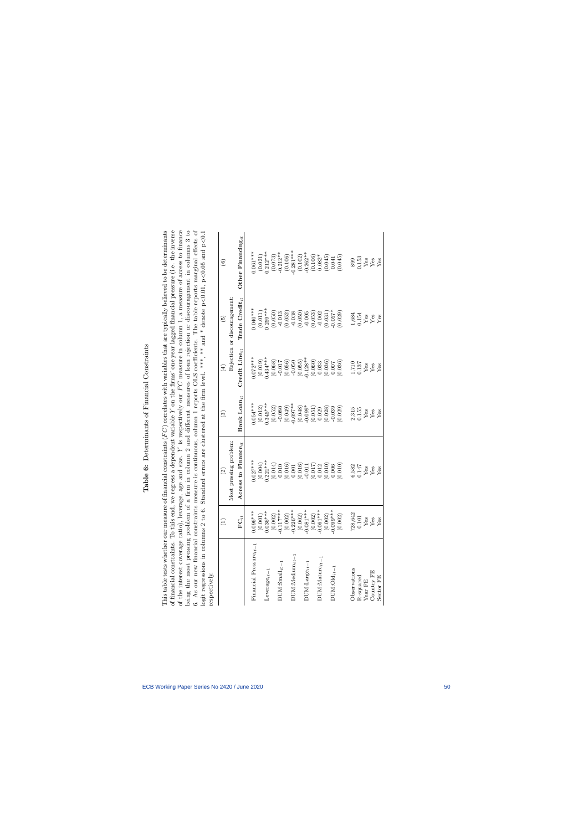# <span id="page-50-0"></span>Table 6: Determinants of Financial Constraints Table 6: Determinants of Financial Constraints

of the interest coverage ratio), leverage, age and size. Y is respectively our  $FC$  measure in column 1, a measure of access to finance being the most pressing problem of a firm in column 2 and different measures of loan rejection or discouragement in columns 3 to This table tests whether our measure of financial constraints  $(FC)$  correlates with variables that are typically believed to be determinants of financial constraints. To this end, we regress a dependent variable Y on the firms' one year lagged financial pressure (i.e. the inverse 6. As our new financial constraints measure is continuous, column 1 reports OLS coefficients. The table reports marginal effects of of financial constraints. To this end, we regress a dependent variable Y on the firms' one year lagged financial pressure (i.e. the inverse of the interest coverage ratio), leverage, age and size. Y is respectively our  $FC$  measure in column 1, a measure of access to finance 6. As our new financial constraints measure is continuous, column 1 reports OLS coefficients. The table reports marginal effects of logit regressions in columns 2 to 6. Standard errors are clustered at the firm level. \*\*\*, \*\* and \* denote  $p<0.01$ ,  $p<0.05$  and  $p<0.1$ This table tests whether our measure of financial constraints  $(FC)$  correlates with variables that are typically believed to be determinants being the most pressing problem of a firm in column 2 and different measures of loan rejection or discouragement in columns 3 to logit regressions in columns 2 to 6. Standard errors are clustered at the firm level. \*\*\* and \* denote p<0.01, p<0.05 and p<0.1 respectively. res

| respectively.                |                                                                                                                                                                                                                                                                                                                                                                             |                                                                                                                                                                                                                                                                                              |                                                                                                                                                                                                                                                                                                     |                                                                                                                                                                                                                                                                                                                          |                                                                                                                                                                                                                                                                                                   |                                                                                                                                                                                                                                                                                                              |
|------------------------------|-----------------------------------------------------------------------------------------------------------------------------------------------------------------------------------------------------------------------------------------------------------------------------------------------------------------------------------------------------------------------------|----------------------------------------------------------------------------------------------------------------------------------------------------------------------------------------------------------------------------------------------------------------------------------------------|-----------------------------------------------------------------------------------------------------------------------------------------------------------------------------------------------------------------------------------------------------------------------------------------------------|--------------------------------------------------------------------------------------------------------------------------------------------------------------------------------------------------------------------------------------------------------------------------------------------------------------------------|---------------------------------------------------------------------------------------------------------------------------------------------------------------------------------------------------------------------------------------------------------------------------------------------------|--------------------------------------------------------------------------------------------------------------------------------------------------------------------------------------------------------------------------------------------------------------------------------------------------------------|
|                              | Ξ                                                                                                                                                                                                                                                                                                                                                                           | $\widehat{\mathfrak{S}}$                                                                                                                                                                                                                                                                     | ව                                                                                                                                                                                                                                                                                                   | $\left( 4\right)$                                                                                                                                                                                                                                                                                                        | $\widetilde{\mathbf{e}}$                                                                                                                                                                                                                                                                          | $\circledcirc$                                                                                                                                                                                                                                                                                               |
|                              |                                                                                                                                                                                                                                                                                                                                                                             | Most pressing problem                                                                                                                                                                                                                                                                        |                                                                                                                                                                                                                                                                                                     |                                                                                                                                                                                                                                                                                                                          | Rejection or discouragement                                                                                                                                                                                                                                                                       |                                                                                                                                                                                                                                                                                                              |
|                              | $\mathbf{FC}_{it}$                                                                                                                                                                                                                                                                                                                                                          | Access to Finance <sub>it</sub>                                                                                                                                                                                                                                                              | ${\bf Bank\; Loan}_{it}$                                                                                                                                                                                                                                                                            | Credit Line $_{it}$                                                                                                                                                                                                                                                                                                      | $\operatorname{Trade}\ \operatorname{Credit}_{it}$                                                                                                                                                                                                                                                | Other Financing $_{it}$                                                                                                                                                                                                                                                                                      |
| Financial Pressure $_{it-1}$ | $0.096***$                                                                                                                                                                                                                                                                                                                                                                  | $0.027***$                                                                                                                                                                                                                                                                                   | $0.054***$                                                                                                                                                                                                                                                                                          |                                                                                                                                                                                                                                                                                                                          | $0.040***$                                                                                                                                                                                                                                                                                        | $0.061***$                                                                                                                                                                                                                                                                                                   |
|                              |                                                                                                                                                                                                                                                                                                                                                                             |                                                                                                                                                                                                                                                                                              |                                                                                                                                                                                                                                                                                                     |                                                                                                                                                                                                                                                                                                                          |                                                                                                                                                                                                                                                                                                   |                                                                                                                                                                                                                                                                                                              |
| $Leverage_{it-1}$            | $\begin{smallmatrix} (0.001)\\ (0.003^{***}\\ (0.036^{***}\\ (0.002)\\ (0.002)\\ (0.001^{***}\\ (0.0036^{**}\\ (0.001^{***}\\ (0.001^{***}\\ (0.001^{***}\\ (0.003)\\ (0.003^{***}\\ (0.003^{***}\\ (0.003^{***}\\ (0.003^{***}\\ (0.003^{***}\\ (0.003^{***}\\ (0.003^{***}\\ (0.003^{***}\\ (0.003^{***}\\ (0.003^{***}\\ (0.003^{***}\\ (0.003^{***}\\ (0.003^{***}\\ ($ |                                                                                                                                                                                                                                                                                              |                                                                                                                                                                                                                                                                                                     |                                                                                                                                                                                                                                                                                                                          |                                                                                                                                                                                                                                                                                                   |                                                                                                                                                                                                                                                                                                              |
|                              |                                                                                                                                                                                                                                                                                                                                                                             |                                                                                                                                                                                                                                                                                              |                                                                                                                                                                                                                                                                                                     |                                                                                                                                                                                                                                                                                                                          |                                                                                                                                                                                                                                                                                                   |                                                                                                                                                                                                                                                                                                              |
| $\textsc{DUN:Small}_{it-1}$  |                                                                                                                                                                                                                                                                                                                                                                             |                                                                                                                                                                                                                                                                                              |                                                                                                                                                                                                                                                                                                     |                                                                                                                                                                                                                                                                                                                          |                                                                                                                                                                                                                                                                                                   |                                                                                                                                                                                                                                                                                                              |
|                              |                                                                                                                                                                                                                                                                                                                                                                             |                                                                                                                                                                                                                                                                                              |                                                                                                                                                                                                                                                                                                     |                                                                                                                                                                                                                                                                                                                          |                                                                                                                                                                                                                                                                                                   |                                                                                                                                                                                                                                                                                                              |
| $DUM:Median_{it-1}$          |                                                                                                                                                                                                                                                                                                                                                                             |                                                                                                                                                                                                                                                                                              |                                                                                                                                                                                                                                                                                                     |                                                                                                                                                                                                                                                                                                                          |                                                                                                                                                                                                                                                                                                   |                                                                                                                                                                                                                                                                                                              |
|                              |                                                                                                                                                                                                                                                                                                                                                                             |                                                                                                                                                                                                                                                                                              |                                                                                                                                                                                                                                                                                                     |                                                                                                                                                                                                                                                                                                                          |                                                                                                                                                                                                                                                                                                   |                                                                                                                                                                                                                                                                                                              |
| $DUM:Large_{it-1}$           |                                                                                                                                                                                                                                                                                                                                                                             |                                                                                                                                                                                                                                                                                              |                                                                                                                                                                                                                                                                                                     |                                                                                                                                                                                                                                                                                                                          |                                                                                                                                                                                                                                                                                                   |                                                                                                                                                                                                                                                                                                              |
|                              |                                                                                                                                                                                                                                                                                                                                                                             |                                                                                                                                                                                                                                                                                              |                                                                                                                                                                                                                                                                                                     |                                                                                                                                                                                                                                                                                                                          |                                                                                                                                                                                                                                                                                                   |                                                                                                                                                                                                                                                                                                              |
| $DUM:Matrix_{it-1}$          |                                                                                                                                                                                                                                                                                                                                                                             |                                                                                                                                                                                                                                                                                              |                                                                                                                                                                                                                                                                                                     |                                                                                                                                                                                                                                                                                                                          |                                                                                                                                                                                                                                                                                                   |                                                                                                                                                                                                                                                                                                              |
|                              |                                                                                                                                                                                                                                                                                                                                                                             |                                                                                                                                                                                                                                                                                              |                                                                                                                                                                                                                                                                                                     |                                                                                                                                                                                                                                                                                                                          |                                                                                                                                                                                                                                                                                                   |                                                                                                                                                                                                                                                                                                              |
| $DUM:Old_{it-1}$             |                                                                                                                                                                                                                                                                                                                                                                             |                                                                                                                                                                                                                                                                                              |                                                                                                                                                                                                                                                                                                     |                                                                                                                                                                                                                                                                                                                          |                                                                                                                                                                                                                                                                                                   |                                                                                                                                                                                                                                                                                                              |
|                              | (0.002)                                                                                                                                                                                                                                                                                                                                                                     | $\begin{array}{l} (0.004)\\ (0.014)\\ (0.014)\\ (0.010)\\ (0.010)\\ (0.001)\\ (0.001)\\ (0.001)\\ (0.010)\\ (0.011)\\ (0.010)\\ (0.000)\\ (0.000)\\ (0.000)\\ (0.001)\\ (0.000)\\ (0.001)\\ (0.000)\\ (0.001)\\ (0.001)\\ (0.000)\\ (0.001)\\ (0.000)\\ (0.001)\\ (0.000)\\ (0.001)\\ (0.00$ | $\begin{smallmatrix} (0.012)\\ (0.0545^{**}\\ (0.052)\\ (0.050)\\ (0.040)\\ (0.040)\\ (0.040)\\ (0.040)\\ (0.040)\\ (0.040)\\ (0.05)\\ (0.020)\\ (0.020)\\ (0.020)\\ (0.020)\\ (0.020)\\ (0.020)\\ (0.020)\\ (0.020)\\ (0.020)\\ (0.020)\\ (0.020)\\ (0.020)\\ (0.020)\\ (0.020)\\ (0.020)\\ (0.02$ | $\begin{array}{l} 0.072^{***} \\ (0.019) \\ (0.019) \\ (0.068) \\ (0.068) \\ (0.050) \\ (0.050) \\ (0.050) \\ (0.050) \\ (0.050) \\ (0.005) \\ (0.003) \\ (0.003) \\ (0.000) \\ (0.003) \\ (0.000) \\ (0.000) \\ (0.000) \\ (0.000) \\ (0.000) \\ (0.000) \\ (0.000) \\ (0.000) \\ (0.000) \\ (0.000) \\ (0.000) \\ (0.$ | $\begin{array}{l} (0.011)\\ (0.059^{***}\\ (0.050)\\ (0.051)\\ (0.052)\\ (0.053)\\ (0.054)\\ (0.055)\\ (0.056)\\ (0.057)\\ (0.059)\\ (0.059)\\ (0.051)\\ (0.057)^{*}\\ (0.057)\\ (0.059)\\ (0.0059)\\ (0.0059)\\ (0.0059)\\ (0.0059)\\ (0.0059)\\ (0.0059)\\ (0.0059)\\ (0.0059)\\ (0.0059)\\ (0$ | $\begin{array}{l} (0.021)\\ 0.212^{***}\\ (0.073)\\ -0.212^{**}\\ (0.106)\\ -0.281^{***}\\ (0.100)\\ -0.280^{***}\\ (0.102)\\ -0.262^{**}\\ (0.045)\\ (0.041)\\ (0.041)\\ (0.041)\\ (0.045)\\ (0.045)\\ (0.047)\\ (0.048)\\ (0.049)\\ (0.045)\\ (0.045)\\ (0.049)\\ (0.040)\\ (0.040)\\ (0.041)\\ (0.045)\\$ |
| Observations                 |                                                                                                                                                                                                                                                                                                                                                                             | $6,582$<br>0.147<br>Yes<br>Yes<br>Yes                                                                                                                                                                                                                                                        |                                                                                                                                                                                                                                                                                                     | $\begin{array}{l} 1,710 \\ 0.137 \\ \text{Yes} \\ \text{Yes} \\ \text{Yes} \\ \text{Yes} \end{array}$                                                                                                                                                                                                                    | $\begin{array}{c} 1.684 \\ 0.154 \\ \text{Yes} \\ \text{Yes} \\ \text{Yes} \end{array}$                                                                                                                                                                                                           |                                                                                                                                                                                                                                                                                                              |
| R-squared                    |                                                                                                                                                                                                                                                                                                                                                                             |                                                                                                                                                                                                                                                                                              |                                                                                                                                                                                                                                                                                                     |                                                                                                                                                                                                                                                                                                                          |                                                                                                                                                                                                                                                                                                   |                                                                                                                                                                                                                                                                                                              |
| Year ${\rm FE}$              |                                                                                                                                                                                                                                                                                                                                                                             |                                                                                                                                                                                                                                                                                              |                                                                                                                                                                                                                                                                                                     |                                                                                                                                                                                                                                                                                                                          |                                                                                                                                                                                                                                                                                                   |                                                                                                                                                                                                                                                                                                              |
| Country FE                   | $\frac{728,642}{V}$<br>0.101<br>Yes<br>Yes                                                                                                                                                                                                                                                                                                                                  |                                                                                                                                                                                                                                                                                              | $\begin{array}{c} 2,315 \\ 0.155 \\ \text{Yes} \\ \text{Yes} \\ \text{Yes} \\ \end{array}$                                                                                                                                                                                                          |                                                                                                                                                                                                                                                                                                                          |                                                                                                                                                                                                                                                                                                   | 899<br>0.153<br>Yes<br>Yes                                                                                                                                                                                                                                                                                   |
| Sector FE                    |                                                                                                                                                                                                                                                                                                                                                                             |                                                                                                                                                                                                                                                                                              |                                                                                                                                                                                                                                                                                                     |                                                                                                                                                                                                                                                                                                                          |                                                                                                                                                                                                                                                                                                   |                                                                                                                                                                                                                                                                                                              |
|                              |                                                                                                                                                                                                                                                                                                                                                                             |                                                                                                                                                                                                                                                                                              |                                                                                                                                                                                                                                                                                                     |                                                                                                                                                                                                                                                                                                                          |                                                                                                                                                                                                                                                                                                   |                                                                                                                                                                                                                                                                                                              |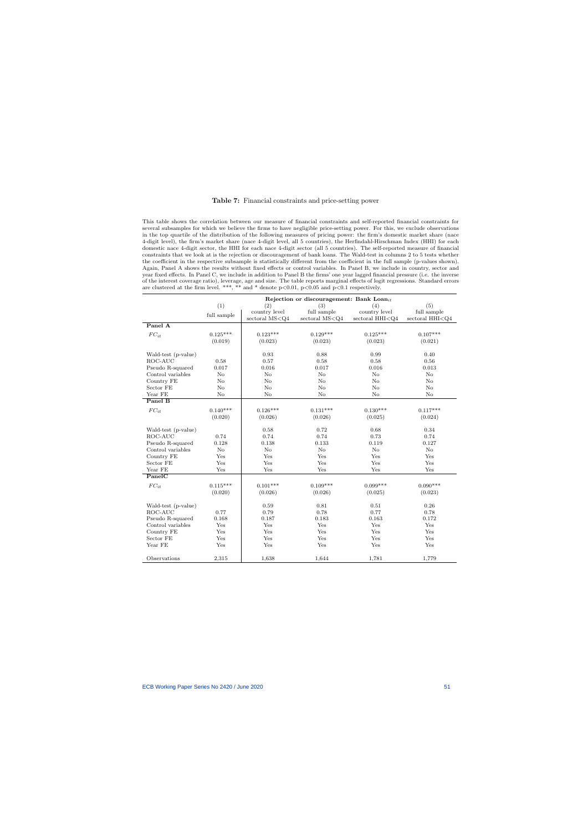#### Table 7: Financial constraints and price-setting power

This table shows the correlation between our measure of financial constraints and self-reported financial constraints for several subsamples for which we believe the firms to have negligible price-setting power. For this, we exclude observations in the top quartile of the distribution of the following measures of pricing power: the firm's domestic market share (nace 4-digit level), the firm's market share (nace 4-digit level, all 5 countries), the Herfindahl-Hirschman Index (HHI) for each domestic nace 4-digit sector, the HHI for each nace 4-digit sector (all 5 countries). The self-reported measure of financial constraints that we look at is the rejection or discouragement of bank loans. The Wald-test in columns 2 to 5 tests whether the coefficient in the respective subsample is statistically different from the coefficient in the full sample (p-values shown). Again, Panel A shows the results without fixed effects or control variables. In Panel B, we include in country, sector and year fixed effects. In Panel C, we include in addition to Panel B the firms' one year lagged financial pressure (i.e. the inverse of the interest coverage ratio), leverage, age and size. The table reports marginal effects of logit regressions. Standard errors are clustered at the firm level. \*\*\*, \*\* and \* denote  $p<0.01$ ,  $p<0.05$  and  $p<0.1$  respectively.

<span id="page-51-0"></span>

|                     |                              |                    | Rejection or discouragement: Bank Loan <sub>it</sub> |                     |                     |
|---------------------|------------------------------|--------------------|------------------------------------------------------|---------------------|---------------------|
|                     | (1)                          | (2)                | (3)                                                  | (4)                 | (5)                 |
|                     | $\operatorname{full}$ sample | country level      | full sample                                          | country level       | full sample         |
|                     |                              | sectoral $MS < Q4$ | sectoral $MS < Q4$                                   | sectoral $HHI < Q4$ | sectoral $HHI < Q4$ |
| Panel A             |                              |                    |                                                      |                     |                     |
| $FC_{it}$           | $0.125***$                   | $0.123***$         | $0.129***$                                           | $0.125***$          | $0.107***$          |
|                     | (0.019)                      | (0.023)            | (0.023)                                              | (0.023)             | (0.021)             |
|                     |                              |                    |                                                      |                     |                     |
| Wald-test (p-value) |                              | 0.93               | 0.88                                                 | 0.99                | 0.40                |
| ROC-AUC             | 0.58                         | 0.57               | 0.58                                                 | 0.58                | 0.56                |
| Pseudo R-squared    | 0.017                        | 0.016              | 0.017                                                | 0.016               | 0.013               |
| Control variables   | N <sub>o</sub>               | No                 | $\rm No$                                             | N <sub>o</sub>      | No                  |
| Country FE          | $\rm No$                     | No                 | $\rm No$                                             | N <sub>o</sub>      | No                  |
| Sector FE           | $\rm No$                     | No                 | $\rm No$                                             | No                  | $\rm No$            |
| Year FE             | No                           | No                 | No                                                   | No                  | No                  |
| Panel B             |                              |                    |                                                      |                     |                     |
| $FC_{it}$           | $0.140***$                   | $0.126***$         | $0.131***$                                           | $0.130***$          | $0.117***$          |
|                     | (0.020)                      | (0.026)            | (0.026)                                              | (0.025)             | (0.024)             |
|                     |                              |                    |                                                      |                     |                     |
| Wald-test (p-value) |                              | 0.58               | 0.72                                                 | 0.68                | 0.34                |
| ROC-AUC             | 0.74                         | 0.74               | 0.74                                                 | 0.73                | 0.74                |
| Pseudo R-squared    | 0.128                        | 0.138              | 0.133                                                | 0.119               | 0.127               |
| Control variables   | $\rm No$                     | $\rm No$           | $\rm No$                                             | No                  | No                  |
| Country FE          | Yes                          | Yes                | Yes                                                  | Yes                 | Yes                 |
| Sector FE           | Yes                          | Yes                | Yes                                                  | Yes                 | Yes                 |
| Year FE             | Yes                          | Yes                | Yes                                                  | Yes                 | Yes                 |
| PanelC              |                              |                    |                                                      |                     |                     |
| $FC_{it}$           | $0.115***$                   | $0.101***$         | $0.109***$                                           | $0.099***$          | $0.090***$          |
|                     | (0.020)                      | (0.026)            | (0.026)                                              | (0.025)             | (0.023)             |
|                     |                              |                    |                                                      |                     |                     |
| Wald-test (p-value) |                              | 0.59               | 0.81                                                 | 0.51                | 0.26                |
| ROC-AUC             | 0.77                         | 0.79               | 0.78                                                 | 0.77                | 0.78                |
| Pseudo R-squared    | 0.168                        | 0.187              | 0.183                                                | 0.163               | 0.172               |
| Control variables   | Yes                          | Yes                | Yes                                                  | Yes                 | Yes                 |
| Country FE          | Yes                          | Yes                | Yes                                                  | Yes                 | Yes                 |
| Sector FE           | Yes                          | Yes                | Yes                                                  | Yes                 | Yes                 |
| Year FE             | Yes                          | Yes                | Yes                                                  | Yes                 | Yes                 |
|                     |                              |                    |                                                      |                     |                     |
| Observations        | 2,315                        | 1,638              | 1,644                                                | 1,781               | 1,779               |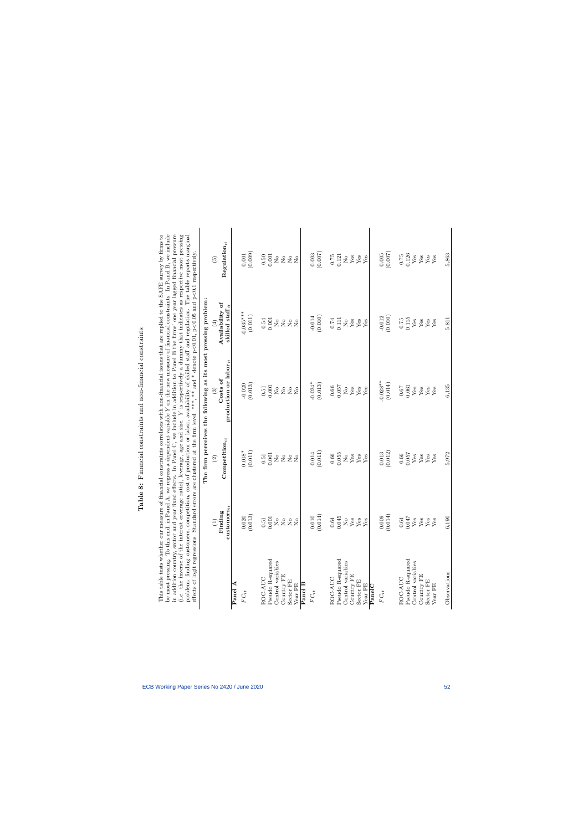<span id="page-52-0"></span>

| ו<br>ו<br>I                                                       |
|-------------------------------------------------------------------|
| -----------<br>ł<br>j                                             |
| i<br>l<br>.<br>Com and so a control<br>l<br>i<br>District         |
| Í                                                                 |
| $-10$<br>í<br>i<br>I                                              |
| i<br>I                                                            |
| ;<br>ا<br>عام<br>֖֖֪ׅ֖֪ׅ֪֪֪ׅ֖֧֚֚֚֚֚֚֚֚֚֚֚֚֚֚֚֚֬֝֝֬֝֝֟֓֡֬֓֞֬֝֓֬֝֓֬ |

This table tests whether our measure of financial constraints correlates with non-financial issues that are replied to the SAFE survey by firms to<br>be most pressing. To this end, in Panel A, we regress a dependent variable in addition country, sector and year fixed effects. In Panel C, we include in addition to Panel B the firms' one year lagged financial pressure (i.e. the inverse of the interest coverage ratio), leverage, age and size. Y i This table tests whether our measure of financial constraints correlates with non-financial issues that are replied to the SAFE survey by firms to be most pressing. To this end, in Panel A, we regress a dependent variable Y on the new measure of financial constraints. In Panel B, we include in addition country, sector and year fixed effects. In Panel C, we include in addition to Panel B the firms' one year lagged financial pressure (i.e. the inverse of the interest coverage ratio), leverage, age and size. Y is respectively a dummy that indicates as respective most pressing problem: finding customers, competition, cost of production or labor, availability of skilled staff and regulation. The table reports marginal effects of logit regressions. Standard errors are clustered at the firm level. \*\*\*, \*\* and \* denote  $p<0.01$ ,  $p<0.05$  and  $p<0.1$  respectively.

| effects of logit regression | ıs.                                                                                                   |                                                                                                      | Standard errors are clustered at the firm level. ***, ** and * denote p<0.01, p<0.05 and p<0.1 respectively.<br>The firm perceives the following as its most pressing problem: |                                                                                                             |                                                                                                      |
|-----------------------------|-------------------------------------------------------------------------------------------------------|------------------------------------------------------------------------------------------------------|--------------------------------------------------------------------------------------------------------------------------------------------------------------------------------|-------------------------------------------------------------------------------------------------------------|------------------------------------------------------------------------------------------------------|
|                             | $\begin{pmatrix} 1 \end{pmatrix}$                                                                     | $\widehat{2}$                                                                                        | $\binom{3}{2}$                                                                                                                                                                 | $\bigoplus$                                                                                                 | $\widetilde{\Theta}$                                                                                 |
|                             | $\operatorname{customers}_{it}$<br>Finding                                                            | $\text{Competition}_{it}$                                                                            | $\mathop{\rm production}\nolimits$ or $\mathop{\rm labor}\nolimits_{it}$<br>Costs of                                                                                           | Availability of<br>skilled staff <sub>it</sub>                                                              | ${\rm Regulation}_{it}$                                                                              |
| ٩<br>Panel                  |                                                                                                       |                                                                                                      |                                                                                                                                                                                |                                                                                                             |                                                                                                      |
| ${\cal F}{\cal C}_{it}$     |                                                                                                       |                                                                                                      |                                                                                                                                                                                | $-0.035***$                                                                                                 |                                                                                                      |
|                             | $\begin{array}{c} 0.020 \\ 0.013 \end{array}$                                                         | $0.018^*$ $(0.011)$                                                                                  | $-0.020$<br>(0.013)                                                                                                                                                            | (0.011)                                                                                                     | $(0.001$<br>$(0.009)$                                                                                |
| ROC-AUC                     |                                                                                                       |                                                                                                      |                                                                                                                                                                                |                                                                                                             |                                                                                                      |
| Pseudo R-squared            | $\begin{array}{c} 0.51 \\ 0.001 \end{array}$                                                          | $\begin{array}{c} 0.51 \\ 0.001 \end{array}$                                                         | $\begin{array}{c} 0.51 \\ 0.001 \end{array}$                                                                                                                                   | $\begin{array}{c} 0.54 \\ 0.001 \end{array}$                                                                |                                                                                                      |
| Control variables           | $\stackrel{\circ}{\simeq}$                                                                            |                                                                                                      |                                                                                                                                                                                |                                                                                                             |                                                                                                      |
| Country FE                  | $\stackrel{\circ}{\mathbf{Z}}$                                                                        |                                                                                                      |                                                                                                                                                                                |                                                                                                             |                                                                                                      |
| Sector FE                   | 2 <sup>o</sup>                                                                                        | 2222                                                                                                 | 2222                                                                                                                                                                           | 2222                                                                                                        | $0.501$<br>$0.001$<br>$0.2222$                                                                       |
| Year FE                     |                                                                                                       |                                                                                                      |                                                                                                                                                                                |                                                                                                             |                                                                                                      |
| Panel B                     |                                                                                                       |                                                                                                      |                                                                                                                                                                                |                                                                                                             |                                                                                                      |
| $FC_{it}$                   |                                                                                                       |                                                                                                      |                                                                                                                                                                                |                                                                                                             |                                                                                                      |
|                             | $(0.010)$<br>(0.014)                                                                                  | $\begin{array}{c} 0.014 \\ 0.011 \end{array}$                                                        | $-0.024*$<br>(0.013)                                                                                                                                                           | (0.010)                                                                                                     | (0.003)                                                                                              |
| ROC-AUC                     |                                                                                                       |                                                                                                      |                                                                                                                                                                                |                                                                                                             |                                                                                                      |
| Pseudo R-squared            |                                                                                                       |                                                                                                      |                                                                                                                                                                                |                                                                                                             |                                                                                                      |
| Control variables           |                                                                                                       |                                                                                                      |                                                                                                                                                                                |                                                                                                             |                                                                                                      |
| Country FE                  | $\begin{array}{c} 0.64 \\ 0.045 \\ \text{N} \\ \text{Yes} \\ \text{Yes} \\ \text{Yes} \\ \end{array}$ | $\begin{array}{c} 0.66 \\ 0.055 \\ \text{Ne}\ \\ \text{Yes} \\ \text{Yes} \\ \text{Yes} \end{array}$ | $\begin{array}{c} 0.66 \\ 1057 \\ 100 \\ 100 \\ 100 \\ 100 \\ \end{array}$                                                                                                     | $\begin{array}{c} 0.74 \\ 0.111 \\ \textrm{Ne} \\ \textrm{Yes} \\ \textrm{Yes} \\ \textrm{Yes} \end{array}$ | $\begin{array}{l} 0.75 \\ 0.121 \\ \text{Neas} \\ \text{Yes} \\ \text{Yes} \end{array}$              |
| Sector FE                   |                                                                                                       |                                                                                                      |                                                                                                                                                                                |                                                                                                             |                                                                                                      |
| Year FE                     |                                                                                                       |                                                                                                      |                                                                                                                                                                                |                                                                                                             |                                                                                                      |
| PanelC                      |                                                                                                       |                                                                                                      |                                                                                                                                                                                |                                                                                                             |                                                                                                      |
| $FC_{it}$                   |                                                                                                       |                                                                                                      | $-0.028**$                                                                                                                                                                     |                                                                                                             |                                                                                                      |
|                             | (0.009)                                                                                               | $\begin{array}{c} 0.013 \\ (0.012) \end{array}$                                                      | (0.014)                                                                                                                                                                        | $-0.012$ (0.010)                                                                                            | (0.005)                                                                                              |
| ROC-AUC                     |                                                                                                       |                                                                                                      |                                                                                                                                                                                |                                                                                                             |                                                                                                      |
| Pseudo R-squared            | $\begin{array}{c} 0.64 \\ 0.047 \\ \text{Yes} \\ \text{Yes} \\ \end{array}$                           | $\begin{array}{c} 0.66 \\ 0.057 \\ \text{Yes} \end{array}$                                           | $\begin{array}{c} 0.67 \\ 0.061 \\ \text{Yes} \\ \text{Yes} \\ \end{array}$                                                                                                    | $\begin{array}{c} 0.115 \\ 0.115 \end{array}$                                                               | $\begin{array}{c} 0.75 \\ 0.126 \\ \text{Yes} \\ \text{Yes} \\ \text{Yes} \\ \text{Yes} \end{array}$ |
| Control variables           |                                                                                                       |                                                                                                      |                                                                                                                                                                                | $_{\rm Yes}^{\rm Yes}$                                                                                      |                                                                                                      |
| Country FE                  |                                                                                                       | ${\rm Yes}$                                                                                          |                                                                                                                                                                                |                                                                                                             |                                                                                                      |
| Sector FE                   | ${\rm Yes}$                                                                                           | $_{\rm Yes}^{\rm Yes}$                                                                               | $_{\rm Yes}^{\rm Yes}$                                                                                                                                                         | $_{\rm Yes}^{\rm Yes}$                                                                                      |                                                                                                      |
| Year FE                     | Yes                                                                                                   |                                                                                                      |                                                                                                                                                                                |                                                                                                             |                                                                                                      |
| Observations                | 6,190                                                                                                 | 5,972                                                                                                | 6,135                                                                                                                                                                          | 5,811                                                                                                       | 5,863                                                                                                |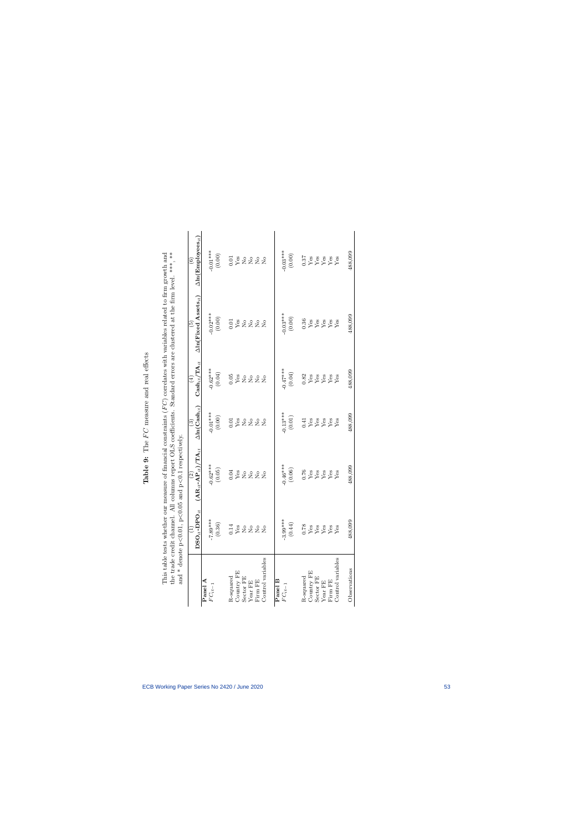<span id="page-53-0"></span>

| Î             |
|---------------|
| ن<br>وحد<br>j |
| م<br>م<br>i   |
| manana.       |
| ך∕<br>ג       |
| 1<br>Ē        |
| 5<br>d        |
| $\frac{1}{2}$ |

This table tests whether our measure of financial constraints  $(FC)$  correlates with variables related to firm growth and the trade credit channel. All columns report OLS coefficients. Standard errors are clustered at the This table tests whether our measure of financial constraints  $(FC)$  correlates with variables related to firm growth and the trade credit channel. All columns report OLS coefficients. Standard errors are clustered at the firm level. \*\*\*, \*\*

| and * denote p                                |                                                | $<0.01$ , $p<0.05$ and $p<0.1$ respectively.                                                  |                                                                                             |                                                                                                                                                                                                                                                              |                                                                                           |                                                               |
|-----------------------------------------------|------------------------------------------------|-----------------------------------------------------------------------------------------------|---------------------------------------------------------------------------------------------|--------------------------------------------------------------------------------------------------------------------------------------------------------------------------------------------------------------------------------------------------------------|-------------------------------------------------------------------------------------------|---------------------------------------------------------------|
|                                               | $\texttt{DSO}_{it}\text{-}\texttt{DPO}_{it}$   | $(\mathbf{AR}_{it}\text{-}\mathbf{AP}_{it})/\mathbf{TA}_{it}$<br>$\left  \widehat{c} \right $ | $\frac{1}{\Delta \ln (\mathbf{Cash}_{it})}$                                                 | $\frac{(4)}{\mathrm{Cash}_{it}/\mathrm{TA}_{it}}$                                                                                                                                                                                                            | $\Delta {\rm ln}({\rm Fixed~Assets}_{it})$                                                | $\Delta {\rm ln}({\rm Employes}_{it})$                        |
| Panel A<br>$FC_{it-1}$                        | $-7.89***$                                     |                                                                                               |                                                                                             |                                                                                                                                                                                                                                                              |                                                                                           |                                                               |
|                                               | $\left( 0.36\right)$                           | $-0.62***$<br>(0.05)                                                                          | $-0.01***$<br>(0.00)                                                                        | $-0.62***$<br>(0.04)                                                                                                                                                                                                                                         | $-0.02***$<br>(0.00)                                                                      | $-0.01***$<br>(0.00)                                          |
| R-squared                                     |                                                |                                                                                               |                                                                                             |                                                                                                                                                                                                                                                              |                                                                                           | 32222                                                         |
|                                               | 288222                                         | 0.882222                                                                                      | 382222                                                                                      | 0.882222                                                                                                                                                                                                                                                     | 0.88222                                                                                   |                                                               |
|                                               |                                                |                                                                                               |                                                                                             |                                                                                                                                                                                                                                                              |                                                                                           |                                                               |
|                                               |                                                |                                                                                               |                                                                                             |                                                                                                                                                                                                                                                              |                                                                                           |                                                               |
| Country FE<br>Sector FE<br>Year FE<br>Firm FE |                                                |                                                                                               |                                                                                             |                                                                                                                                                                                                                                                              |                                                                                           |                                                               |
| Control variables                             |                                                |                                                                                               |                                                                                             |                                                                                                                                                                                                                                                              |                                                                                           |                                                               |
| Panel B                                       |                                                |                                                                                               |                                                                                             |                                                                                                                                                                                                                                                              |                                                                                           |                                                               |
| $FC_{it-1}$                                   | $-3.99***$                                     | $0.46***$                                                                                     |                                                                                             | $-0.47***$                                                                                                                                                                                                                                                   |                                                                                           | $-0.03***$                                                    |
|                                               | (0.44)                                         | $(0.06)$                                                                                      | $-0.13***$                                                                                  | $(0.04)$                                                                                                                                                                                                                                                     | $-0.03***$                                                                                | $(0.00)$                                                      |
| R-squared                                     | $\frac{78}{168}$<br>Yes y<br>X $\frac{1}{268}$ | $\begin{array}{c} 176 \\ \text{Yes} \\ \text{Yes} \\ \text{Yes} \\ \text{Yes} \end{array}$    | $\begin{array}{c} 0.41 \\ \text{Yes} \\ \text{Yes} \\ \text{Yes} \\ \text{Yes} \end{array}$ |                                                                                                                                                                                                                                                              |                                                                                           | $\begin{array}{c} 37 \\ 88 \\ 88 \\ 84 \\ 75. \\ \end{array}$ |
| Country ${\rm FE}$ Sector ${\rm FE}$          |                                                |                                                                                               |                                                                                             |                                                                                                                                                                                                                                                              |                                                                                           |                                                               |
|                                               |                                                |                                                                                               |                                                                                             |                                                                                                                                                                                                                                                              |                                                                                           |                                                               |
| Year FE $\rm Fimp$                            |                                                |                                                                                               |                                                                                             | $rac{32}{x}$<br>$rac{32}{x}$<br>$rac{32}{x}$<br>$rac{32}{x}$<br>$rac{32}{x}$<br>$rac{32}{x}$<br>$rac{32}{x}$<br>$rac{32}{x}$<br>$rac{32}{x}$<br>$rac{32}{x}$<br>$rac{32}{x}$<br>$rac{32}{x}$<br>$rac{32}{x}$<br>$rac{32}{x}$<br>$rac{32}{x}$<br>$rac{32}{x}$ | $\begin{array}{c} 36 \\ \text{Yes} \\ \text{Yes} \\ \text{Yes} \\ \text{Yes} \end{array}$ |                                                               |
|                                               |                                                |                                                                                               |                                                                                             |                                                                                                                                                                                                                                                              |                                                                                           |                                                               |
| Control variables                             |                                                |                                                                                               |                                                                                             |                                                                                                                                                                                                                                                              |                                                                                           |                                                               |
| Observations                                  | 488,099                                        | 488,099                                                                                       | 488,099                                                                                     | 488,099                                                                                                                                                                                                                                                      | 488,099                                                                                   | 488,099                                                       |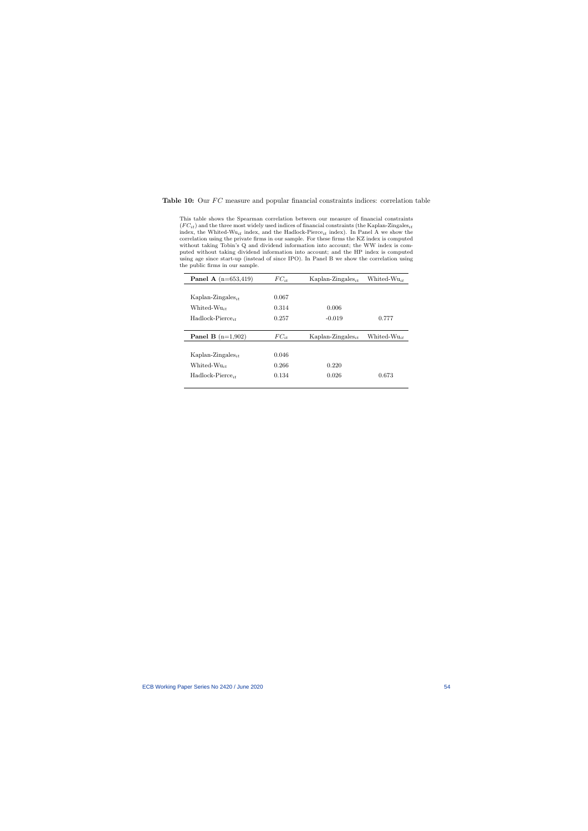#### Table 10: Our  $FC$  measure and popular financial constraints indices: correlation table

This table shows the Spearman correlation between our measure of financial constraints  $(FC_{it})$  and the three most widely used indices of financial constraints (the Kaplan-Zingales<sub>it</sub> index, the Whited-Wu<sub>it</sub> index, and the Hadlock-Pierce<sub>it</sub> index). In Panel A we show the correlation using the private firms in our sample. For these firms the KZ index is computed without taking Tobin's Q and dividend information into account; the WW index is computed without taking dividend information into account; and the HP index is computed using age since start-up (instead of since IPO). In Panel B we show the correlation using the public firms in our sample.

<span id="page-54-0"></span>

| <b>Panel A</b> $(n=653,419)$  | $FC_{it}$ | Kaplan-Zingales <sub>it</sub> | Whited- $Wu_{it}$ |
|-------------------------------|-----------|-------------------------------|-------------------|
|                               |           |                               |                   |
| Kaplan-Zingales <sub>it</sub> | 0.067     |                               |                   |
| Whited- $Wu_{it}$             | 0.314     | 0.006                         |                   |
| Hadlock-Pierce <sub>it</sub>  | 0.257     | $-0.019$                      | 0.777             |
|                               |           |                               |                   |
|                               |           |                               |                   |
| <b>Panel B</b> $(n=1,902)$    | $FC_{it}$ | Kaplan-Zingales <sub>it</sub> | Whited- $Wu_{it}$ |
|                               |           |                               |                   |
| Kaplan-Zingales <sub>it</sub> | 0.046     |                               |                   |
| Whited- $Wu_{it}$             | 0.266     | 0.220                         |                   |
| $Hadlock-Pierre_{it}$         | 0.134     | 0.026                         | 0.673             |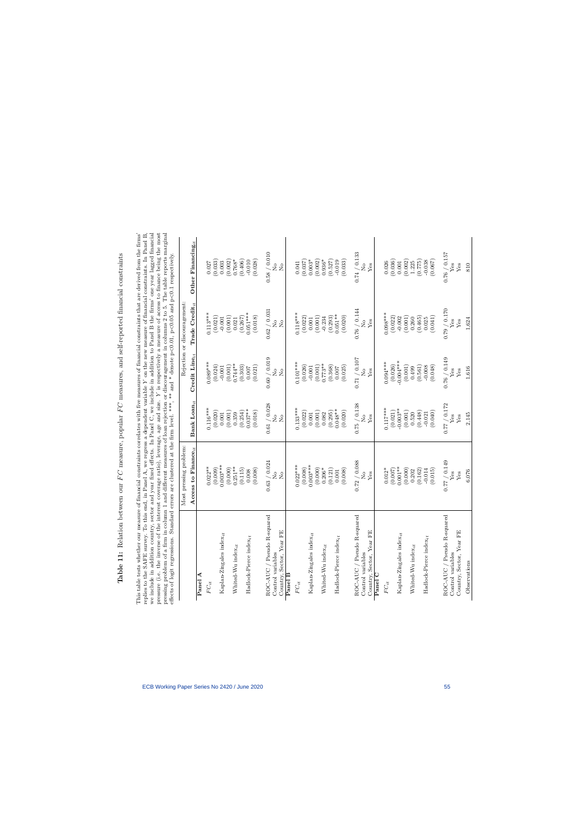Table 11: Relation between our  $FC$  measure, popular  $FC$  measures, and self-reported financial constraints Table 11: Relation between our  $FC$  measure, popular  $FC$  measures, and self-reported financial constraints <span id="page-55-0"></span>This table tests whether our measure of financial constraints correlates with five measures of financial constraints that are derived from the firms'<br>replies to the SAFE survey. To this end, in Panel A, we regress a depen we include in addition country, sector and year fixed effects. In Panel C, we include in addition to Panel B the firms' one year lagged financial pressure (i.e. the inverse of the interest coverage ratio), leverage, age a This table tests whether our measure of financial constraints correlates with five measures of financial constraints that are derived from the firms' replies to the SAFE survey. To this end, in Panel A, we regress a dependent variable Y on the new measure of financial constraints. In Panel B, we include in addition country, sector and year fixed effects. In Panel C, we include in addition to Panel B the firms' one year lagged financial pressure (i.e. the inverse of the interest coverage ratio), leverage, age and size. Y is respectively a measure of access to finance being the most pressing problem of a firm in column 1 and different measures of loan rejection or discouragement in columns 2 to 5. The table reports marginal effects of logit regressions. Standard errors are clustered at the firm level. \*\*\*, \*\* and \* denote  $p<0.01$ ,  $p<0.05$  and  $p<0.1$  respectively.

| Hects of logit regressions. Stardard einstered at the him level. "The card at the firm" | Most pressing problem                                                                                    |                                                                           |                                                            | ', "" and P<10.00 p<1, p<10.00 enouge respectively.<br>Rejection or discouragement |                                                                              |
|-----------------------------------------------------------------------------------------|----------------------------------------------------------------------------------------------------------|---------------------------------------------------------------------------|------------------------------------------------------------|------------------------------------------------------------------------------------|------------------------------------------------------------------------------|
|                                                                                         | Access to Finance $_{it}$                                                                                | Bank $\text{Loan}_{it}$                                                   | Credit $\text{Line}_{it}$                                  | Trade Credit $_{it}$                                                               | Other Financing $_{it}$                                                      |
| Panel A                                                                                 |                                                                                                          |                                                                           |                                                            |                                                                                    |                                                                              |
| $FC_{it}$                                                                               | $0.022**$                                                                                                | $0.116***$                                                                | $0.089***$                                                 | $0.113***$                                                                         |                                                                              |
|                                                                                         | (0.009)                                                                                                  | (0.020)                                                                   | (0.024)                                                    | (0.021)                                                                            | (0.027)                                                                      |
| Kaplan-Zingales index <sub>it</sub>                                                     | $0.003***$                                                                                               | 0.001                                                                     | (0.001)                                                    | $(0.001)$<br>$(0.001)$<br>$0.021$                                                  | (0.003)                                                                      |
|                                                                                         | (0.000)                                                                                                  | (0.001)                                                                   |                                                            |                                                                                    |                                                                              |
| Whited-Wu index $it$                                                                    | $0.251***$                                                                                               | 0.359                                                                     | $0.744**$                                                  |                                                                                    | $0.768*$                                                                     |
| $dev_{it}$<br>Hadlock-Pierce in                                                         | (0.115)<br>0.008                                                                                         | $(0.254)$<br>$0.037***$                                                   | $\begin{array}{c} (0.303) \\ 0.007 \end{array}$            | $(0.267)$<br>0.051***                                                              | (0.406)<br>$-0.010$                                                          |
|                                                                                         | (0.008)                                                                                                  | (0.018)                                                                   | (0.021)                                                    | (0.018)                                                                            | (0.028)                                                                      |
| / Pseudo R-squared<br>ROC-AUC                                                           |                                                                                                          |                                                                           |                                                            |                                                                                    |                                                                              |
| Country, Sector, Year FE<br>Control variables                                           | $\frac{0.63}{\rm{No}} / \frac{0.024}{\rm{No}}$                                                           | $0.61\bigm/0.028$ No<br>$\rm _{No}$                                       | $\frac{0.60}{\rm{No}} / \frac{0.019}{\rm{No}}$             | $\frac{0.62}{\rm{N}_\odot}$                                                        | $0.58\ /\ 0.010$ ${\rm No}$<br>$\stackrel{\circ}{\simeq}$                    |
| Panel B                                                                                 |                                                                                                          |                                                                           |                                                            |                                                                                    |                                                                              |
| $FC_{it}$                                                                               | $0.022***$                                                                                               | $0.133***$                                                                | $0.101***$                                                 | $0.118***$                                                                         | 0.041                                                                        |
|                                                                                         | (0.008)                                                                                                  | (0.022)                                                                   | (0.026)                                                    |                                                                                    | (0.037)                                                                      |
| Kaplan-Zingales index <sub>it</sub>                                                     | $0.003***$                                                                                               | (0.001)<br>0.001                                                          | (0.001)                                                    | $\begin{array}{c} (0.022) \\ 0.001 \\ 0.001 \end{array}$                           | $0.003*$<br>(0.002)                                                          |
| Whited-Wu index $\boldsymbol{i}$                                                        | $(0.000)$<br>$0.206*$                                                                                    | 0.082                                                                     | $0.773**$                                                  | $-0.234$                                                                           | $0.936*$                                                                     |
| Hadlock-Pierce index $_{it}$                                                            | $\begin{array}{c} (0.121) \\ 0.001 \end{array}$                                                          | $(0.295)$<br>0.048**                                                      | $\begin{array}{c} (0.368) \\ 0.007 \end{array}$            | $(0.293)$<br>$0.051**$                                                             | (0.527)<br>$-0.019$                                                          |
|                                                                                         | (0.008)                                                                                                  | (0.020)                                                                   | (0.025)                                                    | (0.020)                                                                            | (0.033)                                                                      |
| / Pseudo R-squared<br>ROC-AUC                                                           |                                                                                                          | 0.75 / 0.138                                                              | 0.71 / 0.107                                               |                                                                                    |                                                                              |
| Control variables                                                                       | $\frac{\text{0.72}}{\text{No}}\}/\frac{\text{0.088}}{\text{Yes}}$                                        | $\overline{R}$                                                            | $\overline{R}$                                             | $\begin{array}{c} 0.76\ /\ 0.144 \\ \mathrm{No} \\ \mathrm{Yes} \end{array}$       | $\begin{array}{c} 0.74\ /\ 0.133 \\ \mathrm{No} \\ \mathrm{Yes} \end{array}$ |
| Country, Sector, Year FE                                                                |                                                                                                          | ${\rm Yes}$                                                               | ${\rm Yes}$                                                |                                                                                    |                                                                              |
| Panel C                                                                                 |                                                                                                          |                                                                           |                                                            |                                                                                    |                                                                              |
| $FC_{it}$                                                                               | $0.012*$                                                                                                 | $0.117***$<br>(0.021)                                                     | $0.094***$<br>(0.026)                                      | $0.098***$<br>(0.022)                                                              | (0.036)<br>0.026                                                             |
| Kaplan-Zingales index $_{it}$                                                           | $(0.007)$ $(0.001**$                                                                                     | $-0.003**$                                                                | $-0.004***$                                                |                                                                                    | 0.001                                                                        |
| Whited-Wu index $_{it}$                                                                 | (0.000)<br>0.202                                                                                         | (0.001)<br>0.520                                                          | (0.001)<br>0.499                                           | $(0.001)$<br>$(0.001)$<br>$0.260$                                                  | (0.002)<br>1.225                                                             |
|                                                                                         | (0.162)                                                                                                  | $(0.448)$<br>-0.021                                                       |                                                            |                                                                                    | (0.775)                                                                      |
| Hadlock-Pierce index $_{it}$                                                            | (0.015)<br>$-0.014$                                                                                      | (0.040)                                                                   | $\begin{array}{c} (0.561) \\ -0.008 \\ 0.048) \end{array}$ | $\begin{array}{c} (0.465) \\ 0.025 \\ (0.041) \end{array}$                         | (0.067)                                                                      |
|                                                                                         |                                                                                                          |                                                                           |                                                            |                                                                                    |                                                                              |
| Pseudo R-squared<br>Control variables<br>ROC-AUC                                        | $\frac{\mathrm{d}X}{\mathrm{d}X}$ $\frac{\mathrm{d}X}{\mathrm{d}X}$<br>$\frac{\mathrm{d}X}{\mathrm{d}X}$ | $\begin{array}{c} 0.77\ /\ 0.172 \\ \text{Yes} \\ \text{Yes} \end{array}$ | $0.76\ /\ 0.149$ Yes                                       | $\frac{\text{d}X}{\text{d}X} \approx \frac{1}{\text{d}X}$ where                    | $0.76\ /\ 0.157$ Yes                                                         |
| Country, Sector, Year FE                                                                |                                                                                                          |                                                                           | $Y$ es                                                     |                                                                                    | Yes                                                                          |
| Observations                                                                            | 6,076                                                                                                    | 2,145                                                                     | $1,\!616$                                                  | $1,\!624$                                                                          | 810                                                                          |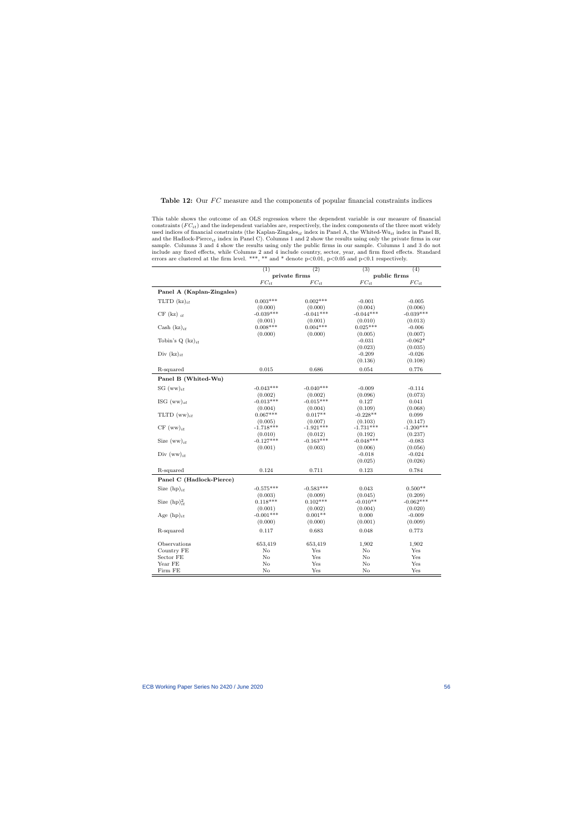#### Table 12: Our  $FC$  measure and the components of popular financial constraints indices

This table shows the outcome of an OLS regression where the dependent variable is our measure of financial constraints  $(FC_{it})$  and the independent variables are, respectively, the index components of the three most widely used indices of financial constraints (the Kaplan-Zingales<sub>it</sub> index in Panel A, the Whited-Wu<sub>it</sub> index in Panel B, and the Hadlock-Pierce<sub>it</sub> index in Panel C). Columns 1 and 2 show the results using only the private firms in our sample. Columns 3 and 4 show the results using only the public firms in our sample. Columns 1 and 3 do not include any fixed effects, while Columns 2 and 4 include country, sector, year, and firm fixed effects. Standard errors are clustered at the firm level. \*\*\*, \*\* and \* denote  $p<0.01$ ,  $p<0.05$  and  $p<0.1$  respectively.

<span id="page-56-0"></span>

|                           | $\overline{(1)}$ | $\overline{(2)}$ | $\overline{(3)}$ | $\overline{(4)}$ |
|---------------------------|------------------|------------------|------------------|------------------|
|                           |                  | private firms    | public firms     |                  |
|                           | $FC_{it}$        | $FC_{it}$        | $FC_{it}$        | $FC_{it}$        |
| Panel A (Kaplan-Zingales) |                  |                  |                  |                  |
| TLTD $(kz)_{it}$          | $0.003***$       | $0.002***$       | $-0.001$         | $-0.005$         |
|                           | (0.000)          | (0.000)          | (0.004)          | (0.006)          |
| $CF$ (kz) $it$            | $-0.039***$      | $-0.041***$      | $-0.044***$      | $-0.039***$      |
|                           | (0.001)          | (0.001)          | (0.010)          | (0.013)          |
| Cash $(kz)_{it}$          | $0.008***$       | $0.004***$       | $0.025***$       | $-0.006$         |
|                           | (0.000)          | (0.000)          | (0.005)          | (0.007)          |
| Tobin's Q $(kz)_{it}$     |                  |                  | $-0.031$         | $-0.062*$        |
|                           |                  |                  | (0.023)          | (0.035)          |
| Div $(kz)_{it}$           |                  |                  | $-0.209$         | $-0.026$         |
|                           |                  |                  | (0.136)          | (0.108)          |
| R-squared                 | 0.015            | 0.686            | 0.054            | 0.776            |
| Panel B (Whited-Wu)       |                  |                  |                  |                  |
| SG $(ww)_{it}$            | $-0.043***$      | $-0.040***$      | $-0.009$         | $-0.114$         |
|                           | (0.002)          | (0.002)          | (0.096)          | (0.073)          |
| ISG $(ww)_{st}$           | $-0.013***$      | $-0.015***$      | 0.127            | 0.041            |
|                           | (0.004)          | (0.004)          | (0.109)          | (0.068)          |
| TLTD $(ww)_{it}$          | $0.067***$       | $0.017**$        | $-0.228**$       | 0.099            |
|                           | (0.005)          | (0.007)          | (0.103)          | (0.147)          |
| $CF (ww)_{it}$            | $-1.718***$      | $-1.921***$      | $-1.731***$      | $-1.200***$      |
|                           | (0.010)          | (0.012)          | (0.192)          | (0.237)          |
| Size $(ww)_{it}$          | $-0.127***$      | $-0.163***$      | $-0.048***$      | $-0.083$         |
|                           | (0.001)          | (0.003)          | (0.006)          | (0.056)          |
| Div $(ww)_{it}$           |                  |                  | $-0.018$         | $-0.024$         |
|                           |                  |                  | (0.025)          | (0.026)          |
| R-squared                 | 0.124            | 0.711            | 0.123            | 0.784            |
| Panel C (Hadlock-Pierce)  |                  |                  |                  |                  |
| Size $(hp)_{it}$          | $-0.575***$      | $-0.583***$      | 0.043            | $0.500**$        |
|                           | (0.003)          | (0.009)          | (0.045)          | (0.209)          |
| Size $(hp)_{it}^2$        | $0.118***$       | $0.102***$       | $-0.010**$       | $-0.062***$      |
|                           | (0.001)          | (0.002)          | (0.004)          | (0.020)          |
| Age $(hp)_{it}$           | $-0.001***$      | $0.001**$        | 0.000            | $-0.009$         |
|                           | (0.000)          | (0.000)          | (0.001)          | (0.009)          |
|                           |                  |                  |                  |                  |
| R-squared                 | 0.117            | 0.683            | 0.048            | 0.773            |
| Observations              | 653,419          | 653,419          | 1,902            | 1,902            |
| Country FE                | No               | Yes              | No               | Yes              |
| Sector FE                 | $\rm No$         | Yes              | No               | Yes              |
| Year FE                   | $\rm No$         | Yes              | No               | Yes              |
| Firm FE                   | $\rm No$         | Yes              | No               | Yes              |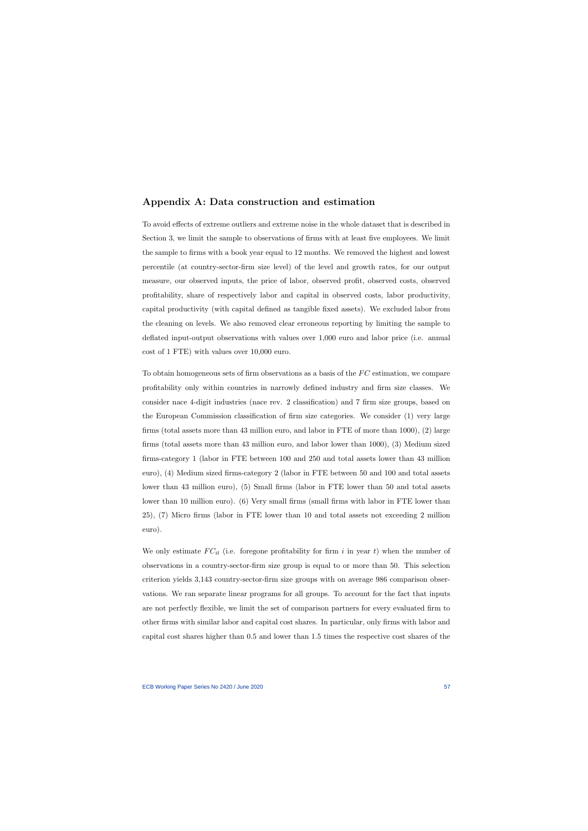# Appendix A: Data construction and estimation

To avoid effects of extreme outliers and extreme noise in the whole dataset that is described in Section 3, we limit the sample to observations of firms with at least five employees. We limit the sample to firms with a book year equal to 12 months. We removed the highest and lowest percentile (at country-sector-firm size level) of the level and growth rates, for our output measure, our observed inputs, the price of labor, observed profit, observed costs, observed profitability, share of respectively labor and capital in observed costs, labor productivity, capital productivity (with capital defined as tangible fixed assets). We excluded labor from the cleaning on levels. We also removed clear erroneous reporting by limiting the sample to deflated input-output observations with values over 1,000 euro and labor price (i.e. annual cost of 1 FTE) with values over 10,000 euro.

To obtain homogeneous sets of firm observations as a basis of the  $FC$  estimation, we compare profitability only within countries in narrowly defined industry and firm size classes. We consider nace 4-digit industries (nace rev. 2 classification) and 7 firm size groups, based on the European Commission classification of firm size categories. We consider (1) very large firms (total assets more than 43 million euro, and labor in FTE of more than 1000), (2) large firms (total assets more than 43 million euro, and labor lower than 1000), (3) Medium sized firms-category 1 (labor in FTE between 100 and 250 and total assets lower than 43 million euro), (4) Medium sized firms-category 2 (labor in FTE between 50 and 100 and total assets lower than 43 million euro), (5) Small firms (labor in FTE lower than 50 and total assets lower than 10 million euro). (6) Very small firms (small firms with labor in FTE lower than 25), (7) Micro firms (labor in FTE lower than 10 and total assets not exceeding 2 million euro).

We only estimate  $FC_{it}$  (i.e. foregone profitability for firm i in year t) when the number of observations in a country-sector-firm size group is equal to or more than 50. This selection criterion yields 3,143 country-sector-firm size groups with on average 986 comparison observations. We ran separate linear programs for all groups. To account for the fact that inputs are not perfectly flexible, we limit the set of comparison partners for every evaluated firm to other firms with similar labor and capital cost shares. In particular, only firms with labor and capital cost shares higher than 0.5 and lower than 1.5 times the respective cost shares of the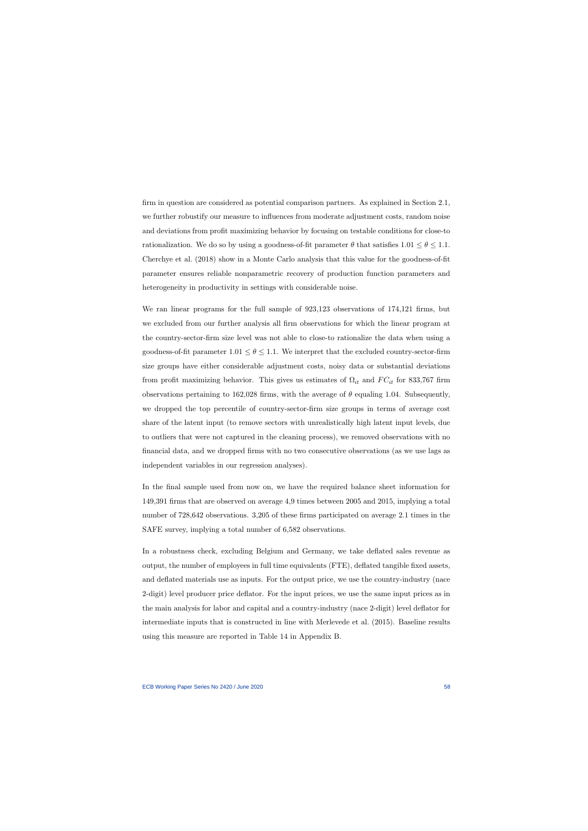firm in question are considered as potential comparison partners. As explained in Section 2.1, we further robustify our measure to influences from moderate adjustment costs, random noise and deviations from profit maximizing behavior by focusing on testable conditions for close-to rationalization. We do so by using a goodness-of-fit parameter  $\theta$  that satisfies  $1.01 \le \theta \le 1.1$ . [Cherchye et al.](#page-38-2) [\(2018\)](#page-38-2) show in a Monte Carlo analysis that this value for the goodness-of-fit parameter ensures reliable nonparametric recovery of production function parameters and heterogeneity in productivity in settings with considerable noise.

We ran linear programs for the full sample of 923,123 observations of 174,121 firms, but we excluded from our further analysis all firm observations for which the linear program at the country-sector-firm size level was not able to close-to rationalize the data when using a goodness-of-fit parameter  $1.01 \le \theta \le 1.1$ . We interpret that the excluded country-sector-firm size groups have either considerable adjustment costs, noisy data or substantial deviations from profit maximizing behavior. This gives us estimates of  $\Omega_{it}$  and  $FC_{it}$  for 833,767 firm observations pertaining to 162,028 firms, with the average of  $\theta$  equaling 1.04. Subsequently, we dropped the top percentile of country-sector-firm size groups in terms of average cost share of the latent input (to remove sectors with unrealistically high latent input levels, due to outliers that were not captured in the cleaning process), we removed observations with no financial data, and we dropped firms with no two consecutive observations (as we use lags as independent variables in our regression analyses).

In the final sample used from now on, we have the required balance sheet information for 149,391 firms that are observed on average 4,9 times between 2005 and 2015, implying a total number of 728,642 observations. 3,205 of these firms participated on average 2.1 times in the SAFE survey, implying a total number of 6,582 observations.

In a robustness check, excluding Belgium and Germany, we take deflated sales revenue as output, the number of employees in full time equivalents (FTE), deflated tangible fixed assets, and deflated materials use as inputs. For the output price, we use the country-industry (nace 2-digit) level producer price deflator. For the input prices, we use the same input prices as in the main analysis for labor and capital and a country-industry (nace 2-digit) level deflator for intermediate inputs that is constructed in line with [Merlevede et al.](#page-40-11) [\(2015\)](#page-40-11). Baseline results using this measure are reported in Table [14](#page-60-0) in Appendix B.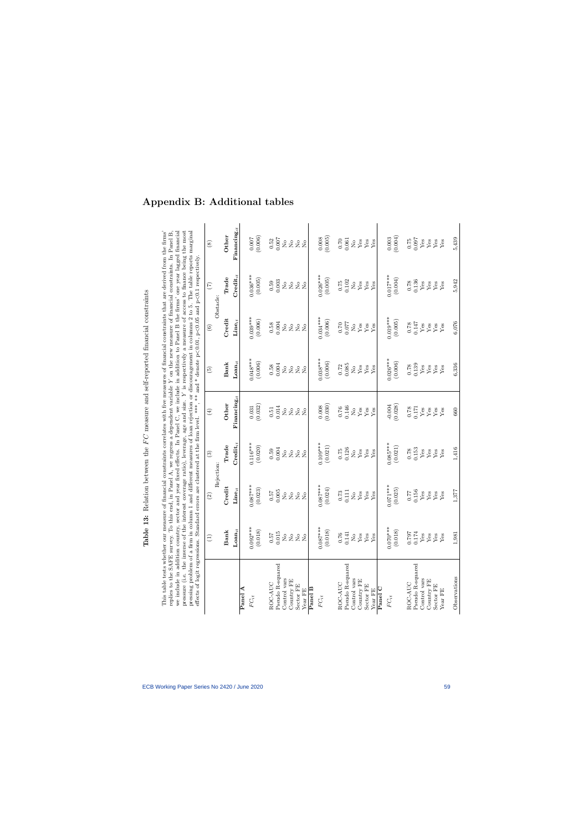| This table tests whether our measure of financial constraints correlates with five measures of financial constraints that are derived from the firms'<br>we include in addition country, sector and year fixed effects. In Panel C, we include in addition to Panel B the firms' one year lagged financial<br>pressing problem of a firm in column 1 and different measures of loan rejection or discouragement in columns 2 to 5. The table reports marginal<br>effects of logit regressions. Standard errors are clustered at the firm level. ***, ** and * denote $p<0.01$ , $p<0.05$ and $p<0.1$ respectively.<br>pressure (i.e. the inverse of<br>replies to the SAFE survey. |                                                       |                                        |                                              | the interest coverage ratio), leverage, age and size. $Y$ is respectively a measure of access to finance being the most<br>To this end, in Panel A, we regress a dependent variable Y on the new measure of financial constraints. In Panel B, |                                                             |                                                     |                                                     |                                                     |
|------------------------------------------------------------------------------------------------------------------------------------------------------------------------------------------------------------------------------------------------------------------------------------------------------------------------------------------------------------------------------------------------------------------------------------------------------------------------------------------------------------------------------------------------------------------------------------------------------------------------------------------------------------------------------------|-------------------------------------------------------|----------------------------------------|----------------------------------------------|------------------------------------------------------------------------------------------------------------------------------------------------------------------------------------------------------------------------------------------------|-------------------------------------------------------------|-----------------------------------------------------|-----------------------------------------------------|-----------------------------------------------------|
|                                                                                                                                                                                                                                                                                                                                                                                                                                                                                                                                                                                                                                                                                    | $\widehat{L}$                                         | Rejection:<br>$\widehat{\mathfrak{S}}$ | $\widehat{\mathbf{E}}$                       | $\bigoplus$                                                                                                                                                                                                                                    | $\widetilde{\mathbf{5}}$                                    | $\odot$                                             | $\left( \frac{1}{\sqrt{2}}\right)$<br>Obstacle:     | $\circled{s}$                                       |
|                                                                                                                                                                                                                                                                                                                                                                                                                                                                                                                                                                                                                                                                                    | <b>Bank</b>                                           | Credit                                 | Trade                                        | Other                                                                                                                                                                                                                                          | Bank                                                        | Credit                                              | <b>Trade</b>                                        | Other                                               |
|                                                                                                                                                                                                                                                                                                                                                                                                                                                                                                                                                                                                                                                                                    | $\mathbf{L}{\mathbf{o}}{\mathbf{a}}{\mathbf{n}}_{it}$ | $\mathbf{Line}_{it}$                   | $\mathop{\rm Credit}_{i,t}$                  | $\mathbf{F}$ inancing $_{it}$                                                                                                                                                                                                                  | $\mathbf{Loan}_{it}$                                        | $\mathbf{Line}_{it}$                                | $\mathbf{Credit}_{it}$                              | $\mathbf{F}$ inancing $_{it}$                       |
| ⋖<br>Panel                                                                                                                                                                                                                                                                                                                                                                                                                                                                                                                                                                                                                                                                         |                                                       |                                        |                                              |                                                                                                                                                                                                                                                |                                                             |                                                     |                                                     |                                                     |
| $FC_{it}$                                                                                                                                                                                                                                                                                                                                                                                                                                                                                                                                                                                                                                                                          | $0.092***$                                            | $0.087***$                             | $0.116***$                                   | $\begin{array}{c} 0.031 \\ 0.032 \end{array}$                                                                                                                                                                                                  | $0.048***$                                                  | $0.039***$                                          | $0.036***$                                          | 0.007                                               |
|                                                                                                                                                                                                                                                                                                                                                                                                                                                                                                                                                                                                                                                                                    | (0.018)                                               | (0.023)                                | (0.020)                                      |                                                                                                                                                                                                                                                | (0.006)                                                     | (0.006)                                             | (0.005)                                             | (0.006)                                             |
| ROC-AUC                                                                                                                                                                                                                                                                                                                                                                                                                                                                                                                                                                                                                                                                            | 750                                                   | 750                                    | 0.59                                         | 0.51                                                                                                                                                                                                                                           |                                                             |                                                     |                                                     | 0.52                                                |
| Pseudo R-squared                                                                                                                                                                                                                                                                                                                                                                                                                                                                                                                                                                                                                                                                   | 0.015                                                 | 0.005                                  | 0.004                                        | 0.014                                                                                                                                                                                                                                          | $0.58$<br>0.004                                             | $0.58$<br>0.004                                     | $0.59$<br>$0.003$                                   | 0.007                                               |
| Control vars                                                                                                                                                                                                                                                                                                                                                                                                                                                                                                                                                                                                                                                                       | $\rm _{No}$                                           | $\rm \stackrel{o}{\simeq}$             | $\rm \stackrel{o}{\simeq}$                   | $\rm \stackrel{o}{\simeq}$                                                                                                                                                                                                                     | $\mathring{S}$                                              | $\stackrel{\circ}{\mathbf{Z}}$                      | $\rm \stackrel{\circ}{\phantom{}_{\sim}}$           | $\stackrel{\circ}{\phantom{}_{\sim}}$               |
| Country FE                                                                                                                                                                                                                                                                                                                                                                                                                                                                                                                                                                                                                                                                         | $\mathop{\mathsf{S}}\nolimits$                        | $\overline{R}$                         | $\rm _{No}$                                  | $\overline{R}$                                                                                                                                                                                                                                 | $\mathop{\mathsf{S}}\nolimits$                              | $\rm \stackrel{\circ}{\rm \bf Z}$                   | $\rm \stackrel{\circ}{\rm \stackrel{>}{\rm \sim}}$  | $\rm \stackrel{\circ}{X}$                           |
| Sector FE                                                                                                                                                                                                                                                                                                                                                                                                                                                                                                                                                                                                                                                                          | $\frac{1}{2}$                                         | $\rm \stackrel{\circ}{\rm \bf Z}$      | 2 <sup>o</sup>                               | $\rm \stackrel{o}{\simeq}$                                                                                                                                                                                                                     | 28                                                          | ${}^{\circ}_{\textrm{Z}}$ ${}^{\circ}_{\textrm{Z}}$ | ${}^{\circ}_{\textrm{Z}}$ ${}^{\circ}_{\textrm{Z}}$ | ${}^{\circ}_{\textrm{Z}}$ ${}^{\circ}_{\textrm{Z}}$ |
| Year FE                                                                                                                                                                                                                                                                                                                                                                                                                                                                                                                                                                                                                                                                            | $\overline{N}$                                        | $\overline{R}$                         |                                              | $\overline{R}$                                                                                                                                                                                                                                 |                                                             |                                                     |                                                     |                                                     |
| Panel $\overline{B}$                                                                                                                                                                                                                                                                                                                                                                                                                                                                                                                                                                                                                                                               |                                                       |                                        |                                              |                                                                                                                                                                                                                                                |                                                             |                                                     |                                                     |                                                     |
| $FCit$                                                                                                                                                                                                                                                                                                                                                                                                                                                                                                                                                                                                                                                                             | $0.087***$                                            | $0.087***$                             | $0.109***$                                   | 0.008                                                                                                                                                                                                                                          | $0.038***$                                                  | $0.034***$                                          | $0.026***$                                          | 0.008                                               |
|                                                                                                                                                                                                                                                                                                                                                                                                                                                                                                                                                                                                                                                                                    | (0.018)                                               | (0.024)                                | (0.021)                                      | (0.030)                                                                                                                                                                                                                                        | (0.006)                                                     | (0.006)                                             | (0.005)                                             | (0.005)                                             |
| ROC-AUC                                                                                                                                                                                                                                                                                                                                                                                                                                                                                                                                                                                                                                                                            | 0.76                                                  |                                        |                                              |                                                                                                                                                                                                                                                |                                                             |                                                     |                                                     | $0.70\,$                                            |
| Pseudo R-squared                                                                                                                                                                                                                                                                                                                                                                                                                                                                                                                                                                                                                                                                   | 0.141                                                 | $\frac{0.73}{0.111}$                   | $\begin{array}{c} 0.75 \\ 0.126 \end{array}$ | $\frac{0.76}{0.146}$                                                                                                                                                                                                                           | $\begin{array}{c} 0.72 \\ 0.085 \\ \mathrm{No} \end{array}$ | 0.070                                               | $\frac{0.75}{0.102}$                                | $0.061\,$                                           |
| Control vars                                                                                                                                                                                                                                                                                                                                                                                                                                                                                                                                                                                                                                                                       | $\mathop{\mathsf{S}}\nolimits$                        | $\rm _{Z}^{\circ}$                     | $\stackrel{\circ}{\simeq}$                   | $\rm \stackrel{o}{\simeq}$                                                                                                                                                                                                                     |                                                             | $\rm \stackrel{\circ}{\rm \bf Z}$                   | $\stackrel{\circ}{\phantom{}_{\sim}}$               | $\stackrel{\circ}{\phantom{}_{\sim}}$               |
| Country FE                                                                                                                                                                                                                                                                                                                                                                                                                                                                                                                                                                                                                                                                         | $\rm Yes$                                             | $_{\rm Yes}^{\rm Yes}$                 | ${\rm Yes}$                                  | Yes                                                                                                                                                                                                                                            | ${\rm Yes}$                                                 | ${\rm Yes}$                                         | ${\rm Yes}$                                         | ${\rm Yes}$                                         |
| Sector FE<br>Year FE                                                                                                                                                                                                                                                                                                                                                                                                                                                                                                                                                                                                                                                               | $Y$ es<br>Yes                                         | Yes                                    | $\rm Yes$<br>Yes                             | ${\rm Yes}$<br>Yes                                                                                                                                                                                                                             | $\mathbf{Y}\mathbf{e}\mathbf{s}$<br>Yes                     | ${\rm Yes}$<br>Yes                                  | $_{\rm Yes}^{\rm Yes}$                              | ${\rm Yes}$<br>Yes                                  |
| Panel C                                                                                                                                                                                                                                                                                                                                                                                                                                                                                                                                                                                                                                                                            |                                                       |                                        |                                              |                                                                                                                                                                                                                                                |                                                             |                                                     |                                                     |                                                     |
| $FC_{it}$                                                                                                                                                                                                                                                                                                                                                                                                                                                                                                                                                                                                                                                                          | $0.070***$                                            | $0.071***$                             | $0.085***$                                   | $-0.004$                                                                                                                                                                                                                                       | $0.026***$                                                  | $0.019***$                                          | $0.017***$                                          | 0.003                                               |
|                                                                                                                                                                                                                                                                                                                                                                                                                                                                                                                                                                                                                                                                                    | (0.018)                                               | (0.025)                                | (0.021)                                      | (0.028)                                                                                                                                                                                                                                        | (0.006)                                                     | (0.005)                                             | (0.004)                                             | (0.004)                                             |
| ROC-AUC                                                                                                                                                                                                                                                                                                                                                                                                                                                                                                                                                                                                                                                                            | 162.0                                                 |                                        |                                              |                                                                                                                                                                                                                                                |                                                             |                                                     |                                                     |                                                     |
| Pseudo R-squared                                                                                                                                                                                                                                                                                                                                                                                                                                                                                                                                                                                                                                                                   | 0.174                                                 | 0.156                                  | $\frac{0.78}{0.153}$                         | $\frac{0.78}{87.0}$                                                                                                                                                                                                                            | $\frac{0.78}{0.139}$                                        | 0.147                                               | $\frac{0.78}{0.136}$                                | $0.75$ $0.097$                                      |
| Control vars                                                                                                                                                                                                                                                                                                                                                                                                                                                                                                                                                                                                                                                                       | ${\rm Yes}$                                           | $_{\rm Yes}^{\rm Yes}$                 | ${\rm Yes}$                                  | ${\rm Yes}$                                                                                                                                                                                                                                    | ${\rm Yes}$                                                 | ${\rm Yes}$                                         | ${\rm Yes}$                                         | ${\rm Yes}$                                         |
| Country FE                                                                                                                                                                                                                                                                                                                                                                                                                                                                                                                                                                                                                                                                         | Yes                                                   |                                        | Yes                                          | Yes                                                                                                                                                                                                                                            | ${\rm Yes}$                                                 | ${\rm Yes}$                                         | ${\rm Yes}$                                         | ${\rm Yes}$                                         |
| Sector FE                                                                                                                                                                                                                                                                                                                                                                                                                                                                                                                                                                                                                                                                          | ${\rm Yes}$                                           | $_{\rm Yes}^{\rm Yes}$                 | $_{\rm Yes}^{\rm Yes}$                       | $_{\rm Yes}^{\rm Yes}$                                                                                                                                                                                                                         | $_{\rm Yes}^{\rm Yes}$                                      | $_{\rm Yes}^{\rm Yes}$                              | $_{\rm Yes}^{\rm Yes}$                              | $_{\rm Yes}^{\rm Yes}$                              |
| Year FE                                                                                                                                                                                                                                                                                                                                                                                                                                                                                                                                                                                                                                                                            | $Y$ es                                                |                                        |                                              |                                                                                                                                                                                                                                                |                                                             |                                                     |                                                     |                                                     |
| Observations                                                                                                                                                                                                                                                                                                                                                                                                                                                                                                                                                                                                                                                                       | 1,981                                                 | 1,377                                  | 1,416                                        | 660                                                                                                                                                                                                                                            | 6,336                                                       | 6,076                                               | 5,942                                               | 5,439                                               |

# Appendix B: Additional tables

<span id="page-59-0"></span>**Table 13:** Relation between the  $FC$  measure and self-reported financial constraints

Table 13: Relation between the  $FC$  measure and self-reported financial constraints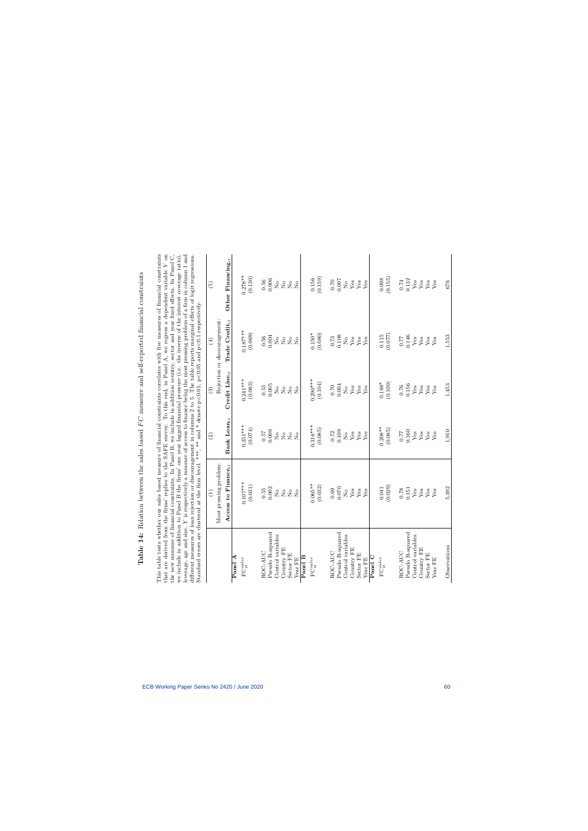Table 14: Relation between the sales based FC measure and self-reported financial constraints **Table 14:** Relation between the sales based  $FC$  measure and self-reported financial constraints <span id="page-60-0"></span>This table tests whether our sales based measure of financial constraints correlates with five measures of financial constraints<br>that are derived from the firms' replies to the SAFE survey. To this end, in Panel A, we regr we include in addition to Panel B the firms' one year lagged financial pressure (i.e. the inverse of the interest coverage ratio), leverage, age and size. Y is respectively a measure of access to finance being the most pr the new measure of financial constraints. In Panel B, we include in addition country, sector and year fixed effects. In Panel C, This table tests whether our sales based measure of financial constraints correlates with five measures of financial constraints that are derived from the firms' replies to the SAFE survey. To this end, in Panel A, we regress a dependent variable Y on the new measure of financial constraints. In Panel B, we include in addition country, sector and year fixed effects. In Panel C, we include in addition to Panel B the firms' one year lagged financial pressure (i.e. the inverse of the interest coverage ratio), leverage, age and size. Y is respectively a measure of access to finance being the most pressing problem of a firm in column 1 and different measures of loan rejection or discouragement in columns 2 to 5. The table reports marginal effects of logit regressions. Standard errors are clustered at the firm level. \*\*\*, \*\* and \* denote  $p<0.01$ ,  $p<0.05$  and  $p<0.1$  respectively.

|                            | Standard errors are clustered at the firm level. ***, ** and * denote p<0.01, p<0.05 and p<0.1 respectively. |                                                     |                                                     |                                                 | different measures of loan rejection or discouragement in columns 2 to 5. The table reports marginal effects of logit regressions. |
|----------------------------|--------------------------------------------------------------------------------------------------------------|-----------------------------------------------------|-----------------------------------------------------|-------------------------------------------------|------------------------------------------------------------------------------------------------------------------------------------|
|                            | $\widehat{E}$                                                                                                | $\odot$                                             | $\odot$                                             | $\overline{4}$                                  | $\widehat{\Theta}$                                                                                                                 |
|                            | Most pressing problem:                                                                                       |                                                     |                                                     | Rejection or discouragement:                    |                                                                                                                                    |
|                            | Access to Finance <sub>it</sub>                                                                              | Bank $\text{Loun}_{it}$                             | Credit Line $_{it}$                                 | Trade Credit $_{it}$                            | Other Financing $it$                                                                                                               |
| Panel A                    |                                                                                                              |                                                     |                                                     |                                                 |                                                                                                                                    |
| $\mathbf{FC}^{sales}_{it}$ | $0.107***$                                                                                                   | $0.351***$                                          | $0.241***$                                          | $0.187***$                                      | $0.278**$                                                                                                                          |
|                            | (0.031)                                                                                                      | (0.074)                                             | (0.083)                                             | (0.069)                                         | (0.130)                                                                                                                            |
| ROC-AUC                    |                                                                                                              |                                                     |                                                     |                                                 | 0.56                                                                                                                               |
| Pseudo R-squared           | $\begin{array}{c} 0.55 \\ 0.002 \end{array}$                                                                 | 0.0000                                              | $\begin{array}{c} 0.55 \\ 0.005 \end{array}$        | $0.56$<br>$0.004$                               | 0.006                                                                                                                              |
| Control variables          |                                                                                                              |                                                     | $\rm \stackrel{o}{\simeq}$                          |                                                 |                                                                                                                                    |
| Country FE                 |                                                                                                              | ${}^{\circ}_{\textrm{Z}}$ ${}^{\circ}_{\textrm{Z}}$ |                                                     |                                                 |                                                                                                                                    |
| Sector FE                  | 222                                                                                                          | 2 <sup>o</sup>                                      | 222                                                 | 222                                             | 2222                                                                                                                               |
| Year FE                    | $\overline{R}$                                                                                               |                                                     |                                                     | $\tilde{z}$                                     |                                                                                                                                    |
| Panel B                    |                                                                                                              |                                                     |                                                     |                                                 |                                                                                                                                    |
| ${\rm FC}_{it}^{sales}$    | $0.065***$                                                                                                   | $0.316***$                                          | $0.290***$                                          |                                                 |                                                                                                                                    |
|                            | (0.032)                                                                                                      | (0.085)                                             | (0.104)                                             | $(0.150^{*}$<br>(0.080)                         | $(0.156)$<br>(0.159)                                                                                                               |
| ROC-AUC                    |                                                                                                              |                                                     | $0.70$                                              |                                                 |                                                                                                                                    |
| Pseudo R-squared           | $\begin{array}{c} 0.69 \\ 0.070 \end{array}$                                                                 | $\frac{0.72}{0.109}$                                | 0.094                                               | $\frac{0.73}{0.108}$                            | 0.00000                                                                                                                            |
| Control variables          |                                                                                                              |                                                     |                                                     |                                                 |                                                                                                                                    |
| Country FE                 | $\overset{\circ}{X}$                                                                                         | $\frac{1}{2}$                                       | $\overset{\circ}{X}{}_{\overset{\circ}{\text{es}}}$ | $\overset{\circ}{X}{}_{\text{es}}^{\text{o}}$   | $\overset{\circ}{X}{}_{\text{es}}^{\text{o}}$                                                                                      |
| Sector FE                  | ${\rm Yes}$                                                                                                  | ${\rm Yes}$                                         | ${\rm Yes}$                                         | ${\rm Yes}$                                     | ${\rm Yes}$                                                                                                                        |
| Year FE                    | Yes                                                                                                          | Yes                                                 | Yes                                                 | Yes                                             | Yes                                                                                                                                |
| Panel C                    |                                                                                                              |                                                     |                                                     |                                                 |                                                                                                                                    |
| $\mathbf{FC}^{sales}_{it}$ | 0.041                                                                                                        | $0.208**$                                           | $0.188*$                                            |                                                 |                                                                                                                                    |
|                            | (0.029)                                                                                                      | (0.085)                                             | (0.109)                                             | $\begin{array}{c} 0.115 \\ (0.077) \end{array}$ | (0.155)                                                                                                                            |
| ROC-AUC                    |                                                                                                              |                                                     | 0.76                                                | 0.77                                            | $0.74\,$                                                                                                                           |
| Pseudo R-squared           | $\begin{array}{c} 0.78 \\ 0.151 \end{array}$                                                                 | 0.160                                               | 0.156                                               | 0.146                                           | 0.132                                                                                                                              |
| Control variables          | ${\rm Yes}$                                                                                                  | ${\rm Yes}$                                         | ${\rm Yes}$                                         | ${\rm Yes}$                                     | $\mathbf{Yes}$                                                                                                                     |
| Country FE                 | ${\rm Yes}$                                                                                                  | ${\rm Yes}$                                         | ${\rm Yes}$                                         | ${\rm Yes}$                                     | ${\rm Yes}$                                                                                                                        |
| Sector FE                  | ${\rm Yes}$                                                                                                  | ${\rm Yes}$                                         | $_{\rm Yes}^{\rm Yes}$                              | $_{\rm Yes}^{\rm Yes}$                          | $_{\rm Yes}^{\rm Yes}$                                                                                                             |
| Year FE                    | Yes                                                                                                          | $\mathbf{Y}\mathbf{es}$                             |                                                     |                                                 |                                                                                                                                    |
| Observations               | 5,392                                                                                                        | 1,910                                               | 1,453                                               | 1,553                                           | 676                                                                                                                                |